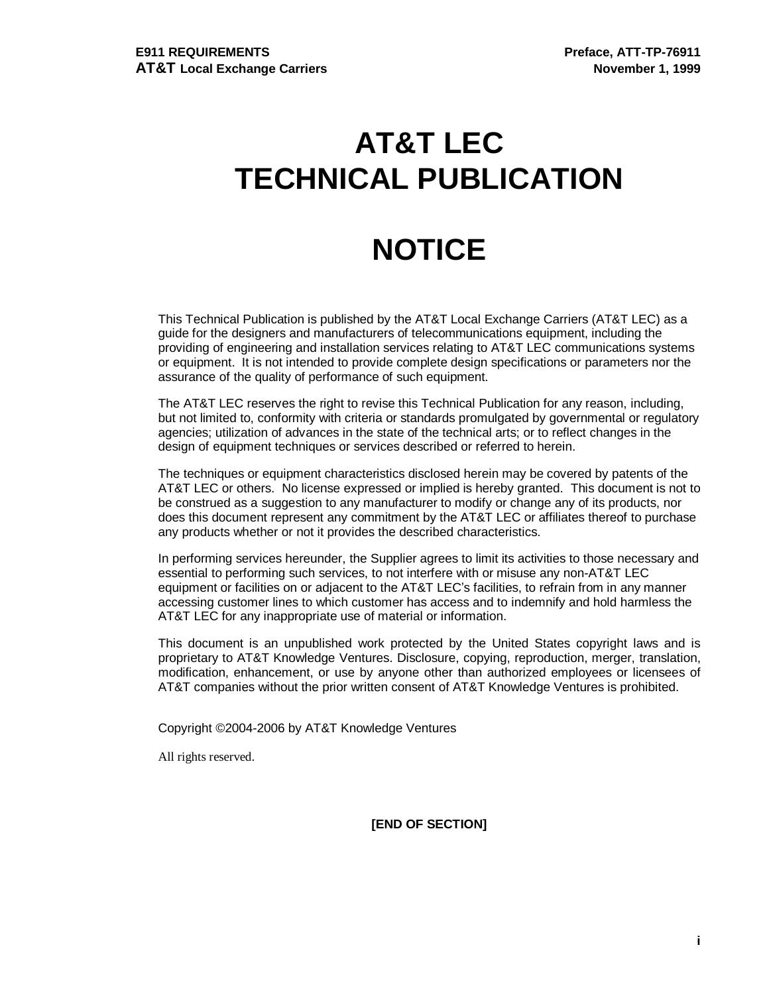# **AT&T LEC TECHNICAL PUBLICATION**

# **NOTICE**

This Technical Publication is published by the AT&T Local Exchange Carriers (AT&T LEC) as a guide for the designers and manufacturers of telecommunications equipment, including the providing of engineering and installation services relating to AT&T LEC communications systems or equipment. It is not intended to provide complete design specifications or parameters nor the assurance of the quality of performance of such equipment.

The AT&T LEC reserves the right to revise this Technical Publication for any reason, including, but not limited to, conformity with criteria or standards promulgated by governmental or regulatory agencies; utilization of advances in the state of the technical arts; or to reflect changes in the design of equipment techniques or services described or referred to herein.

The techniques or equipment characteristics disclosed herein may be covered by patents of the AT&T LEC or others. No license expressed or implied is hereby granted. This document is not to be construed as a suggestion to any manufacturer to modify or change any of its products, nor does this document represent any commitment by the AT&T LEC or affiliates thereof to purchase any products whether or not it provides the described characteristics.

In performing services hereunder, the Supplier agrees to limit its activities to those necessary and essential to performing such services, to not interfere with or misuse any non-AT&T LEC equipment or facilities on or adjacent to the AT&T LEC's facilities, to refrain from in any manner accessing customer lines to which customer has access and to indemnify and hold harmless the AT&T LEC for any inappropriate use of material or information.

This document is an unpublished work protected by the United States copyright laws and is proprietary to AT&T Knowledge Ventures. Disclosure, copying, reproduction, merger, translation, modification, enhancement, or use by anyone other than authorized employees or licensees of AT&T companies without the prior written consent of AT&T Knowledge Ventures is prohibited.

Copyright ©2004-2006 by AT&T Knowledge Ventures

All rights reserved.

**[END OF SECTION]**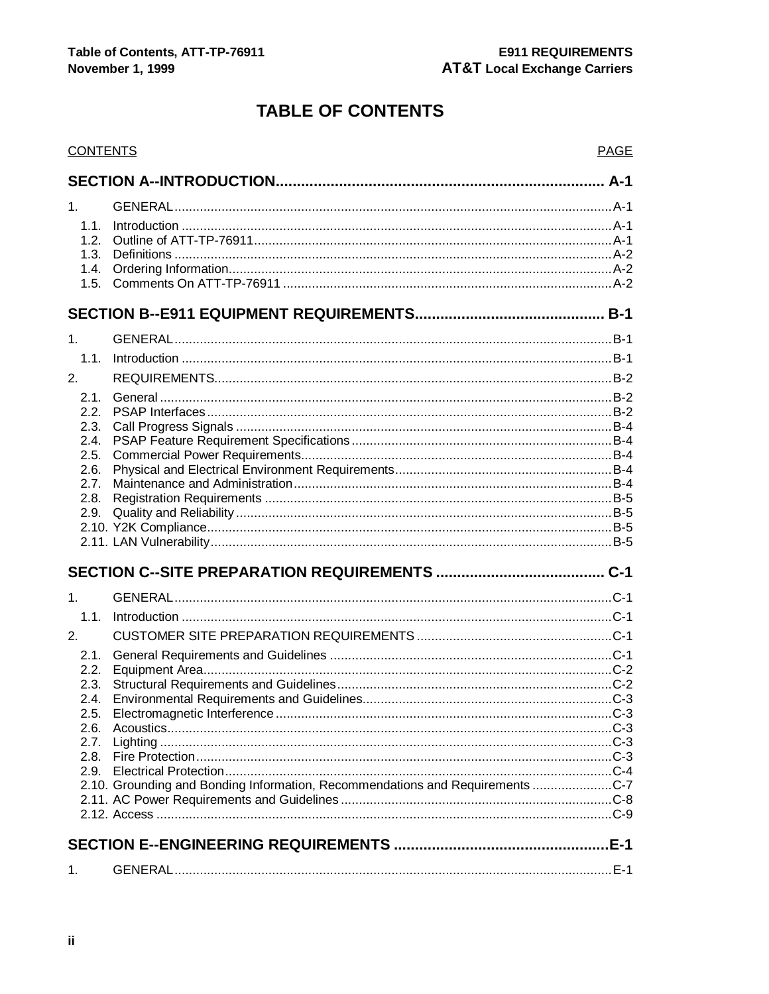# **TABLE OF CONTENTS**

| <b>CONTENTS</b> |                                                                               | <b>PAGE</b> |
|-----------------|-------------------------------------------------------------------------------|-------------|
|                 |                                                                               |             |
| 1 <sub>1</sub>  |                                                                               |             |
| 1.1.            |                                                                               |             |
| 1.2.            |                                                                               |             |
| 1.3.            |                                                                               |             |
| 1.4.            |                                                                               |             |
| 1.5.            |                                                                               |             |
|                 |                                                                               |             |
| 1 <sub>1</sub>  |                                                                               |             |
| 1.1.            |                                                                               |             |
| 2.              |                                                                               |             |
|                 |                                                                               |             |
| 2.1.<br>2.2.    |                                                                               |             |
| 2.3.            |                                                                               |             |
| 2.4.            |                                                                               |             |
| 2.5.            |                                                                               |             |
| 2.6.            |                                                                               |             |
| 2.7.            |                                                                               |             |
| 2.8.            |                                                                               |             |
| 2.9.            |                                                                               |             |
|                 |                                                                               |             |
|                 |                                                                               |             |
|                 |                                                                               |             |
| 1.              |                                                                               |             |
| 1.1.            |                                                                               |             |
| 2.              |                                                                               |             |
| 2.1.            |                                                                               |             |
| 2.2.            |                                                                               |             |
| 2.3.            |                                                                               |             |
| 2.4.            |                                                                               |             |
|                 |                                                                               |             |
| 2.6.            |                                                                               |             |
| 2.7.            |                                                                               |             |
| 2.8.            |                                                                               |             |
|                 | 2.10. Grounding and Bonding Information, Recommendations and Requirements C-7 |             |
|                 |                                                                               |             |
|                 |                                                                               |             |
|                 |                                                                               |             |
|                 |                                                                               |             |
| 1.              |                                                                               |             |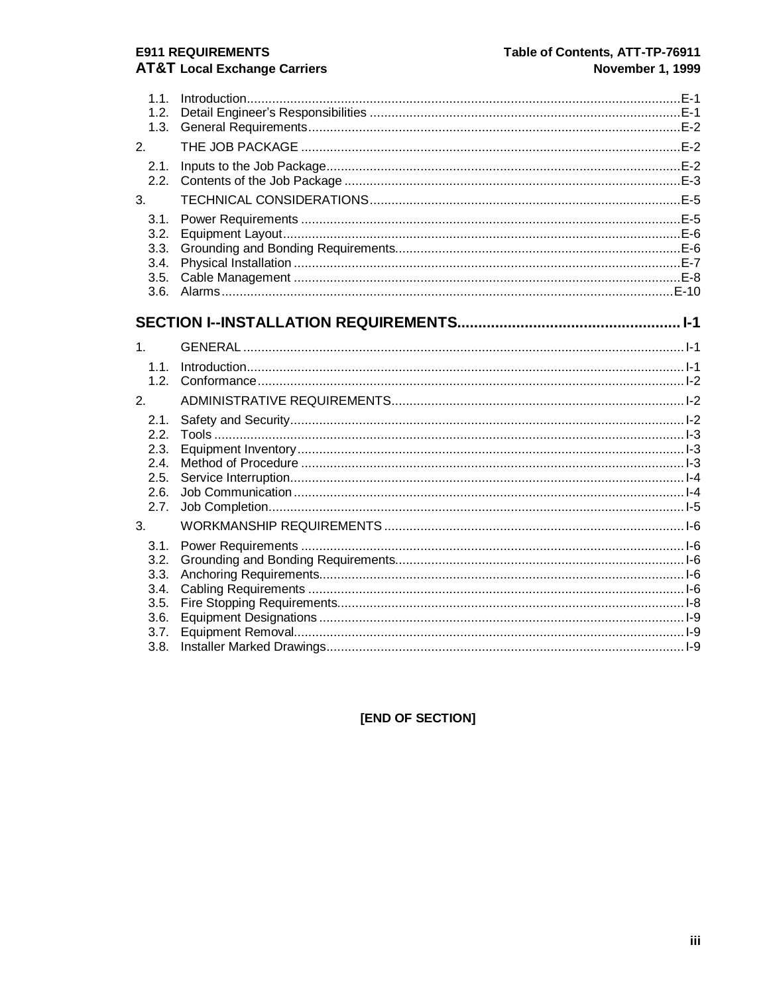# **E911 REQUIREMENTS**

# **AT&T Local Exchange Carriers**

| 1.1.<br>1.2.<br>1.3.<br>2.                   |  |
|----------------------------------------------|--|
| 2.1.<br>2.2.                                 |  |
| 3 <sub>1</sub>                               |  |
| 3.1.<br>3.2.<br>3.3.<br>3.4.<br>3.5.<br>3.6. |  |
|                                              |  |
| 1.                                           |  |
| 1.1.<br>1.2.                                 |  |
| 2.                                           |  |
| 2.1.                                         |  |
| 2.2.                                         |  |
| 2.3.<br>2.4.                                 |  |
| 2.5.                                         |  |
| 2.6.                                         |  |
| 2.7.                                         |  |
| 3.                                           |  |
| 3.1.                                         |  |
| 3.2.<br>3.3.                                 |  |
| 3.4.                                         |  |
| 3.5.                                         |  |
| 3.6.                                         |  |
| 3.7.                                         |  |
| 3.8.                                         |  |

# [END OF SECTION]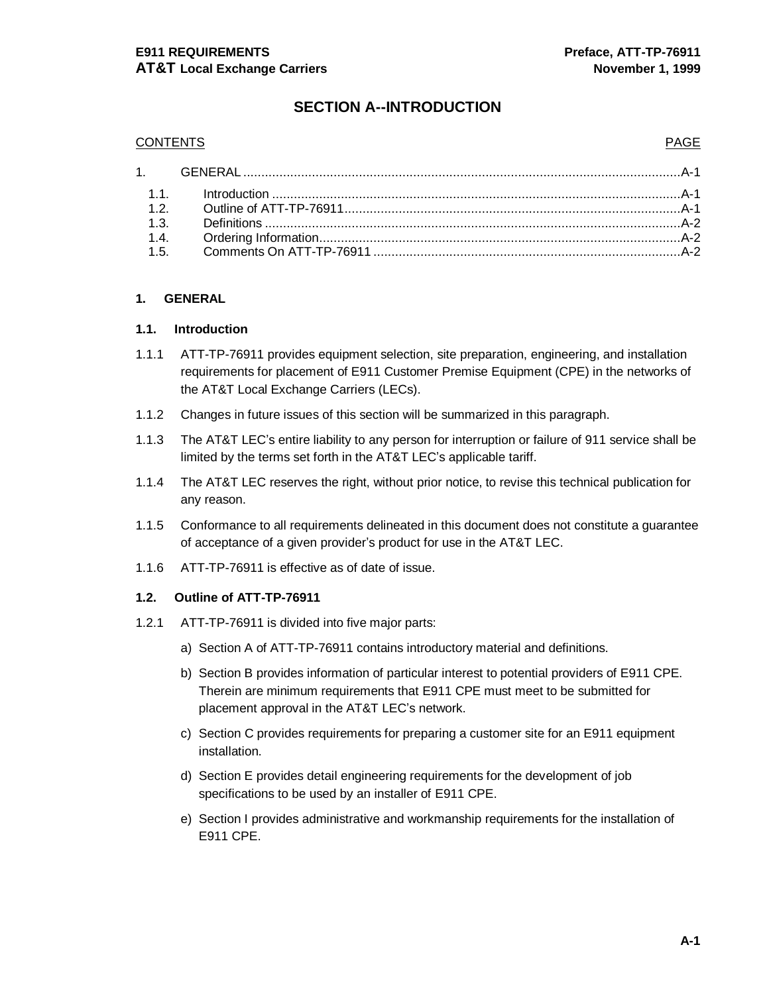# **SECTION A--INTRODUCTION**

#### CONTENTS PAGE

#### **1. GENERAL**

#### **1.1. Introduction**

- 1.1.1 ATT-TP-76911 provides equipment selection, site preparation, engineering, and installation requirements for placement of E911 Customer Premise Equipment (CPE) in the networks of the AT&T Local Exchange Carriers (LECs).
- 1.1.2 Changes in future issues of this section will be summarized in this paragraph.
- 1.1.3 The AT&T LEC's entire liability to any person for interruption or failure of 911 service shall be limited by the terms set forth in the AT&T LEC's applicable tariff.
- 1.1.4 The AT&T LEC reserves the right, without prior notice, to revise this technical publication for any reason.
- 1.1.5 Conformance to all requirements delineated in this document does not constitute a guarantee of acceptance of a given provider's product for use in the AT&T LEC.
- 1.1.6 ATT-TP-76911 is effective as of date of issue.

#### **1.2. Outline of ATT-TP-76911**

- 1.2.1 ATT-TP-76911 is divided into five major parts:
	- a) Section A of ATT-TP-76911 contains introductory material and definitions.
	- b) Section B provides information of particular interest to potential providers of E911 CPE. Therein are minimum requirements that E911 CPE must meet to be submitted for placement approval in the AT&T LEC's network.
	- c) Section C provides requirements for preparing a customer site for an E911 equipment installation.
	- d) Section E provides detail engineering requirements for the development of job specifications to be used by an installer of E911 CPE.
	- e) Section I provides administrative and workmanship requirements for the installation of E911 CPE.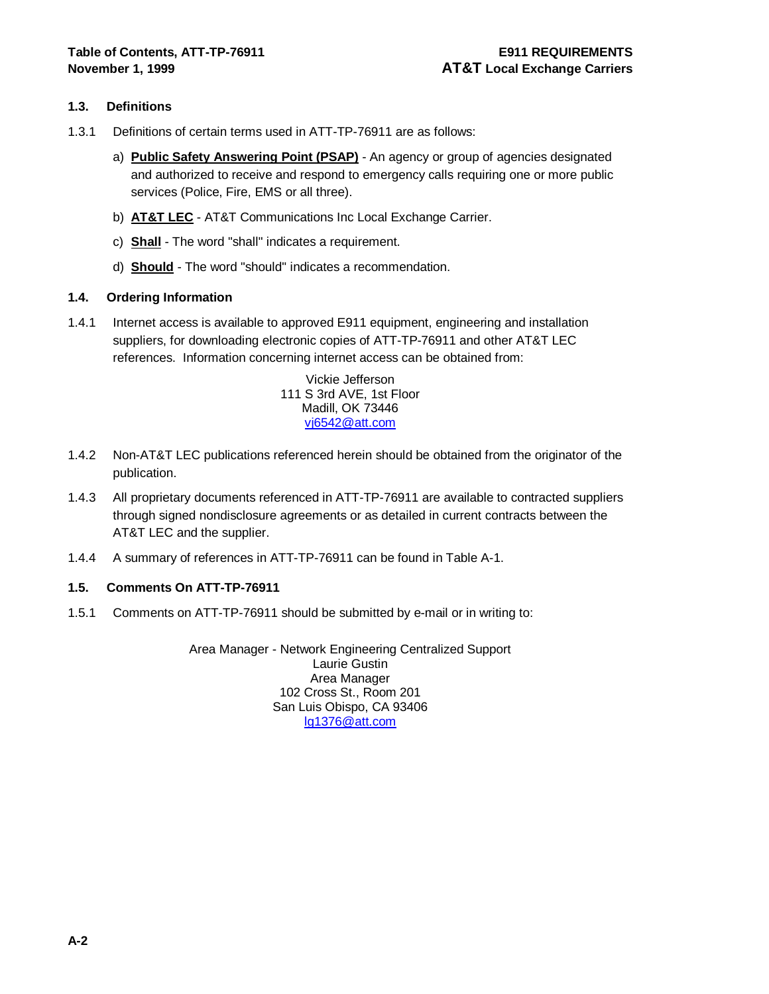### **1.3. Definitions**

- 1.3.1 Definitions of certain terms used in ATT-TP-76911 are as follows:
	- a) **Public Safety Answering Point (PSAP)** An agency or group of agencies designated and authorized to receive and respond to emergency calls requiring one or more public services (Police, Fire, EMS or all three).
	- b) **AT&T LEC** AT&T Communications Inc Local Exchange Carrier.
	- c) **Shall** The word "shall" indicates a requirement.
	- d) **Should** The word "should" indicates a recommendation.

#### **1.4. Ordering Information**

1.4.1 Internet access is available to approved E911 equipment, engineering and installation suppliers, for downloading electronic copies of ATT-TP-76911 and other AT&T LEC references. Information concerning internet access can be obtained from:

> Vickie Jefferson 111 S 3rd AVE, 1st Floor Madill, OK 73446 vj6542@att.com

- 1.4.2 Non-AT&T LEC publications referenced herein should be obtained from the originator of the publication.
- 1.4.3 All proprietary documents referenced in ATT-TP-76911 are available to contracted suppliers through signed nondisclosure agreements or as detailed in current contracts between the AT&T LEC and the supplier.
- 1.4.4 A summary of references in ATT-TP-76911 can be found in Table A-1.

#### **1.5. Comments On ATT-TP-76911**

1.5.1 Comments on ATT-TP-76911 should be submitted by e-mail or in writing to:

Area Manager - Network Engineering Centralized Support Laurie Gustin Area Manager 102 Cross St., Room 201 San Luis Obispo, CA 93406 lg1376@att.com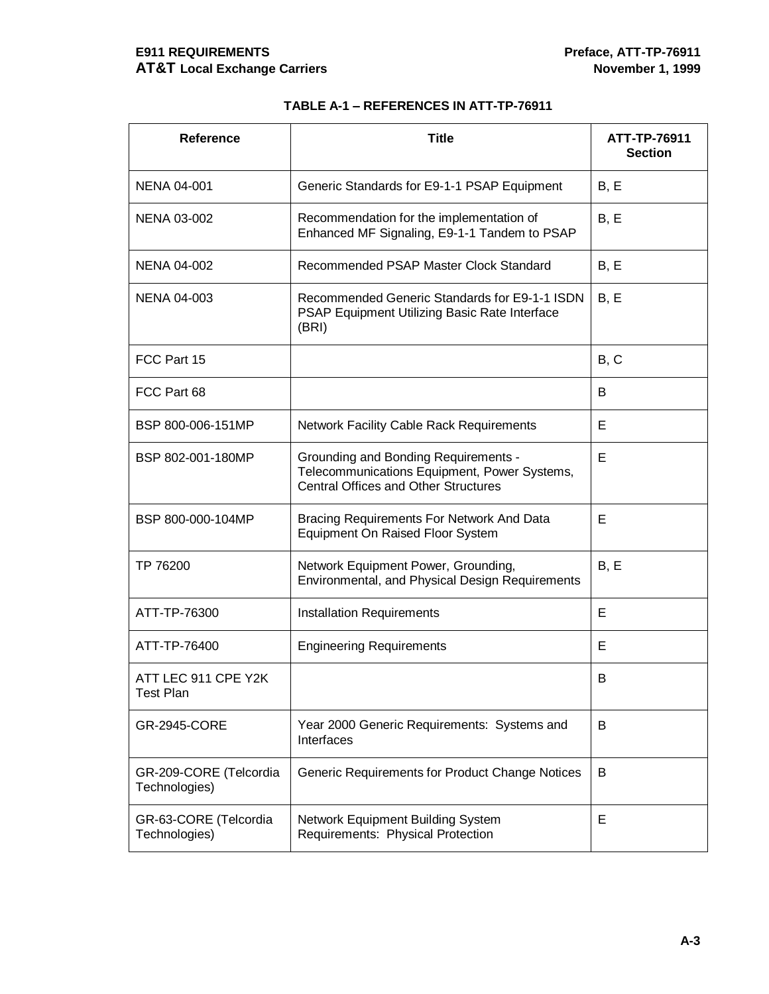# **E911 REQUIREMENTS Preface, ATT-TP-76911 AT&T Local Exchange Carriers November 1, 1999**

# **TABLE A-1 – REFERENCES IN ATT-TP-76911**

| <b>Reference</b>                        | <b>Title</b>                                                                                                                               | ATT-TP-76911<br><b>Section</b> |
|-----------------------------------------|--------------------------------------------------------------------------------------------------------------------------------------------|--------------------------------|
| <b>NENA 04-001</b>                      | Generic Standards for E9-1-1 PSAP Equipment                                                                                                | B, E                           |
| <b>NENA 03-002</b>                      | Recommendation for the implementation of<br>Enhanced MF Signaling, E9-1-1 Tandem to PSAP                                                   | B, E                           |
| <b>NENA 04-002</b>                      | Recommended PSAP Master Clock Standard                                                                                                     | B, E                           |
| <b>NENA 04-003</b>                      | Recommended Generic Standards for E9-1-1 ISDN<br>PSAP Equipment Utilizing Basic Rate Interface<br>(BRI)                                    | B, E                           |
| FCC Part 15                             |                                                                                                                                            | B, C                           |
| FCC Part 68                             |                                                                                                                                            | B                              |
| BSP 800-006-151MP                       | <b>Network Facility Cable Rack Requirements</b>                                                                                            | E                              |
| BSP 802-001-180MP                       | <b>Grounding and Bonding Requirements -</b><br>Telecommunications Equipment, Power Systems,<br><b>Central Offices and Other Structures</b> | Е                              |
| BSP 800-000-104MP                       | Bracing Requirements For Network And Data<br>Equipment On Raised Floor System                                                              | Е                              |
| TP 76200                                | Network Equipment Power, Grounding,<br>Environmental, and Physical Design Requirements                                                     | B, E                           |
| ATT-TP-76300                            | <b>Installation Requirements</b>                                                                                                           | E                              |
| ATT-TP-76400                            | <b>Engineering Requirements</b>                                                                                                            | Е                              |
| ATT LEC 911 CPE Y2K<br><b>Test Plan</b> |                                                                                                                                            | B                              |
| <b>GR-2945-CORE</b>                     | Year 2000 Generic Requirements: Systems and<br>Interfaces                                                                                  | B                              |
| GR-209-CORE (Telcordia<br>Technologies) | Generic Requirements for Product Change Notices                                                                                            | B                              |
| GR-63-CORE (Telcordia<br>Technologies)  | Network Equipment Building System<br>Requirements: Physical Protection                                                                     | Е                              |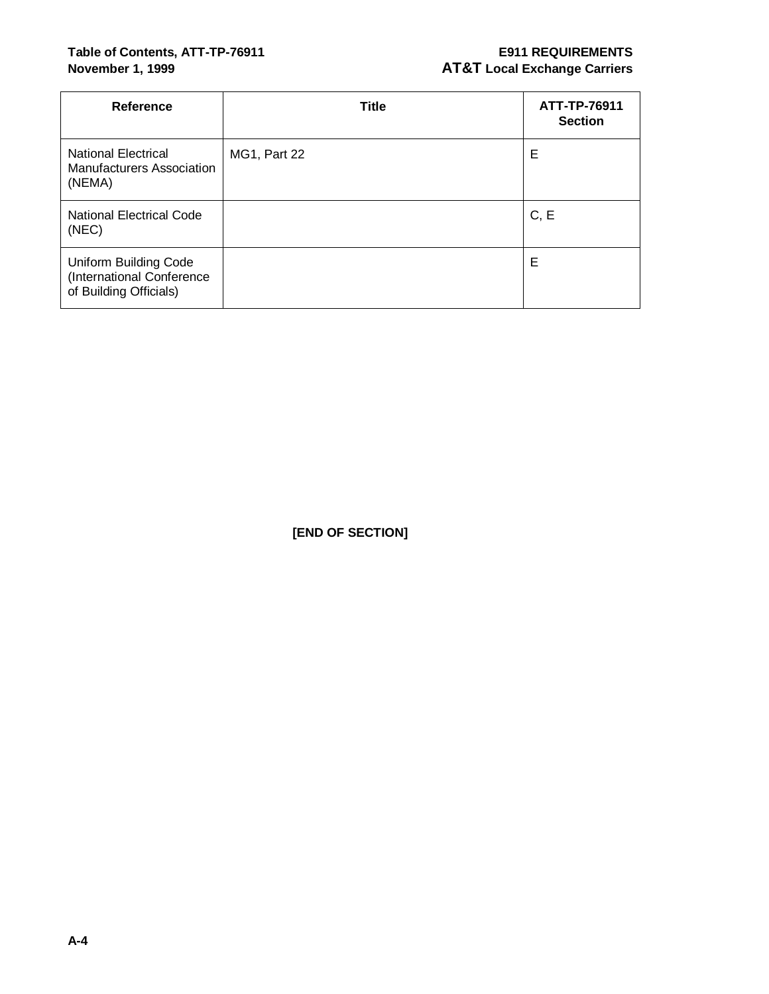# Table of Contents, ATT-TP-76911 **E911 REQUIREMENTS**

# **November 1, 1999 AT&T** Local Exchange Carriers

| <b>Reference</b>                                                             | <b>Title</b>        | ATT-TP-76911<br><b>Section</b> |
|------------------------------------------------------------------------------|---------------------|--------------------------------|
| <b>National Electrical</b><br>Manufacturers Association<br>(NEMA)            | <b>MG1, Part 22</b> | Е                              |
| <b>National Electrical Code</b><br>(NEC)                                     |                     | C, E                           |
| Uniform Building Code<br>(International Conference<br>of Building Officials) |                     | E                              |

**[END OF SECTION]**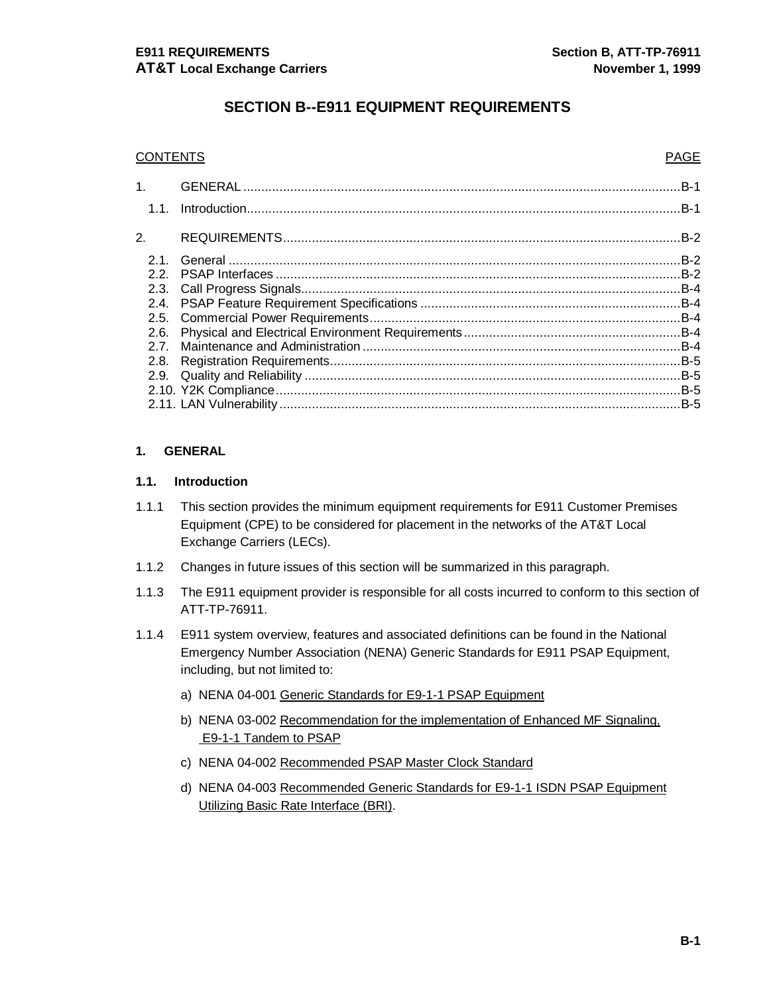# **SECTION B--E911 EQUIPMENT REQUIREMENTS**

#### **CONTENTS PAGE**

| 1.               |       |
|------------------|-------|
| 1.1.             |       |
| $\overline{2}$ . | .B-2  |
| 21               | $B-2$ |
| 22               |       |
|                  |       |
|                  |       |
|                  |       |
| 2.6.             |       |
| 27               |       |
| 2.8.             |       |
|                  |       |
|                  |       |
|                  |       |

#### **1. GENERAL**

#### **1.1. Introduction**

- 1.1.1 This section provides the minimum equipment requirements for E911 Customer Premises Equipment (CPE) to be considered for placement in the networks of the AT&T Local Exchange Carriers (LECs).
- 1.1.2 Changes in future issues of this section will be summarized in this paragraph.
- 1.1.3 The E911 equipment provider is responsible for all costs incurred to conform to this section of ATT-TP-76911.
- 1.1.4 E911 system overview, features and associated definitions can be found in the National Emergency Number Association (NENA) Generic Standards for E911 PSAP Equipment, including, but not limited to:
	- a) NENA 04-001 Generic Standards for E9-1-1 PSAP Equipment
	- b) NENA 03-002 Recommendation for the implementation of Enhanced MF Signaling, E9-1-1 Tandem to PSAP
	- c) NENA 04-002 Recommended PSAP Master Clock Standard
	- d) NENA 04-003 Recommended Generic Standards for E9-1-1 ISDN PSAP Equipment Utilizing Basic Rate Interface (BRI).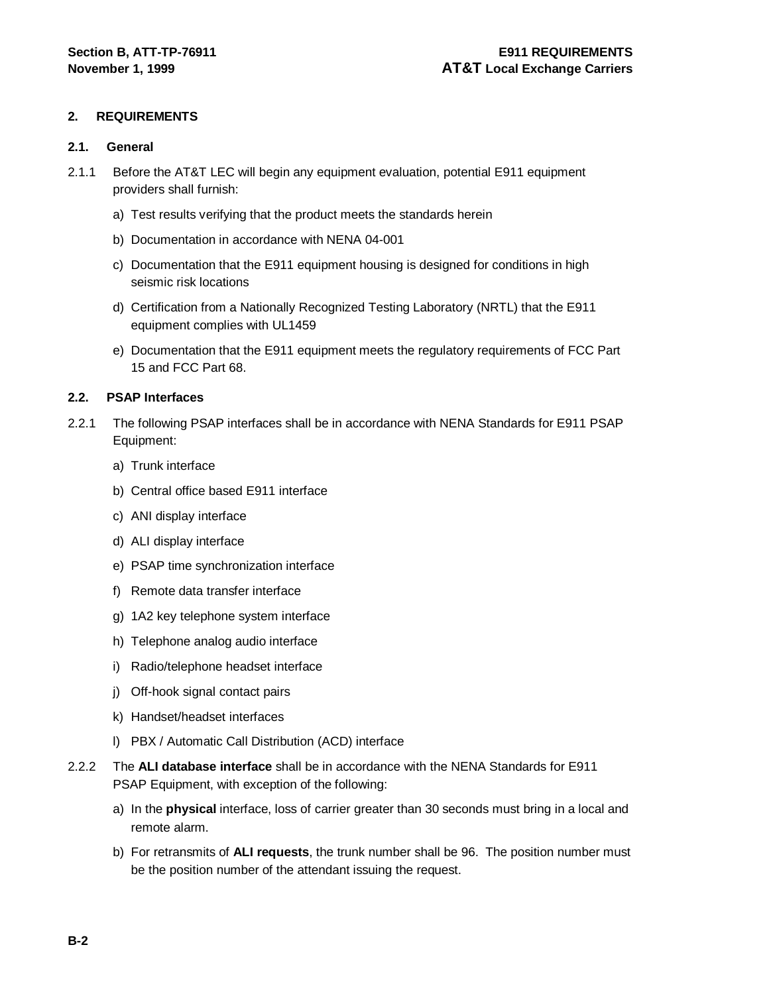#### **2. REQUIREMENTS**

#### **2.1. General**

- 2.1.1 Before the AT&T LEC will begin any equipment evaluation, potential E911 equipment providers shall furnish:
	- a) Test results verifying that the product meets the standards herein
	- b) Documentation in accordance with NENA 04-001
	- c) Documentation that the E911 equipment housing is designed for conditions in high seismic risk locations
	- d) Certification from a Nationally Recognized Testing Laboratory (NRTL) that the E911 equipment complies with UL1459
	- e) Documentation that the E911 equipment meets the regulatory requirements of FCC Part 15 and FCC Part 68.

#### **2.2. PSAP Interfaces**

- 2.2.1 The following PSAP interfaces shall be in accordance with NENA Standards for E911 PSAP Equipment:
	- a) Trunk interface
	- b) Central office based E911 interface
	- c) ANI display interface
	- d) ALI display interface
	- e) PSAP time synchronization interface
	- f) Remote data transfer interface
	- g) 1A2 key telephone system interface
	- h) Telephone analog audio interface
	- i) Radio/telephone headset interface
	- j) Off-hook signal contact pairs
	- k) Handset/headset interfaces
	- l) PBX / Automatic Call Distribution (ACD) interface
- 2.2.2 The **ALI database interface** shall be in accordance with the NENA Standards for E911 PSAP Equipment, with exception of the following:
	- a) In the **physical** interface, loss of carrier greater than 30 seconds must bring in a local and remote alarm.
	- b) For retransmits of **ALI requests**, the trunk number shall be 96. The position number must be the position number of the attendant issuing the request.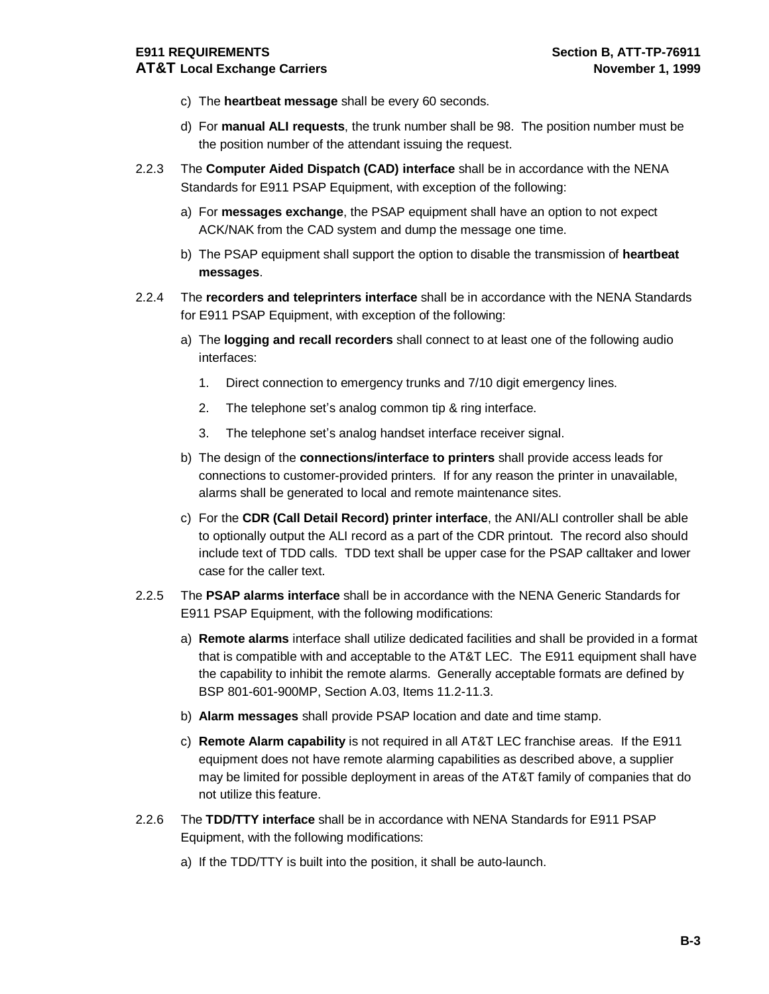- c) The **heartbeat message** shall be every 60 seconds.
- d) For **manual ALI requests**, the trunk number shall be 98. The position number must be the position number of the attendant issuing the request.
- 2.2.3 The **Computer Aided Dispatch (CAD) interface** shall be in accordance with the NENA Standards for E911 PSAP Equipment, with exception of the following:
	- a) For **messages exchange**, the PSAP equipment shall have an option to not expect ACK/NAK from the CAD system and dump the message one time.
	- b) The PSAP equipment shall support the option to disable the transmission of **heartbeat messages**.
- 2.2.4 The **recorders and teleprinters interface** shall be in accordance with the NENA Standards for E911 PSAP Equipment, with exception of the following:
	- a) The **logging and recall recorders** shall connect to at least one of the following audio interfaces:
		- 1. Direct connection to emergency trunks and 7/10 digit emergency lines.
		- 2. The telephone set's analog common tip & ring interface.
		- 3. The telephone set's analog handset interface receiver signal.
	- b) The design of the **connections/interface to printers** shall provide access leads for connections to customer-provided printers. If for any reason the printer in unavailable, alarms shall be generated to local and remote maintenance sites.
	- c) For the **CDR (Call Detail Record) printer interface**, the ANI/ALI controller shall be able to optionally output the ALI record as a part of the CDR printout. The record also should include text of TDD calls. TDD text shall be upper case for the PSAP calltaker and lower case for the caller text.
- 2.2.5 The **PSAP alarms interface** shall be in accordance with the NENA Generic Standards for E911 PSAP Equipment, with the following modifications:
	- a) **Remote alarms** interface shall utilize dedicated facilities and shall be provided in a format that is compatible with and acceptable to the AT&T LEC. The E911 equipment shall have the capability to inhibit the remote alarms. Generally acceptable formats are defined by BSP 801-601-900MP, Section A.03, Items 11.2-11.3.
	- b) **Alarm messages** shall provide PSAP location and date and time stamp.
	- c) **Remote Alarm capability** is not required in all AT&T LEC franchise areas. If the E911 equipment does not have remote alarming capabilities as described above, a supplier may be limited for possible deployment in areas of the AT&T family of companies that do not utilize this feature.
- 2.2.6 The **TDD/TTY interface** shall be in accordance with NENA Standards for E911 PSAP Equipment, with the following modifications:
	- a) If the TDD/TTY is built into the position, it shall be auto-launch.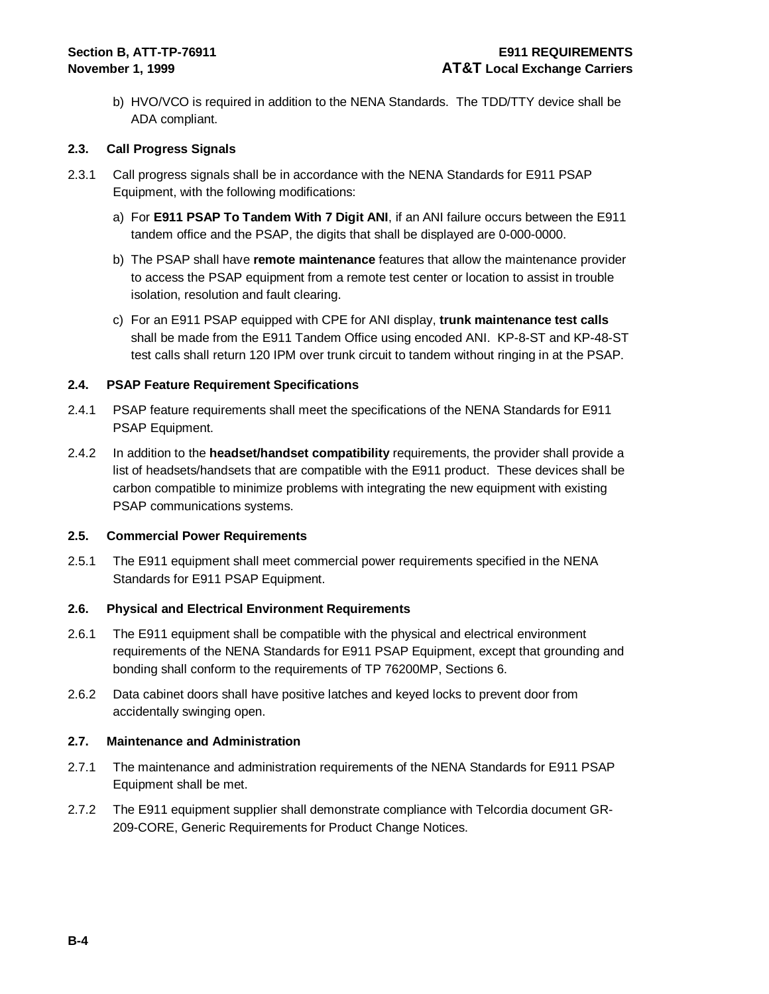b) HVO/VCO is required in addition to the NENA Standards. The TDD/TTY device shall be ADA compliant.

#### **2.3. Call Progress Signals**

- 2.3.1 Call progress signals shall be in accordance with the NENA Standards for E911 PSAP Equipment, with the following modifications:
	- a) For **E911 PSAP To Tandem With 7 Digit ANI**, if an ANI failure occurs between the E911 tandem office and the PSAP, the digits that shall be displayed are 0-000-0000.
	- b) The PSAP shall have **remote maintenance** features that allow the maintenance provider to access the PSAP equipment from a remote test center or location to assist in trouble isolation, resolution and fault clearing.
	- c) For an E911 PSAP equipped with CPE for ANI display, **trunk maintenance test calls**  shall be made from the E911 Tandem Office using encoded ANI. KP-8-ST and KP-48-ST test calls shall return 120 IPM over trunk circuit to tandem without ringing in at the PSAP.

#### **2.4. PSAP Feature Requirement Specifications**

- 2.4.1 PSAP feature requirements shall meet the specifications of the NENA Standards for E911 PSAP Equipment.
- 2.4.2 In addition to the **headset/handset compatibility** requirements, the provider shall provide a list of headsets/handsets that are compatible with the E911 product. These devices shall be carbon compatible to minimize problems with integrating the new equipment with existing PSAP communications systems.

#### **2.5. Commercial Power Requirements**

2.5.1 The E911 equipment shall meet commercial power requirements specified in the NENA Standards for E911 PSAP Equipment.

#### **2.6. Physical and Electrical Environment Requirements**

- 2.6.1 The E911 equipment shall be compatible with the physical and electrical environment requirements of the NENA Standards for E911 PSAP Equipment, except that grounding and bonding shall conform to the requirements of TP 76200MP, Sections 6.
- 2.6.2 Data cabinet doors shall have positive latches and keyed locks to prevent door from accidentally swinging open.

#### **2.7. Maintenance and Administration**

- 2.7.1 The maintenance and administration requirements of the NENA Standards for E911 PSAP Equipment shall be met.
- 2.7.2 The E911 equipment supplier shall demonstrate compliance with Telcordia document GR-209-CORE, Generic Requirements for Product Change Notices.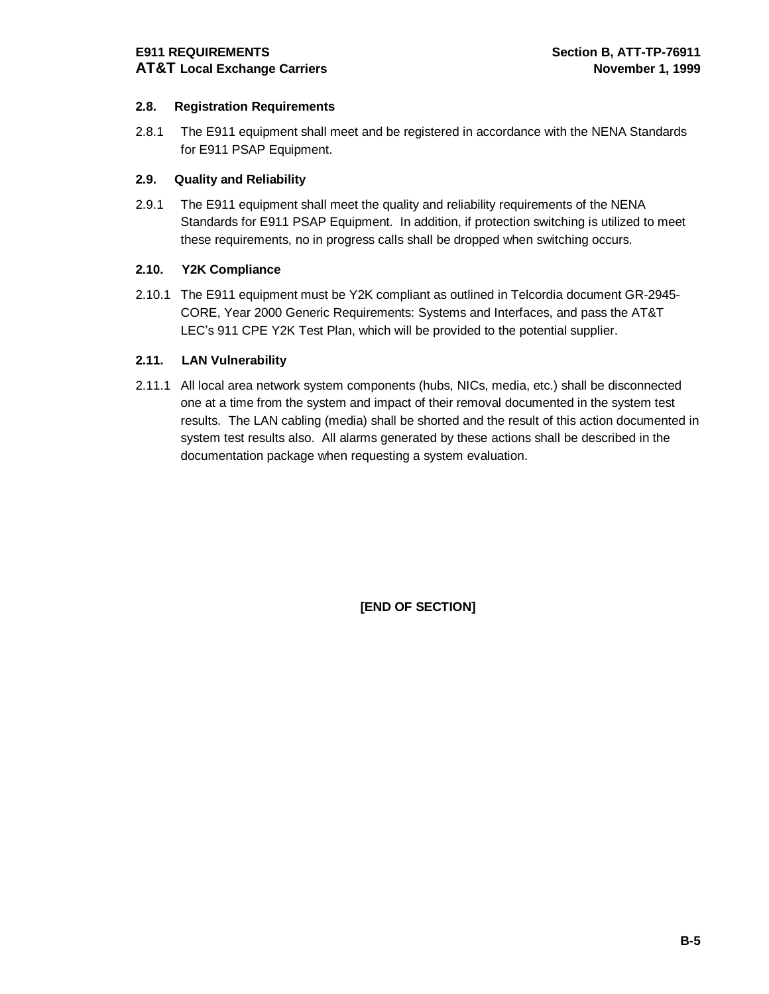## **2.8. Registration Requirements**

2.8.1 The E911 equipment shall meet and be registered in accordance with the NENA Standards for E911 PSAP Equipment.

#### **2.9. Quality and Reliability**

2.9.1 The E911 equipment shall meet the quality and reliability requirements of the NENA Standards for E911 PSAP Equipment. In addition, if protection switching is utilized to meet these requirements, no in progress calls shall be dropped when switching occurs.

#### **2.10. Y2K Compliance**

2.10.1 The E911 equipment must be Y2K compliant as outlined in Telcordia document GR-2945- CORE, Year 2000 Generic Requirements: Systems and Interfaces, and pass the AT&T LEC's 911 CPE Y2K Test Plan, which will be provided to the potential supplier.

#### **2.11. LAN Vulnerability**

2.11.1 All local area network system components (hubs, NICs, media, etc.) shall be disconnected one at a time from the system and impact of their removal documented in the system test results. The LAN cabling (media) shall be shorted and the result of this action documented in system test results also. All alarms generated by these actions shall be described in the documentation package when requesting a system evaluation.

**[END OF SECTION]**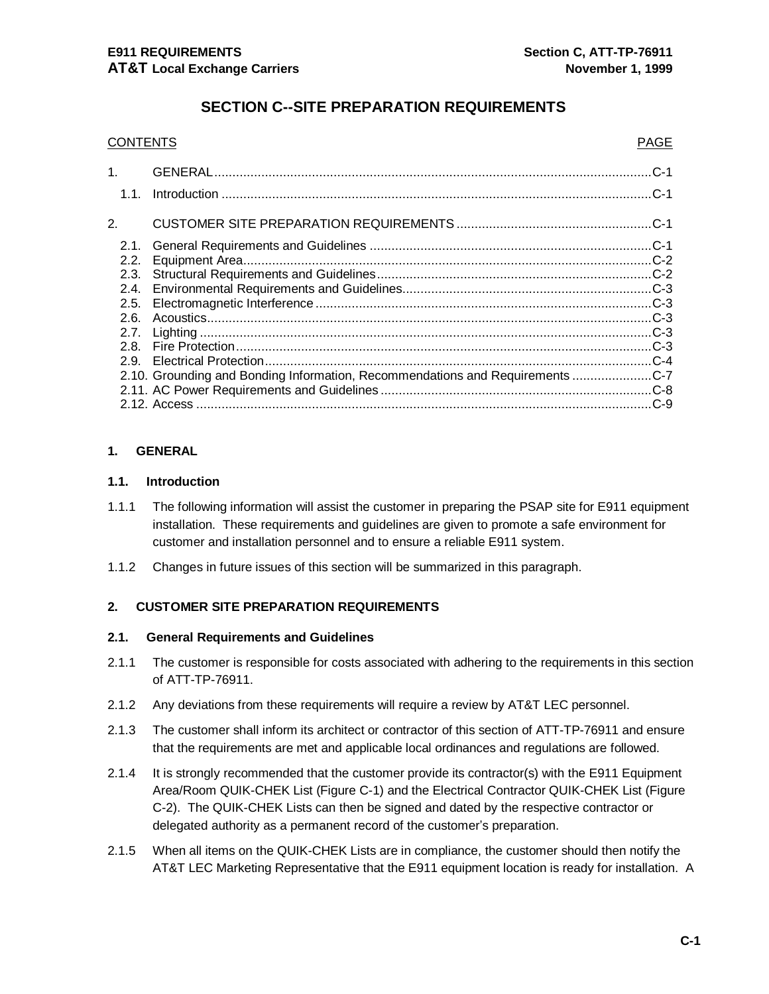# **SECTION C--SITE PREPARATION REQUIREMENTS**

| <b>CONTENTS</b> |                                                                               |        |
|-----------------|-------------------------------------------------------------------------------|--------|
| 1 <sup>1</sup>  |                                                                               |        |
| 1.1.            |                                                                               |        |
| 2.              |                                                                               |        |
| 2.1.            |                                                                               | $.C-1$ |
| 2.2.            |                                                                               |        |
| 2.3.            |                                                                               |        |
| 2.4.            |                                                                               |        |
| 2.5.            |                                                                               |        |
| 2.6.            |                                                                               |        |
| 2.7.            |                                                                               |        |
| 2.8.            |                                                                               |        |
| 2.9.            |                                                                               |        |
|                 | 2.10. Grounding and Bonding Information, Recommendations and Requirements C-7 |        |
|                 |                                                                               |        |
|                 |                                                                               |        |
|                 |                                                                               |        |

#### **1. GENERAL**

#### **1.1. Introduction**

- 1.1.1 The following information will assist the customer in preparing the PSAP site for E911 equipment installation. These requirements and guidelines are given to promote a safe environment for customer and installation personnel and to ensure a reliable E911 system.
- 1.1.2 Changes in future issues of this section will be summarized in this paragraph.

#### **2. CUSTOMER SITE PREPARATION REQUIREMENTS**

#### **2.1. General Requirements and Guidelines**

- 2.1.1 The customer is responsible for costs associated with adhering to the requirements in this section of ATT-TP-76911.
- 2.1.2 Any deviations from these requirements will require a review by AT&T LEC personnel.
- 2.1.3 The customer shall inform its architect or contractor of this section of ATT-TP-76911 and ensure that the requirements are met and applicable local ordinances and regulations are followed.
- 2.1.4 It is strongly recommended that the customer provide its contractor(s) with the E911 Equipment Area/Room QUIK-CHEK List (Figure C-1) and the Electrical Contractor QUIK-CHEK List (Figure C-2). The QUIK-CHEK Lists can then be signed and dated by the respective contractor or delegated authority as a permanent record of the customer's preparation.
- 2.1.5 When all items on the QUIK-CHEK Lists are in compliance, the customer should then notify the AT&T LEC Marketing Representative that the E911 equipment location is ready for installation. A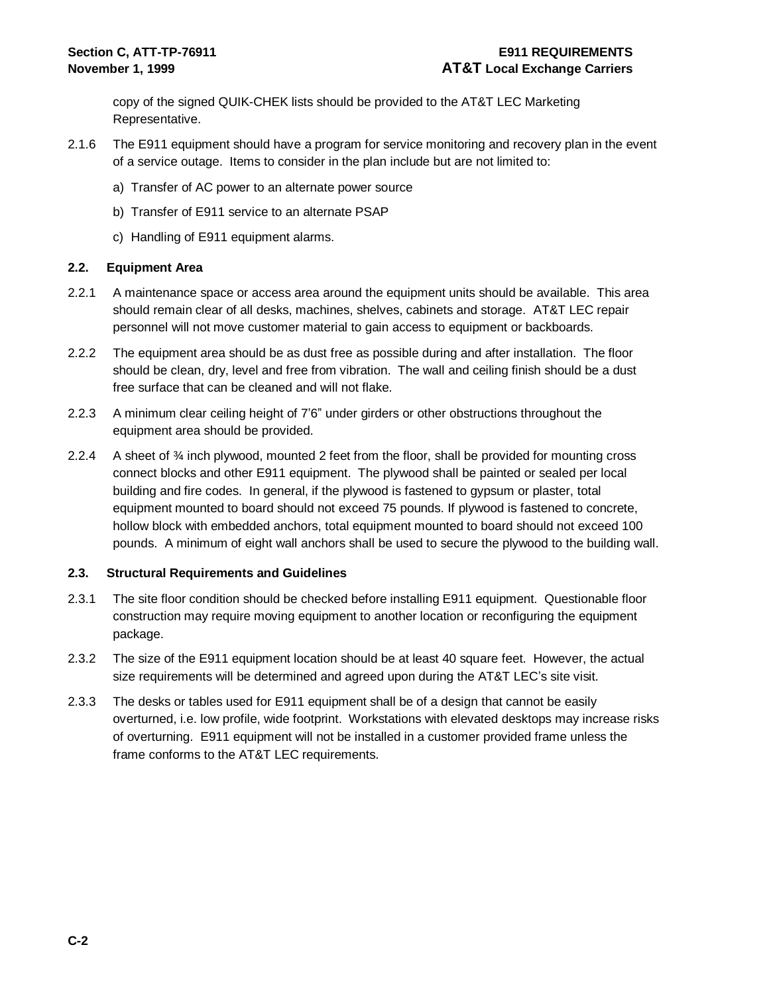copy of the signed QUIK-CHEK lists should be provided to the AT&T LEC Marketing Representative.

- 2.1.6 The E911 equipment should have a program for service monitoring and recovery plan in the event of a service outage. Items to consider in the plan include but are not limited to:
	- a) Transfer of AC power to an alternate power source
	- b) Transfer of E911 service to an alternate PSAP
	- c) Handling of E911 equipment alarms.

#### **2.2. Equipment Area**

- 2.2.1 A maintenance space or access area around the equipment units should be available. This area should remain clear of all desks, machines, shelves, cabinets and storage. AT&T LEC repair personnel will not move customer material to gain access to equipment or backboards.
- 2.2.2 The equipment area should be as dust free as possible during and after installation. The floor should be clean, dry, level and free from vibration. The wall and ceiling finish should be a dust free surface that can be cleaned and will not flake.
- 2.2.3 A minimum clear ceiling height of 7'6" under girders or other obstructions throughout the equipment area should be provided.
- 2.2.4 A sheet of ¾ inch plywood, mounted 2 feet from the floor, shall be provided for mounting cross connect blocks and other E911 equipment. The plywood shall be painted or sealed per local building and fire codes. In general, if the plywood is fastened to gypsum or plaster, total equipment mounted to board should not exceed 75 pounds. If plywood is fastened to concrete, hollow block with embedded anchors, total equipment mounted to board should not exceed 100 pounds. A minimum of eight wall anchors shall be used to secure the plywood to the building wall.

#### **2.3. Structural Requirements and Guidelines**

- 2.3.1 The site floor condition should be checked before installing E911 equipment. Questionable floor construction may require moving equipment to another location or reconfiguring the equipment package.
- 2.3.2 The size of the E911 equipment location should be at least 40 square feet. However, the actual size requirements will be determined and agreed upon during the AT&T LEC's site visit.
- 2.3.3 The desks or tables used for E911 equipment shall be of a design that cannot be easily overturned, i.e. low profile, wide footprint. Workstations with elevated desktops may increase risks of overturning. E911 equipment will not be installed in a customer provided frame unless the frame conforms to the AT&T LEC requirements.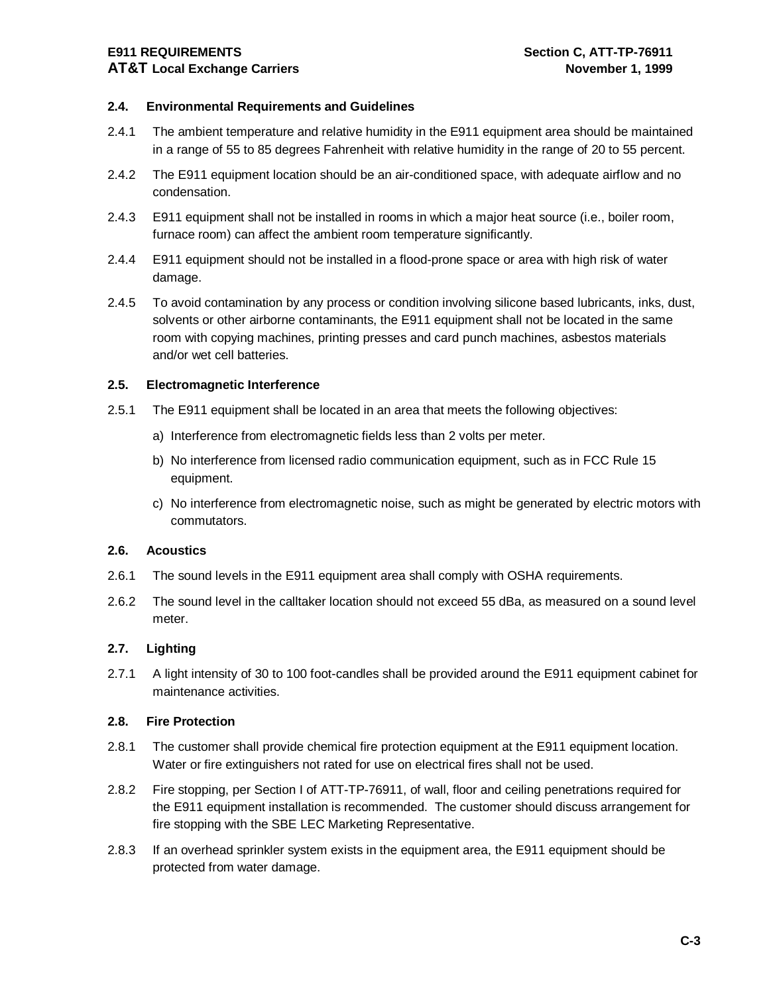## **E911 REQUIREMENTS Section C, ATT-TP-76911 AT&T Local Exchange Carriers November 1, 1999**

#### **2.4. Environmental Requirements and Guidelines**

- 2.4.1 The ambient temperature and relative humidity in the E911 equipment area should be maintained in a range of 55 to 85 degrees Fahrenheit with relative humidity in the range of 20 to 55 percent.
- 2.4.2 The E911 equipment location should be an air-conditioned space, with adequate airflow and no condensation.
- 2.4.3 E911 equipment shall not be installed in rooms in which a major heat source (i.e., boiler room, furnace room) can affect the ambient room temperature significantly.
- 2.4.4 E911 equipment should not be installed in a flood-prone space or area with high risk of water damage.
- 2.4.5 To avoid contamination by any process or condition involving silicone based lubricants, inks, dust, solvents or other airborne contaminants, the E911 equipment shall not be located in the same room with copying machines, printing presses and card punch machines, asbestos materials and/or wet cell batteries.

#### **2.5. Electromagnetic Interference**

- 2.5.1 The E911 equipment shall be located in an area that meets the following objectives:
	- a) Interference from electromagnetic fields less than 2 volts per meter.
	- b) No interference from licensed radio communication equipment, such as in FCC Rule 15 equipment.
	- c) No interference from electromagnetic noise, such as might be generated by electric motors with commutators.

#### **2.6. Acoustics**

- 2.6.1 The sound levels in the E911 equipment area shall comply with OSHA requirements.
- 2.6.2 The sound level in the calltaker location should not exceed 55 dBa, as measured on a sound level meter.

#### **2.7. Lighting**

2.7.1 A light intensity of 30 to 100 foot-candles shall be provided around the E911 equipment cabinet for maintenance activities.

#### **2.8. Fire Protection**

- 2.8.1 The customer shall provide chemical fire protection equipment at the E911 equipment location. Water or fire extinguishers not rated for use on electrical fires shall not be used.
- 2.8.2 Fire stopping, per Section I of ATT-TP-76911, of wall, floor and ceiling penetrations required for the E911 equipment installation is recommended. The customer should discuss arrangement for fire stopping with the SBE LEC Marketing Representative.
- 2.8.3 If an overhead sprinkler system exists in the equipment area, the E911 equipment should be protected from water damage.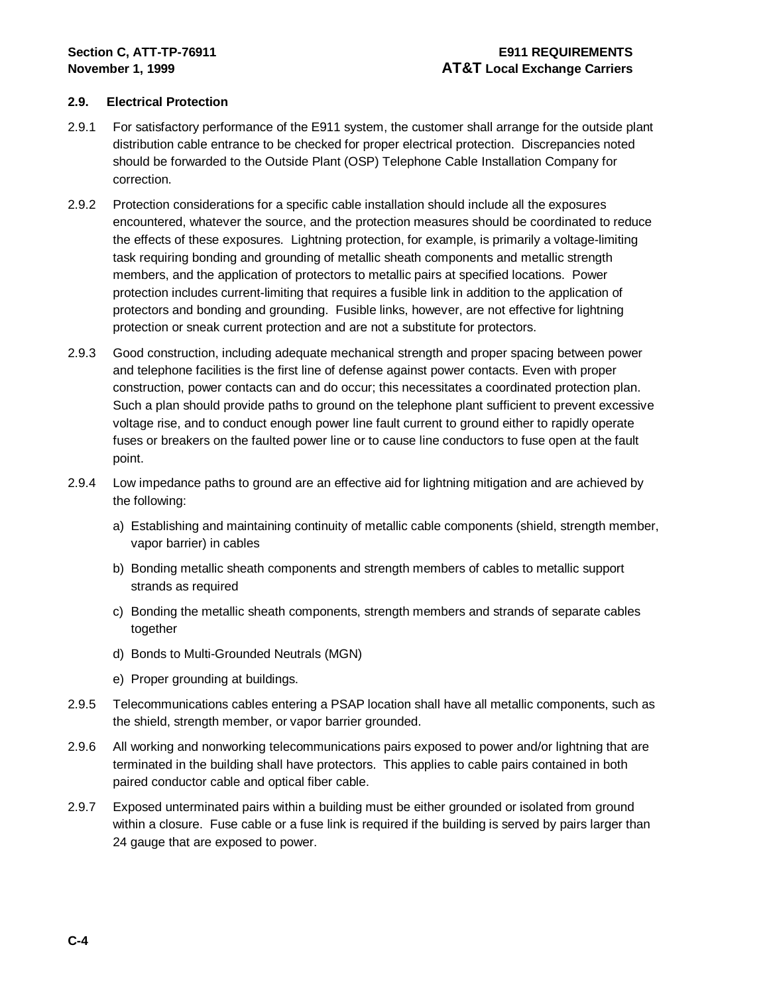#### **2.9. Electrical Protection**

- 2.9.1 For satisfactory performance of the E911 system, the customer shall arrange for the outside plant distribution cable entrance to be checked for proper electrical protection. Discrepancies noted should be forwarded to the Outside Plant (OSP) Telephone Cable Installation Company for correction.
- 2.9.2 Protection considerations for a specific cable installation should include all the exposures encountered, whatever the source, and the protection measures should be coordinated to reduce the effects of these exposures. Lightning protection, for example, is primarily a voltage-limiting task requiring bonding and grounding of metallic sheath components and metallic strength members, and the application of protectors to metallic pairs at specified locations. Power protection includes current-limiting that requires a fusible link in addition to the application of protectors and bonding and grounding. Fusible links, however, are not effective for lightning protection or sneak current protection and are not a substitute for protectors.
- 2.9.3 Good construction, including adequate mechanical strength and proper spacing between power and telephone facilities is the first line of defense against power contacts. Even with proper construction, power contacts can and do occur; this necessitates a coordinated protection plan. Such a plan should provide paths to ground on the telephone plant sufficient to prevent excessive voltage rise, and to conduct enough power line fault current to ground either to rapidly operate fuses or breakers on the faulted power line or to cause line conductors to fuse open at the fault point.
- 2.9.4 Low impedance paths to ground are an effective aid for lightning mitigation and are achieved by the following:
	- a) Establishing and maintaining continuity of metallic cable components (shield, strength member, vapor barrier) in cables
	- b) Bonding metallic sheath components and strength members of cables to metallic support strands as required
	- c) Bonding the metallic sheath components, strength members and strands of separate cables together
	- d) Bonds to Multi-Grounded Neutrals (MGN)
	- e) Proper grounding at buildings.
- 2.9.5 Telecommunications cables entering a PSAP location shall have all metallic components, such as the shield, strength member, or vapor barrier grounded.
- 2.9.6 All working and nonworking telecommunications pairs exposed to power and/or lightning that are terminated in the building shall have protectors. This applies to cable pairs contained in both paired conductor cable and optical fiber cable.
- 2.9.7 Exposed unterminated pairs within a building must be either grounded or isolated from ground within a closure. Fuse cable or a fuse link is required if the building is served by pairs larger than 24 gauge that are exposed to power.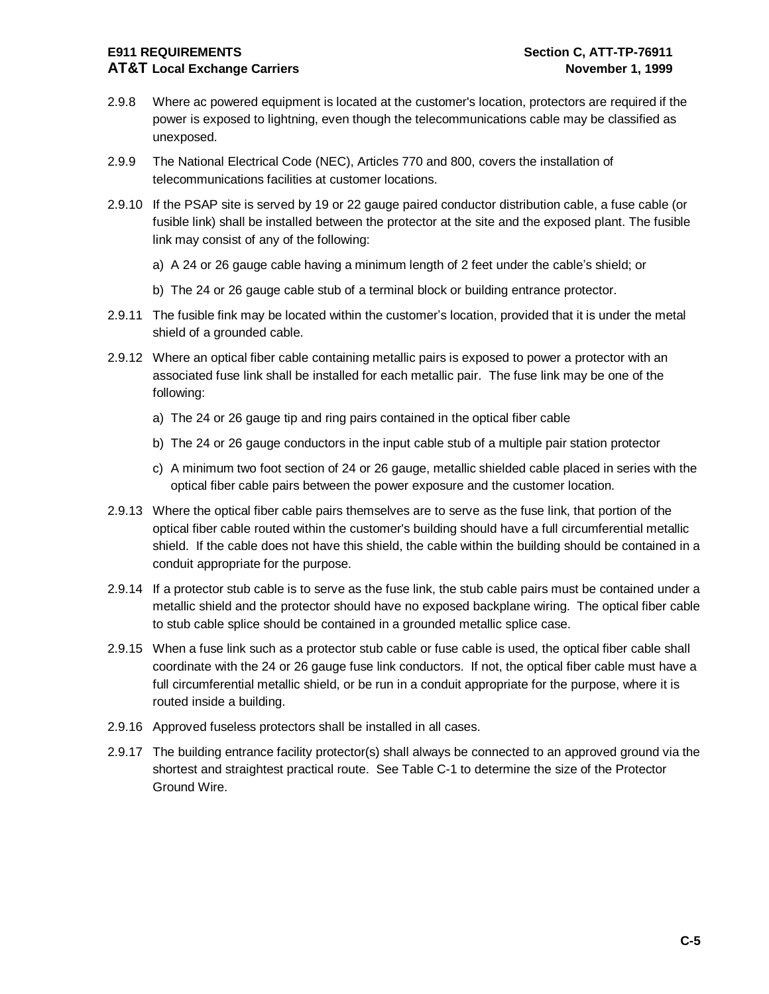### **E911 REQUIREMENTS Section C, ATT-TP-76911 AT&T Local Exchange Carriers November 1, 1999**

- 2.9.8 Where ac powered equipment is located at the customer's location, protectors are required if the power is exposed to lightning, even though the telecommunications cable may be classified as unexposed.
- 2.9.9 The National Electrical Code (NEC), Articles 770 and 800, covers the installation of telecommunications facilities at customer locations.
- 2.9.10 If the PSAP site is served by 19 or 22 gauge paired conductor distribution cable, a fuse cable (or fusible link) shall be installed between the protector at the site and the exposed plant. The fusible link may consist of any of the following:
	- a) A 24 or 26 gauge cable having a minimum length of 2 feet under the cable's shield; or
	- b) The 24 or 26 gauge cable stub of a terminal block or building entrance protector.
- 2.9.11 The fusible fink may be located within the customer's location, provided that it is under the metal shield of a grounded cable.
- 2.9.12 Where an optical fiber cable containing metallic pairs is exposed to power a protector with an associated fuse link shall be installed for each metallic pair. The fuse link may be one of the following:
	- a) The 24 or 26 gauge tip and ring pairs contained in the optical fiber cable
	- b) The 24 or 26 gauge conductors in the input cable stub of a multiple pair station protector
	- c) A minimum two foot section of 24 or 26 gauge, metallic shielded cable placed in series with the optical fiber cable pairs between the power exposure and the customer location.
- 2.9.13 Where the optical fiber cable pairs themselves are to serve as the fuse link, that portion of the optical fiber cable routed within the customer's building should have a full circumferential metallic shield. If the cable does not have this shield, the cable within the building should be contained in a conduit appropriate for the purpose.
- 2.9.14 If a protector stub cable is to serve as the fuse link, the stub cable pairs must be contained under a metallic shield and the protector should have no exposed backplane wiring. The optical fiber cable to stub cable splice should be contained in a grounded metallic splice case.
- 2.9.15 When a fuse link such as a protector stub cable or fuse cable is used, the optical fiber cable shall coordinate with the 24 or 26 gauge fuse link conductors. If not, the optical fiber cable must have a full circumferential metallic shield, or be run in a conduit appropriate for the purpose, where it is routed inside a building.
- 2.9.16 Approved fuseless protectors shall be installed in all cases.
- 2.9.17 The building entrance facility protector(s) shall always be connected to an approved ground via the shortest and straightest practical route. See Table C-1 to determine the size of the Protector Ground Wire.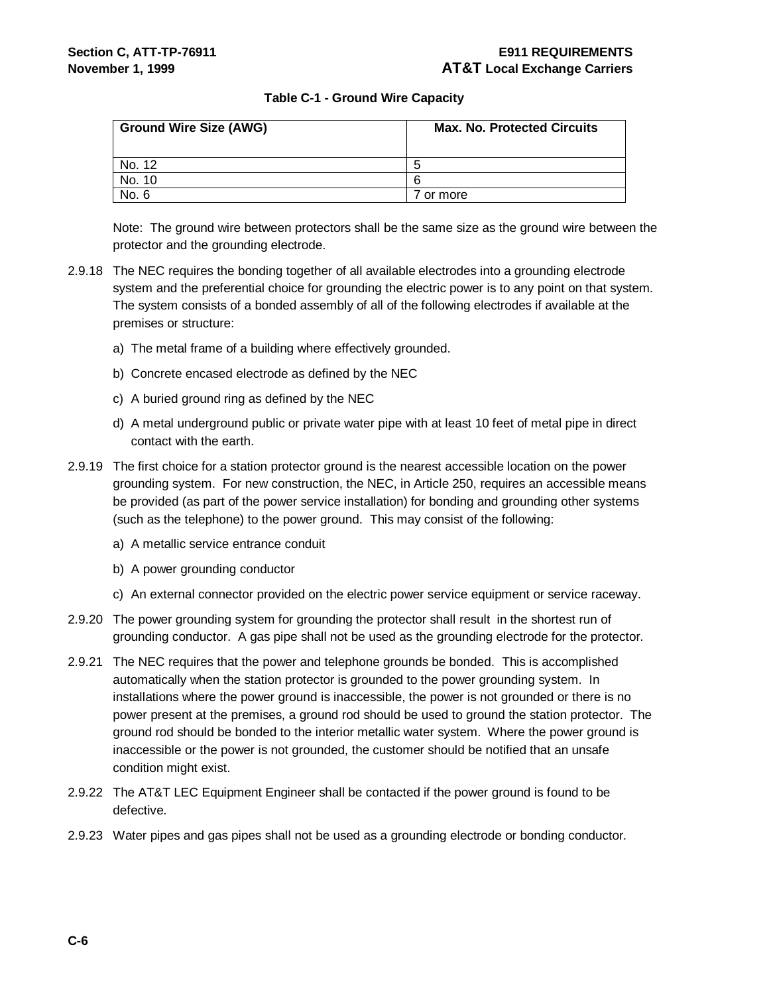#### **Table C-1 - Ground Wire Capacity**

| <b>Ground Wire Size (AWG)</b> | <b>Max. No. Protected Circuits</b> |  |  |
|-------------------------------|------------------------------------|--|--|
| No. 12                        | b                                  |  |  |
| No. 10                        | 6                                  |  |  |
| No. 6                         | or more                            |  |  |

Note: The ground wire between protectors shall be the same size as the ground wire between the protector and the grounding electrode.

- 2.9.18 The NEC requires the bonding together of all available electrodes into a grounding electrode system and the preferential choice for grounding the electric power is to any point on that system. The system consists of a bonded assembly of all of the following electrodes if available at the premises or structure:
	- a) The metal frame of a building where effectively grounded.
	- b) Concrete encased electrode as defined by the NEC
	- c) A buried ground ring as defined by the NEC
	- d) A metal underground public or private water pipe with at least 10 feet of metal pipe in direct contact with the earth.
- 2.9.19 The first choice for a station protector ground is the nearest accessible location on the power grounding system. For new construction, the NEC, in Article 250, requires an accessible means be provided (as part of the power service installation) for bonding and grounding other systems (such as the telephone) to the power ground. This may consist of the following:
	- a) A metallic service entrance conduit
	- b) A power grounding conductor
	- c) An external connector provided on the electric power service equipment or service raceway.
- 2.9.20 The power grounding system for grounding the protector shall result in the shortest run of grounding conductor. A gas pipe shall not be used as the grounding electrode for the protector.
- 2.9.21 The NEC requires that the power and telephone grounds be bonded. This is accomplished automatically when the station protector is grounded to the power grounding system. In installations where the power ground is inaccessible, the power is not grounded or there is no power present at the premises, a ground rod should be used to ground the station protector. The ground rod should be bonded to the interior metallic water system. Where the power ground is inaccessible or the power is not grounded, the customer should be notified that an unsafe condition might exist.
- 2.9.22 The AT&T LEC Equipment Engineer shall be contacted if the power ground is found to be defective.
- 2.9.23 Water pipes and gas pipes shall not be used as a grounding electrode or bonding conductor.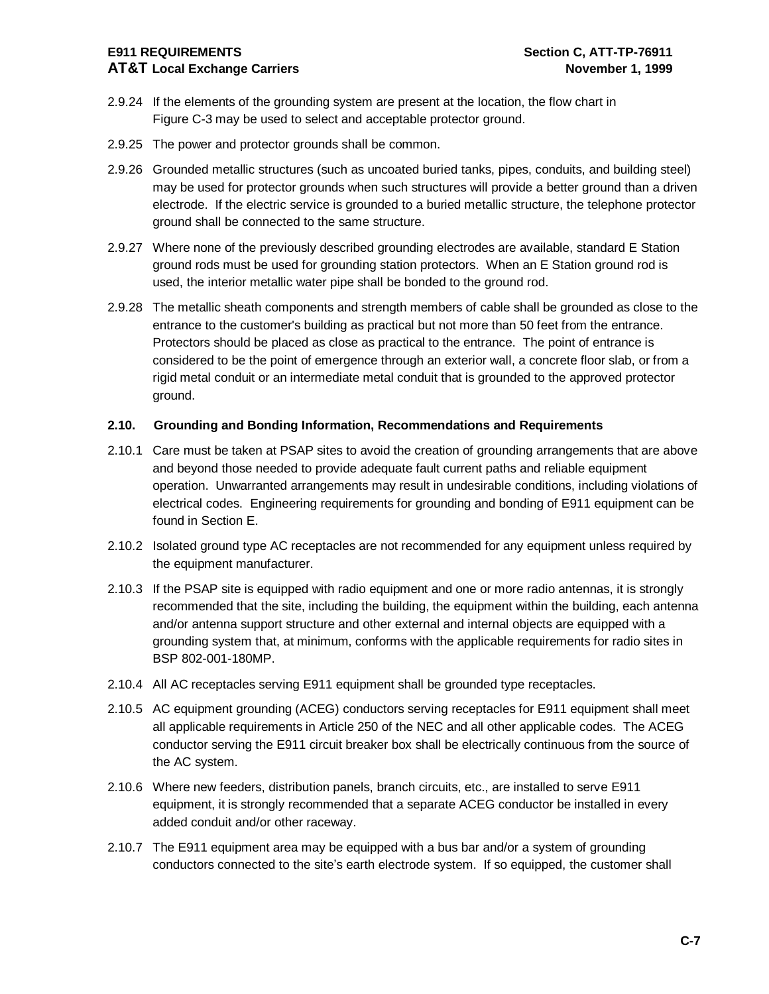#### **E911 REQUIREMENTS Section C, ATT-TP-76911 AT&T Local Exchange Carriers November 1, 1999**

- 2.9.24 If the elements of the grounding system are present at the location, the flow chart in Figure C-3 may be used to select and acceptable protector ground.
- 2.9.25 The power and protector grounds shall be common.
- 2.9.26 Grounded metallic structures (such as uncoated buried tanks, pipes, conduits, and building steel) may be used for protector grounds when such structures will provide a better ground than a driven electrode. If the electric service is grounded to a buried metallic structure, the telephone protector ground shall be connected to the same structure.
- 2.9.27 Where none of the previously described grounding electrodes are available, standard E Station ground rods must be used for grounding station protectors. When an E Station ground rod is used, the interior metallic water pipe shall be bonded to the ground rod.
- 2.9.28 The metallic sheath components and strength members of cable shall be grounded as close to the entrance to the customer's building as practical but not more than 50 feet from the entrance. Protectors should be placed as close as practical to the entrance. The point of entrance is considered to be the point of emergence through an exterior wall, a concrete floor slab, or from a rigid metal conduit or an intermediate metal conduit that is grounded to the approved protector ground.

#### **2.10. Grounding and Bonding Information, Recommendations and Requirements**

- 2.10.1 Care must be taken at PSAP sites to avoid the creation of grounding arrangements that are above and beyond those needed to provide adequate fault current paths and reliable equipment operation. Unwarranted arrangements may result in undesirable conditions, including violations of electrical codes. Engineering requirements for grounding and bonding of E911 equipment can be found in Section E.
- 2.10.2 Isolated ground type AC receptacles are not recommended for any equipment unless required by the equipment manufacturer.
- 2.10.3 If the PSAP site is equipped with radio equipment and one or more radio antennas, it is strongly recommended that the site, including the building, the equipment within the building, each antenna and/or antenna support structure and other external and internal objects are equipped with a grounding system that, at minimum, conforms with the applicable requirements for radio sites in BSP 802-001-180MP.
- 2.10.4 All AC receptacles serving E911 equipment shall be grounded type receptacles.
- 2.10.5 AC equipment grounding (ACEG) conductors serving receptacles for E911 equipment shall meet all applicable requirements in Article 250 of the NEC and all other applicable codes. The ACEG conductor serving the E911 circuit breaker box shall be electrically continuous from the source of the AC system.
- 2.10.6 Where new feeders, distribution panels, branch circuits, etc., are installed to serve E911 equipment, it is strongly recommended that a separate ACEG conductor be installed in every added conduit and/or other raceway.
- 2.10.7 The E911 equipment area may be equipped with a bus bar and/or a system of grounding conductors connected to the site's earth electrode system. If so equipped, the customer shall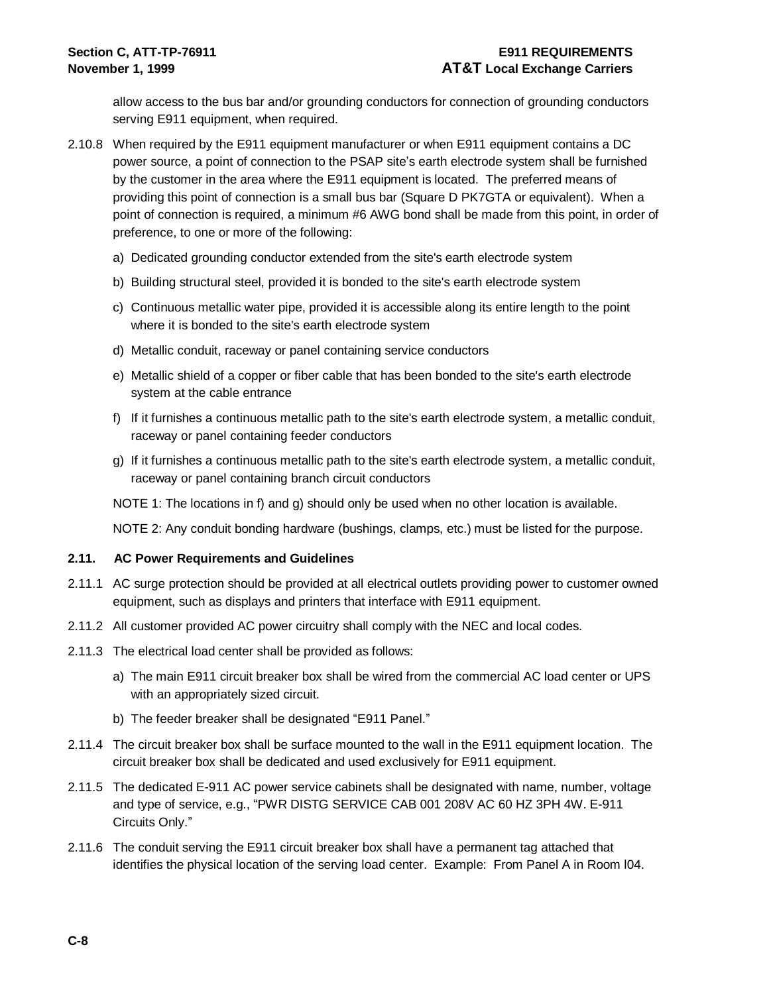allow access to the bus bar and/or grounding conductors for connection of grounding conductors serving E911 equipment, when required.

- 2.10.8 When required by the E911 equipment manufacturer or when E911 equipment contains a DC power source, a point of connection to the PSAP site's earth electrode system shall be furnished by the customer in the area where the E911 equipment is located. The preferred means of providing this point of connection is a small bus bar (Square D PK7GTA or equivalent). When a point of connection is required, a minimum #6 AWG bond shall be made from this point, in order of preference, to one or more of the following:
	- a) Dedicated grounding conductor extended from the site's earth electrode system
	- b) Building structural steel, provided it is bonded to the site's earth electrode system
	- c) Continuous metallic water pipe, provided it is accessible along its entire length to the point where it is bonded to the site's earth electrode system
	- d) Metallic conduit, raceway or panel containing service conductors
	- e) Metallic shield of a copper or fiber cable that has been bonded to the site's earth electrode system at the cable entrance
	- f) If it furnishes a continuous metallic path to the site's earth electrode system, a metallic conduit, raceway or panel containing feeder conductors
	- g) If it furnishes a continuous metallic path to the site's earth electrode system, a metallic conduit, raceway or panel containing branch circuit conductors

NOTE 1: The locations in f) and g) should only be used when no other location is available.

NOTE 2: Any conduit bonding hardware (bushings, clamps, etc.) must be listed for the purpose.

#### **2.11. AC Power Requirements and Guidelines**

- 2.11.1 AC surge protection should be provided at all electrical outlets providing power to customer owned equipment, such as displays and printers that interface with E911 equipment.
- 2.11.2 All customer provided AC power circuitry shall comply with the NEC and local codes.
- 2.11.3 The electrical load center shall be provided as follows:
	- a) The main E911 circuit breaker box shall be wired from the commercial AC load center or UPS with an appropriately sized circuit.
	- b) The feeder breaker shall be designated "E911 Panel."
- 2.11.4 The circuit breaker box shall be surface mounted to the wall in the E911 equipment location. The circuit breaker box shall be dedicated and used exclusively for E911 equipment.
- 2.11.5 The dedicated E-911 AC power service cabinets shall be designated with name, number, voltage and type of service, e.g., "PWR DISTG SERVICE CAB 001 208V AC 60 HZ 3PH 4W. E-911 Circuits Only."
- 2.11.6 The conduit serving the E911 circuit breaker box shall have a permanent tag attached that identifies the physical location of the serving load center. Example: From Panel A in Room l04.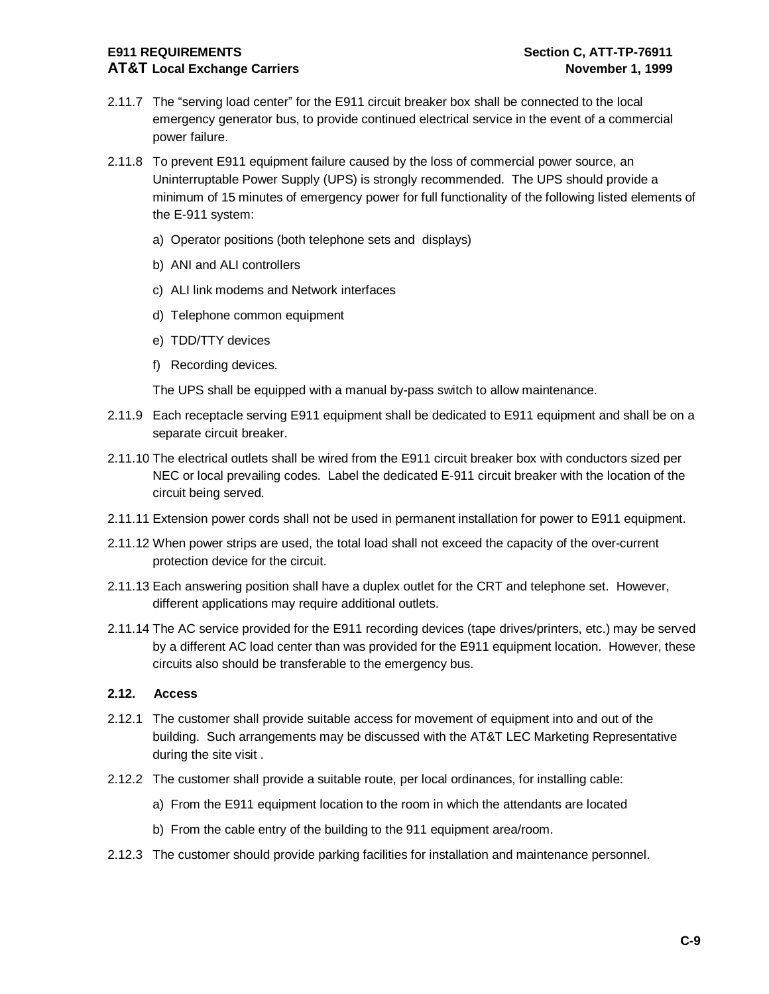#### **E911 REQUIREMENTS Section C, ATT-TP-76911 AT&T Local Exchange Carriers November 1, 1999**

- 2.11.7 The "serving load center" for the E911 circuit breaker box shall be connected to the local emergency generator bus, to provide continued electrical service in the event of a commercial power failure.
- 2.11.8 To prevent E911 equipment failure caused by the loss of commercial power source, an Uninterruptable Power Supply (UPS) is strongly recommended. The UPS should provide a minimum of 15 minutes of emergency power for full functionality of the following listed elements of the E-911 system:
	- a) Operator positions (both telephone sets and displays)
	- b) ANI and ALI controllers
	- c) ALI link modems and Network interfaces
	- d) Telephone common equipment
	- e) TDD/TTY devices
	- f) Recording devices.

The UPS shall be equipped with a manual by-pass switch to allow maintenance.

- 2.11.9 Each receptacle serving E911 equipment shall be dedicated to E911 equipment and shall be on a separate circuit breaker.
- 2.11.10 The electrical outlets shall be wired from the E911 circuit breaker box with conductors sized per NEC or local prevailing codes. Label the dedicated E-911 circuit breaker with the location of the circuit being served.
- 2.11.11 Extension power cords shall not be used in permanent installation for power to E911 equipment.
- 2.11.12 When power strips are used, the total load shall not exceed the capacity of the over-current protection device for the circuit.
- 2.11.13 Each answering position shall have a duplex outlet for the CRT and telephone set. However, different applications may require additional outlets.
- 2.11.14 The AC service provided for the E911 recording devices (tape drives/printers, etc.) may be served by a different AC load center than was provided for the E911 equipment location. However, these circuits also should be transferable to the emergency bus.

#### **2.12. Access**

- 2.12.1 The customer shall provide suitable access for movement of equipment into and out of the building. Such arrangements may be discussed with the AT&T LEC Marketing Representative during the site visit .
- 2.12.2 The customer shall provide a suitable route, per local ordinances, for installing cable:
	- a) From the E911 equipment location to the room in which the attendants are located
	- b) From the cable entry of the building to the 911 equipment area/room.
- 2.12.3 The customer should provide parking facilities for installation and maintenance personnel.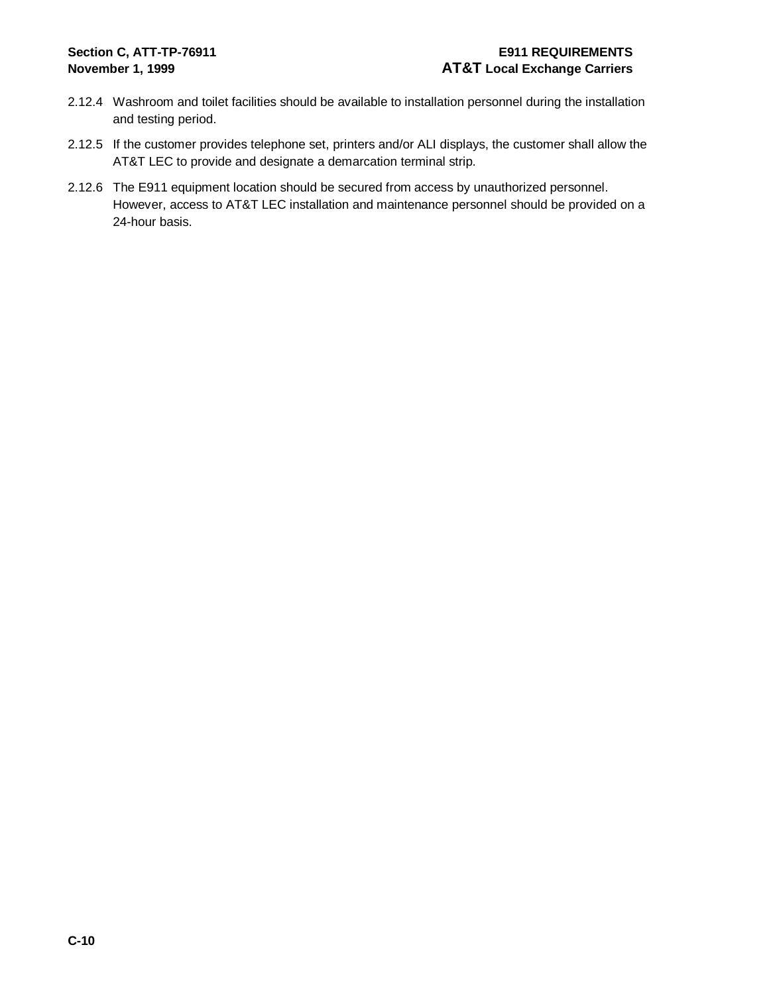# **Section C, ATT-TP-76911 E911 REQUIREMENTS November 1, 1999 AT&T Local Exchange Carriers**

- 2.12.4 Washroom and toilet facilities should be available to installation personnel during the installation and testing period.
- 2.12.5 If the customer provides telephone set, printers and/or ALI displays, the customer shall allow the AT&T LEC to provide and designate a demarcation terminal strip.
- 2.12.6 The E911 equipment location should be secured from access by unauthorized personnel. However, access to AT&T LEC installation and maintenance personnel should be provided on a 24-hour basis.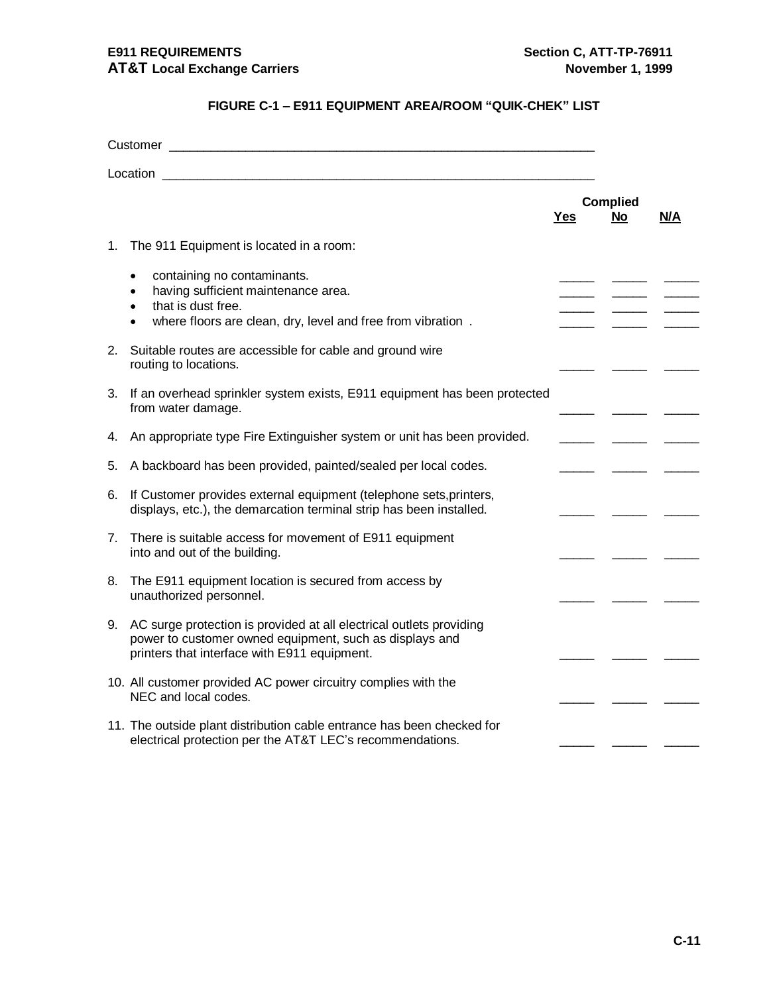# **FIGURE C-1 – E911 EQUIPMENT AREA/ROOM "QUIK-CHEK" LIST**

| Customer and the contract of the contract of the contract of the contract of the contract of the contract of the contract of the contract of the contract of the contract of the contract of the contract of the contract of t |                                                                                                                                                                                                |            |                              |     |
|--------------------------------------------------------------------------------------------------------------------------------------------------------------------------------------------------------------------------------|------------------------------------------------------------------------------------------------------------------------------------------------------------------------------------------------|------------|------------------------------|-----|
| Location                                                                                                                                                                                                                       |                                                                                                                                                                                                |            |                              |     |
|                                                                                                                                                                                                                                |                                                                                                                                                                                                | <b>Yes</b> | <b>Complied</b><br><b>No</b> | N/A |
| 1.                                                                                                                                                                                                                             | The 911 Equipment is located in a room:                                                                                                                                                        |            |                              |     |
|                                                                                                                                                                                                                                | containing no contaminants.<br>$\bullet$<br>having sufficient maintenance area.<br>that is dust free.<br>$\bullet$<br>where floors are clean, dry, level and free from vibration.<br>$\bullet$ |            |                              |     |
| 2.                                                                                                                                                                                                                             | Suitable routes are accessible for cable and ground wire<br>routing to locations.                                                                                                              |            |                              |     |
| 3.                                                                                                                                                                                                                             | If an overhead sprinkler system exists, E911 equipment has been protected<br>from water damage.                                                                                                |            |                              |     |
| 4.                                                                                                                                                                                                                             | An appropriate type Fire Extinguisher system or unit has been provided.                                                                                                                        |            |                              |     |
| 5.                                                                                                                                                                                                                             | A backboard has been provided, painted/sealed per local codes.                                                                                                                                 |            |                              |     |
| 6.                                                                                                                                                                                                                             | If Customer provides external equipment (telephone sets, printers,<br>displays, etc.), the demarcation terminal strip has been installed.                                                      |            |                              |     |
| 7.                                                                                                                                                                                                                             | There is suitable access for movement of E911 equipment<br>into and out of the building.                                                                                                       |            |                              |     |
| 8.                                                                                                                                                                                                                             | The E911 equipment location is secured from access by<br>unauthorized personnel.                                                                                                               |            |                              |     |
| 9.                                                                                                                                                                                                                             | AC surge protection is provided at all electrical outlets providing<br>power to customer owned equipment, such as displays and<br>printers that interface with E911 equipment.                 |            |                              |     |
|                                                                                                                                                                                                                                | 10. All customer provided AC power circuitry complies with the<br>NEC and local codes.                                                                                                         |            |                              |     |
|                                                                                                                                                                                                                                | 11. The outside plant distribution cable entrance has been checked for<br>electrical protection per the AT&T LEC's recommendations.                                                            |            |                              |     |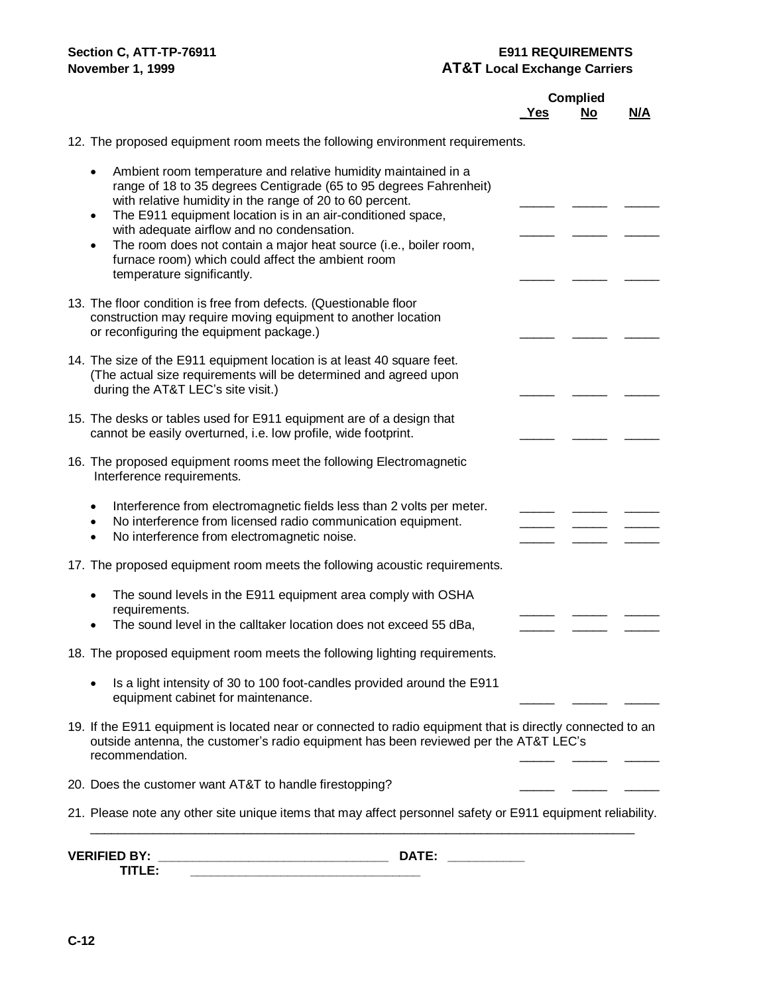# **Section C, ATT-TP-76911 E911 REQUIREMENTS November 1, 1999 AT&T** Local Exchange Carriers

|                                                                                                                                                                                                                                                                                                                                                                                                                                                                                                              |     | <b>Complied</b> |     |
|--------------------------------------------------------------------------------------------------------------------------------------------------------------------------------------------------------------------------------------------------------------------------------------------------------------------------------------------------------------------------------------------------------------------------------------------------------------------------------------------------------------|-----|-----------------|-----|
|                                                                                                                                                                                                                                                                                                                                                                                                                                                                                                              | Yes | No              | N/A |
| 12. The proposed equipment room meets the following environment requirements.                                                                                                                                                                                                                                                                                                                                                                                                                                |     |                 |     |
| Ambient room temperature and relative humidity maintained in a<br>$\bullet$<br>range of 18 to 35 degrees Centigrade (65 to 95 degrees Fahrenheit)<br>with relative humidity in the range of 20 to 60 percent.<br>The E911 equipment location is in an air-conditioned space,<br>$\bullet$<br>with adequate airflow and no condensation.<br>The room does not contain a major heat source (i.e., boiler room,<br>$\bullet$<br>furnace room) which could affect the ambient room<br>temperature significantly. |     |                 |     |
| 13. The floor condition is free from defects. (Questionable floor<br>construction may require moving equipment to another location<br>or reconfiguring the equipment package.)                                                                                                                                                                                                                                                                                                                               |     |                 |     |
| 14. The size of the E911 equipment location is at least 40 square feet.<br>(The actual size requirements will be determined and agreed upon<br>during the AT&T LEC's site visit.)                                                                                                                                                                                                                                                                                                                            |     |                 |     |
| 15. The desks or tables used for E911 equipment are of a design that<br>cannot be easily overturned, i.e. low profile, wide footprint.                                                                                                                                                                                                                                                                                                                                                                       |     |                 |     |
| 16. The proposed equipment rooms meet the following Electromagnetic<br>Interference requirements.                                                                                                                                                                                                                                                                                                                                                                                                            |     |                 |     |
| Interference from electromagnetic fields less than 2 volts per meter.<br>$\bullet$<br>No interference from licensed radio communication equipment.<br>$\bullet$<br>No interference from electromagnetic noise.                                                                                                                                                                                                                                                                                               |     |                 |     |
| 17. The proposed equipment room meets the following acoustic requirements.                                                                                                                                                                                                                                                                                                                                                                                                                                   |     |                 |     |
| The sound levels in the E911 equipment area comply with OSHA<br>requirements.<br>The sound level in the calltaker location does not exceed 55 dBa,                                                                                                                                                                                                                                                                                                                                                           |     |                 |     |
| 18. The proposed equipment room meets the following lighting requirements.                                                                                                                                                                                                                                                                                                                                                                                                                                   |     |                 |     |
| Is a light intensity of 30 to 100 foot-candles provided around the E911<br>equipment cabinet for maintenance.                                                                                                                                                                                                                                                                                                                                                                                                |     |                 |     |
| 19. If the E911 equipment is located near or connected to radio equipment that is directly connected to an<br>outside antenna, the customer's radio equipment has been reviewed per the AT&T LEC's<br>recommendation.                                                                                                                                                                                                                                                                                        |     |                 |     |
| 20. Does the customer want AT&T to handle firestopping?                                                                                                                                                                                                                                                                                                                                                                                                                                                      |     |                 |     |
| 21. Please note any other site unique items that may affect personnel safety or E911 equipment reliability.                                                                                                                                                                                                                                                                                                                                                                                                  |     |                 |     |
| <b>VERIFIED BY:</b><br>DATE:                                                                                                                                                                                                                                                                                                                                                                                                                                                                                 |     |                 |     |

TITLE: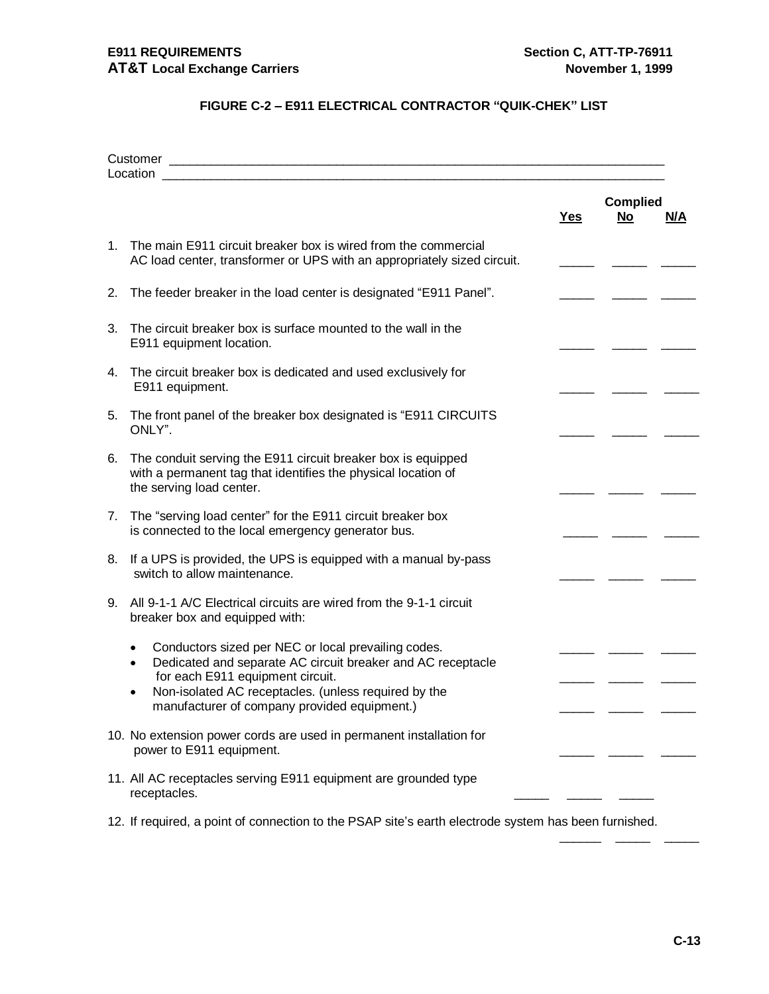# **FIGURE C-2 – E911 ELECTRICAL CONTRACTOR "QUIK-CHEK" LIST**

|    |                                                                                                                                                                                                                                                                             | <u>Yes</u> | <b>Complied</b><br><u>No</u> | <u>N/A</u> |
|----|-----------------------------------------------------------------------------------------------------------------------------------------------------------------------------------------------------------------------------------------------------------------------------|------------|------------------------------|------------|
|    | 1. The main E911 circuit breaker box is wired from the commercial<br>AC load center, transformer or UPS with an appropriately sized circuit.                                                                                                                                |            |                              |            |
| 2. | The feeder breaker in the load center is designated "E911 Panel".                                                                                                                                                                                                           |            |                              |            |
| 3. | The circuit breaker box is surface mounted to the wall in the<br>E911 equipment location.                                                                                                                                                                                   |            |                              |            |
| 4. | The circuit breaker box is dedicated and used exclusively for<br>E911 equipment.                                                                                                                                                                                            |            |                              |            |
|    | 5. The front panel of the breaker box designated is "E911 CIRCUITS"<br>ONLY".                                                                                                                                                                                               |            |                              |            |
| 6. | The conduit serving the E911 circuit breaker box is equipped<br>with a permanent tag that identifies the physical location of<br>the serving load center.                                                                                                                   |            |                              |            |
| 7. | The "serving load center" for the E911 circuit breaker box<br>is connected to the local emergency generator bus.                                                                                                                                                            |            |                              |            |
|    | 8. If a UPS is provided, the UPS is equipped with a manual by-pass<br>switch to allow maintenance.                                                                                                                                                                          |            |                              |            |
| 9. | All 9-1-1 A/C Electrical circuits are wired from the 9-1-1 circuit<br>breaker box and equipped with:                                                                                                                                                                        |            |                              |            |
|    | Conductors sized per NEC or local prevailing codes.<br>Dedicated and separate AC circuit breaker and AC receptacle<br>$\bullet$<br>for each E911 equipment circuit.<br>Non-isolated AC receptacles. (unless required by the<br>manufacturer of company provided equipment.) |            |                              |            |
|    | 10. No extension power cords are used in permanent installation for<br>power to E911 equipment.                                                                                                                                                                             |            |                              |            |
|    | 11. All AC receptacles serving E911 equipment are grounded type<br>receptacles.                                                                                                                                                                                             |            |                              |            |
|    | 12. If required, a point of connection to the PSAP site's earth electrode system has been furnished.                                                                                                                                                                        |            |                              |            |

\_\_\_\_\_\_ \_\_\_\_\_ \_\_\_\_\_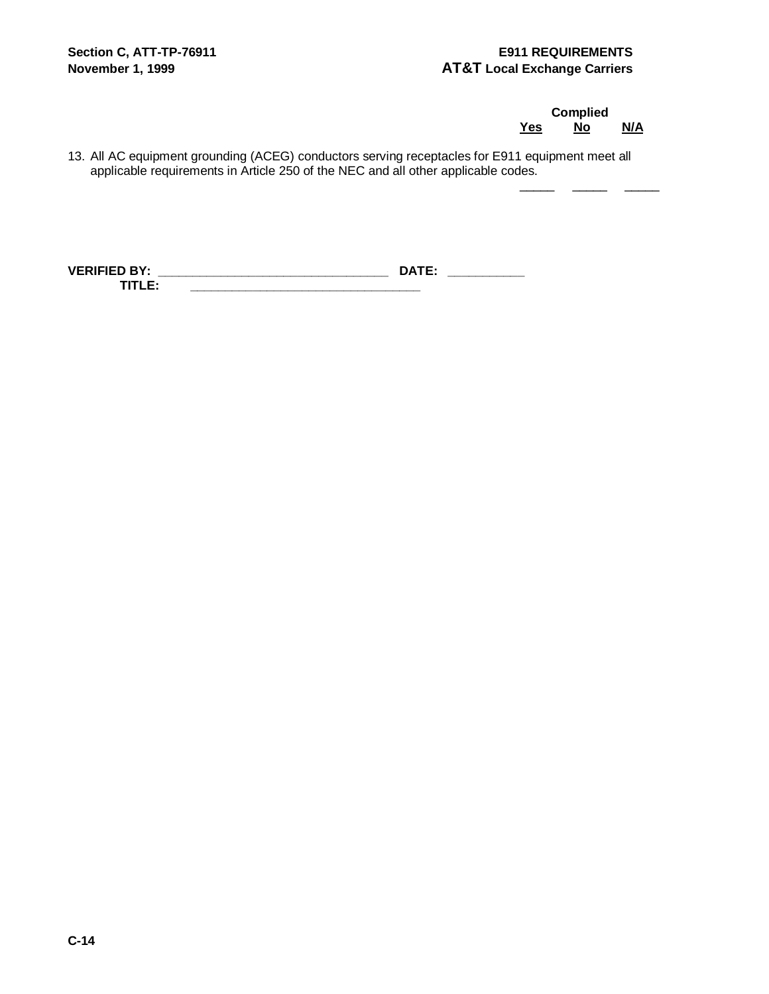**Complied Yes No N/A** 

 $\frac{1}{2}$  ,  $\frac{1}{2}$  ,  $\frac{1}{2}$  ,  $\frac{1}{2}$ 

13. All AC equipment grounding (ACEG) conductors serving receptacles for E911 equipment meet all applicable requirements in Article 250 of the NEC and all other applicable codes.

**VERIFIED BY: \_\_\_\_\_\_\_\_\_\_\_\_\_\_\_\_\_\_\_\_\_\_\_\_\_\_\_\_\_\_\_\_\_ DATE: \_\_\_\_\_\_\_\_\_\_\_ TITLE: \_\_\_\_\_\_\_\_\_\_\_\_\_\_\_\_\_\_\_\_\_\_\_\_\_\_\_\_\_\_\_\_\_**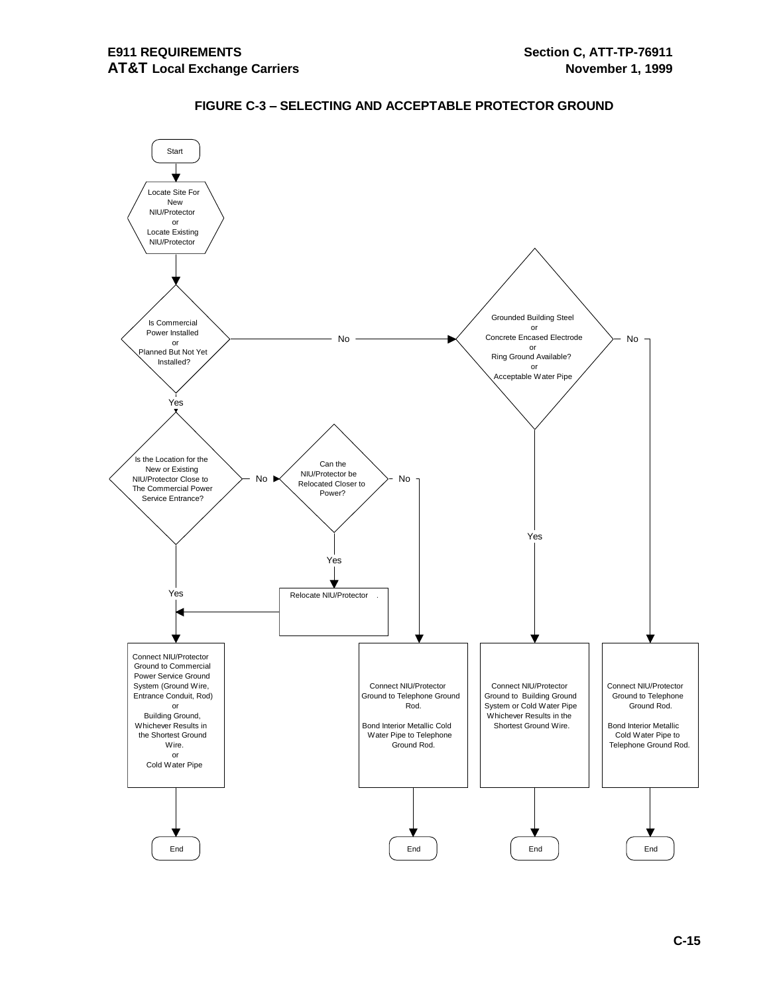

# **FIGURE C-3 – SELECTING AND ACCEPTABLE PROTECTOR GROUND**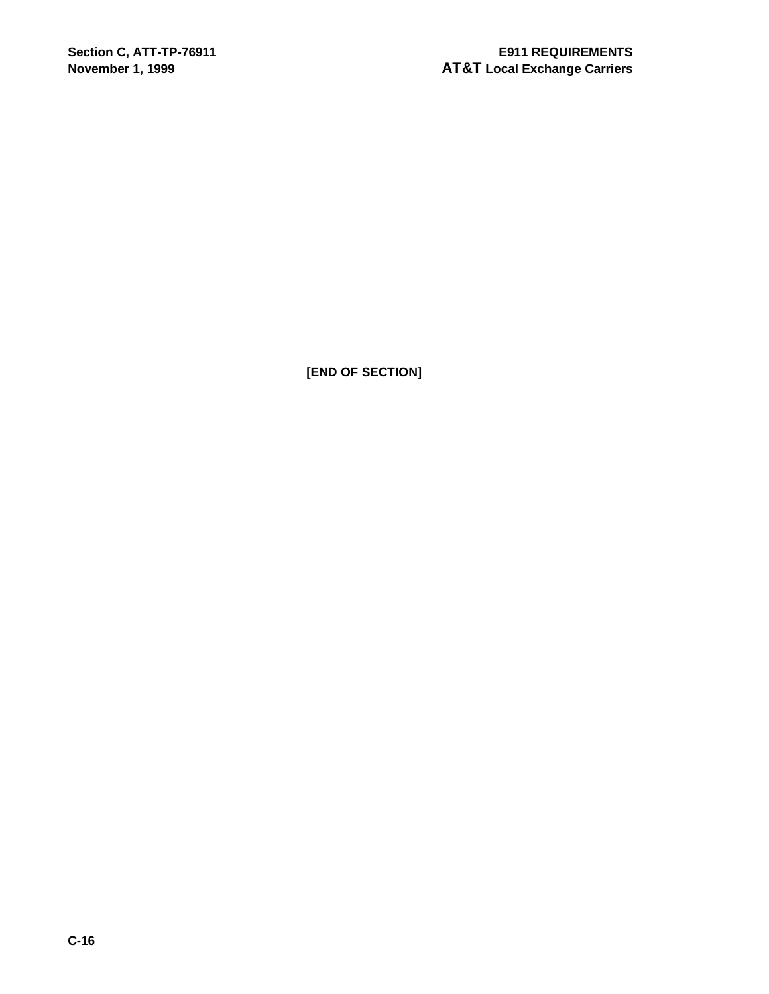**[END OF SECTION]**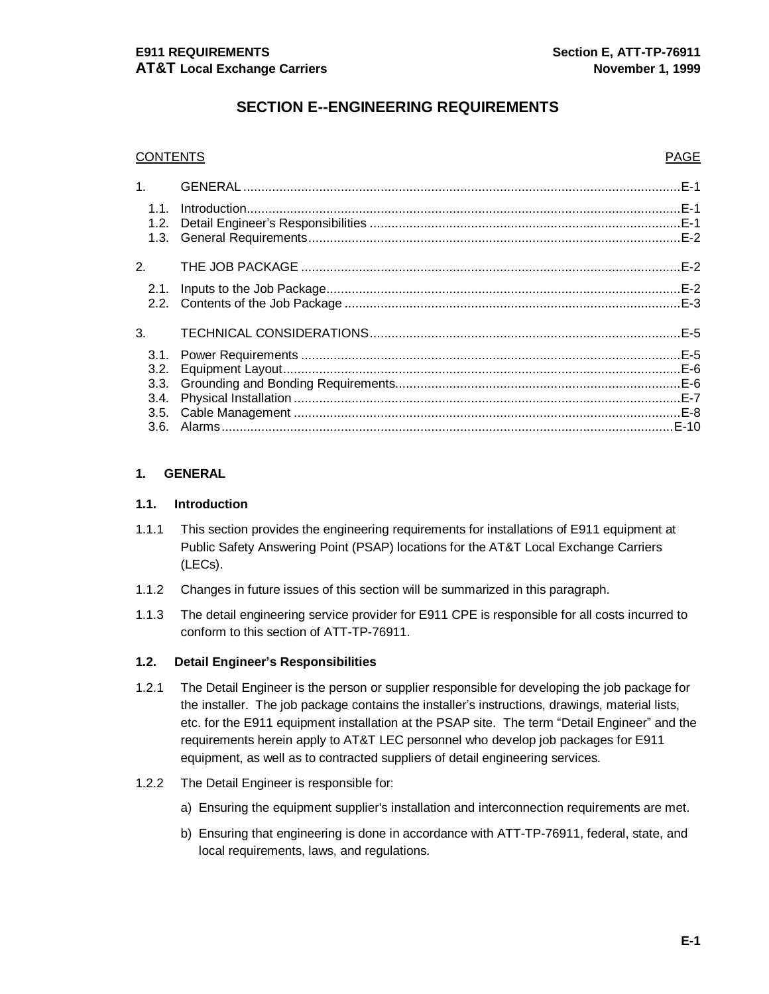# **SECTION E--ENGINEERING REQUIREMENTS**

| <b>CONTENTS</b> |  | <b>PAGE</b> |
|-----------------|--|-------------|
|                 |  |             |
| 1.1.            |  |             |
|                 |  |             |
|                 |  |             |
| 2.              |  |             |
|                 |  |             |
|                 |  |             |
| 3.              |  |             |
|                 |  |             |
|                 |  |             |
|                 |  |             |
| 3.4.            |  |             |
|                 |  |             |
|                 |  |             |

#### **1. GENERAL**

#### **1.1. Introduction**

- 1.1.1 This section provides the engineering requirements for installations of E911 equipment at Public Safety Answering Point (PSAP) locations for the AT&T Local Exchange Carriers (LECs).
- 1.1.2 Changes in future issues of this section will be summarized in this paragraph.
- 1.1.3 The detail engineering service provider for E911 CPE is responsible for all costs incurred to conform to this section of ATT-TP-76911.

#### **1.2. Detail Engineer's Responsibilities**

- 1.2.1 The Detail Engineer is the person or supplier responsible for developing the job package for the installer. The job package contains the installer's instructions, drawings, material lists, etc. for the E911 equipment installation at the PSAP site. The term "Detail Engineer" and the requirements herein apply to AT&T LEC personnel who develop job packages for E911 equipment, as well as to contracted suppliers of detail engineering services.
- 1.2.2 The Detail Engineer is responsible for:
	- a) Ensuring the equipment supplier's installation and interconnection requirements are met.
	- b) Ensuring that engineering is done in accordance with ATT-TP-76911, federal, state, and local requirements, laws, and regulations.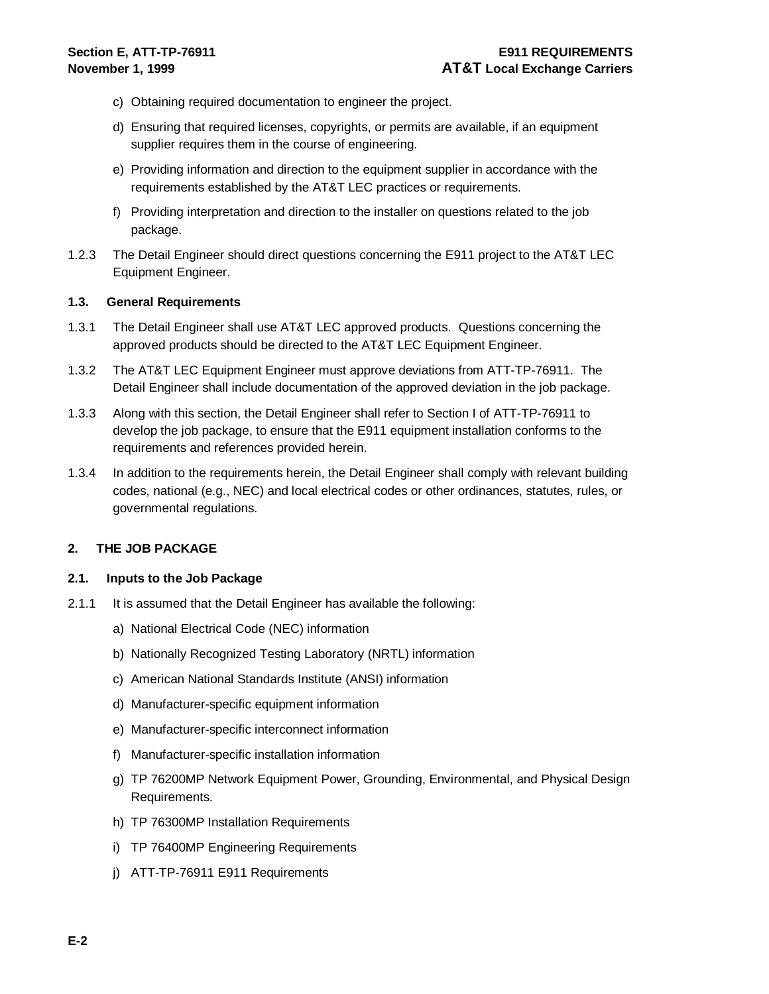- c) Obtaining required documentation to engineer the project.
- d) Ensuring that required licenses, copyrights, or permits are available, if an equipment supplier requires them in the course of engineering.
- e) Providing information and direction to the equipment supplier in accordance with the requirements established by the AT&T LEC practices or requirements.
- f) Providing interpretation and direction to the installer on questions related to the job package.
- 1.2.3 The Detail Engineer should direct questions concerning the E911 project to the AT&T LEC Equipment Engineer.

#### **1.3. General Requirements**

- 1.3.1 The Detail Engineer shall use AT&T LEC approved products. Questions concerning the approved products should be directed to the AT&T LEC Equipment Engineer.
- 1.3.2 The AT&T LEC Equipment Engineer must approve deviations from ATT-TP-76911. The Detail Engineer shall include documentation of the approved deviation in the job package.
- 1.3.3 Along with this section, the Detail Engineer shall refer to Section I of ATT-TP-76911 to develop the job package, to ensure that the E911 equipment installation conforms to the requirements and references provided herein.
- 1.3.4 In addition to the requirements herein, the Detail Engineer shall comply with relevant building codes, national (e.g., NEC) and local electrical codes or other ordinances, statutes, rules, or governmental regulations.

#### **2. THE JOB PACKAGE**

#### **2.1. Inputs to the Job Package**

- 2.1.1 It is assumed that the Detail Engineer has available the following:
	- a) National Electrical Code (NEC) information
	- b) Nationally Recognized Testing Laboratory (NRTL) information
	- c) American National Standards Institute (ANSI) information
	- d) Manufacturer-specific equipment information
	- e) Manufacturer-specific interconnect information
	- f) Manufacturer-specific installation information
	- g) TP 76200MP Network Equipment Power, Grounding, Environmental, and Physical Design Requirements.
	- h) TP 76300MP Installation Requirements
	- i) TP 76400MP Engineering Requirements
	- j) ATT-TP-76911 E911 Requirements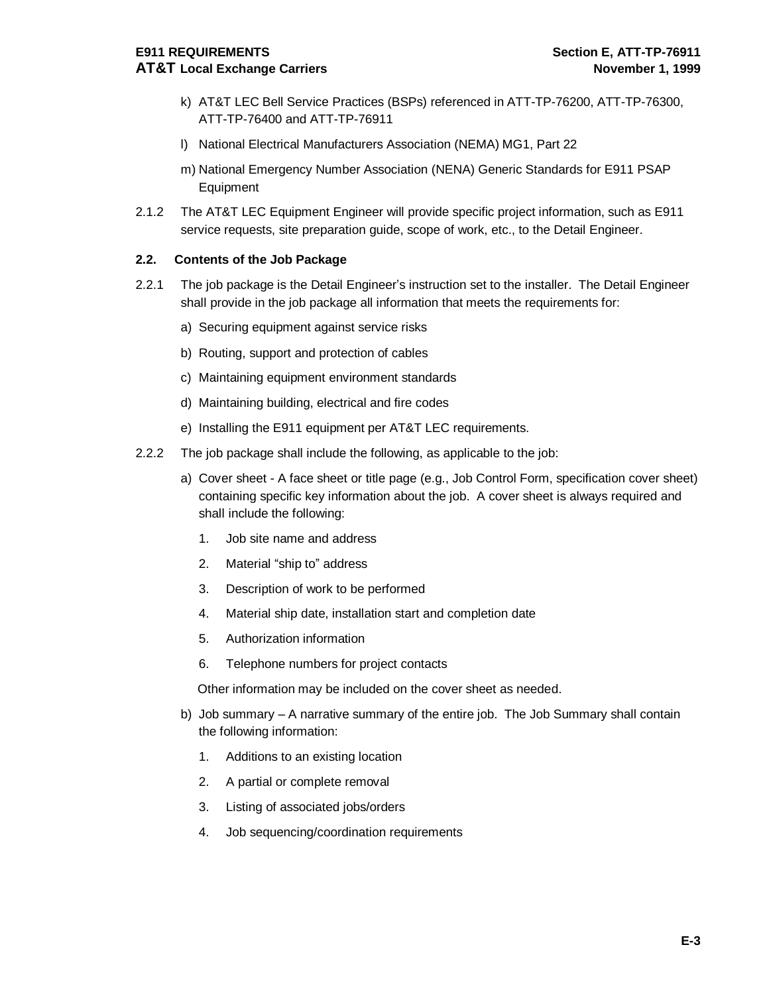- k) AT&T LEC Bell Service Practices (BSPs) referenced in ATT-TP-76200, ATT-TP-76300, ATT-TP-76400 and ATT-TP-76911
- l) National Electrical Manufacturers Association (NEMA) MG1, Part 22
- m) National Emergency Number Association (NENA) Generic Standards for E911 PSAP Equipment
- 2.1.2 The AT&T LEC Equipment Engineer will provide specific project information, such as E911 service requests, site preparation guide, scope of work, etc., to the Detail Engineer.

#### **2.2. Contents of the Job Package**

- 2.2.1 The job package is the Detail Engineer's instruction set to the installer. The Detail Engineer shall provide in the job package all information that meets the requirements for:
	- a) Securing equipment against service risks
	- b) Routing, support and protection of cables
	- c) Maintaining equipment environment standards
	- d) Maintaining building, electrical and fire codes
	- e) Installing the E911 equipment per AT&T LEC requirements.
- 2.2.2 The job package shall include the following, as applicable to the job:
	- a) Cover sheet A face sheet or title page (e.g., Job Control Form, specification cover sheet) containing specific key information about the job. A cover sheet is always required and shall include the following:
		- 1. Job site name and address
		- 2. Material "ship to" address
		- 3. Description of work to be performed
		- 4. Material ship date, installation start and completion date
		- 5. Authorization information
		- 6. Telephone numbers for project contacts

Other information may be included on the cover sheet as needed.

- b) Job summary A narrative summary of the entire job. The Job Summary shall contain the following information:
	- 1. Additions to an existing location
	- 2. A partial or complete removal
	- 3. Listing of associated jobs/orders
	- 4. Job sequencing/coordination requirements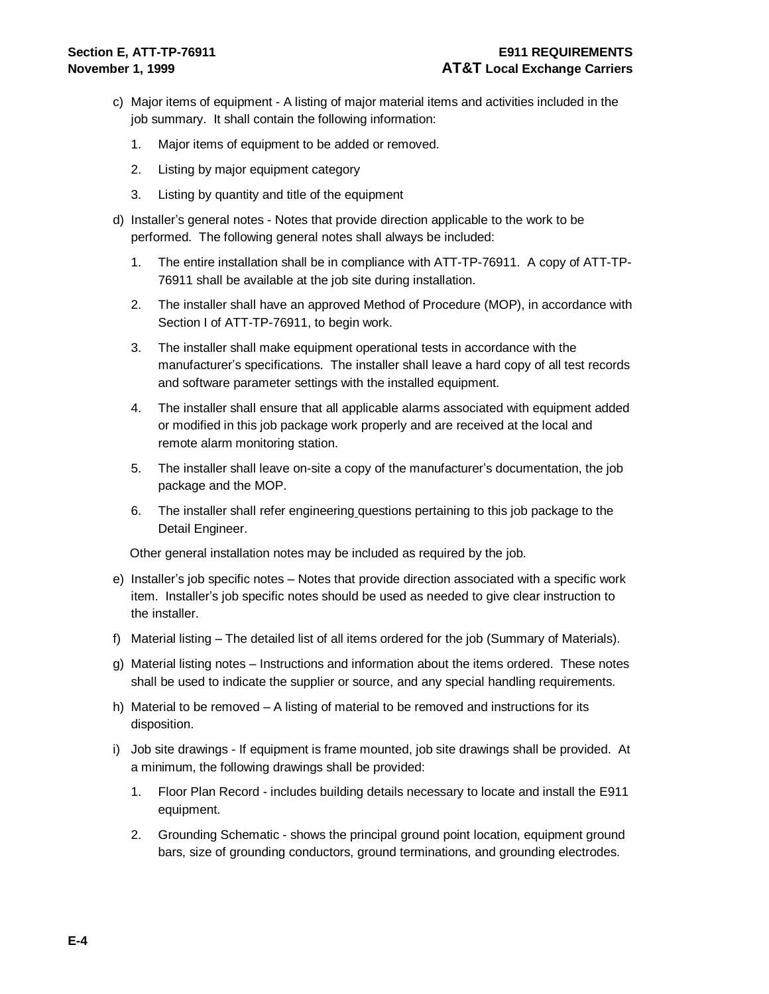- c) Major items of equipment A listing of major material items and activities included in the job summary. It shall contain the following information:
	- 1. Major items of equipment to be added or removed.
	- 2. Listing by major equipment category
	- 3. Listing by quantity and title of the equipment
- d) Installer's general notes Notes that provide direction applicable to the work to be performed. The following general notes shall always be included:
	- 1. The entire installation shall be in compliance with ATT-TP-76911. A copy of ATT-TP-76911 shall be available at the job site during installation.
	- 2. The installer shall have an approved Method of Procedure (MOP), in accordance with Section I of ATT-TP-76911, to begin work.
	- 3. The installer shall make equipment operational tests in accordance with the manufacturer's specifications. The installer shall leave a hard copy of all test records and software parameter settings with the installed equipment.
	- 4. The installer shall ensure that all applicable alarms associated with equipment added or modified in this job package work properly and are received at the local and remote alarm monitoring station.
	- 5. The installer shall leave on-site a copy of the manufacturer's documentation, the job package and the MOP.
	- 6. The installer shall refer engineering questions pertaining to this job package to the Detail Engineer.

Other general installation notes may be included as required by the job.

- e) Installer's job specific notes Notes that provide direction associated with a specific work item. Installer's job specific notes should be used as needed to give clear instruction to the installer.
- f) Material listing The detailed list of all items ordered for the job (Summary of Materials).
- g) Material listing notes Instructions and information about the items ordered. These notes shall be used to indicate the supplier or source, and any special handling requirements.
- h) Material to be removed A listing of material to be removed and instructions for its disposition.
- i) Job site drawings If equipment is frame mounted, job site drawings shall be provided. At a minimum, the following drawings shall be provided:
	- 1. Floor Plan Record includes building details necessary to locate and install the E911 equipment.
	- 2. Grounding Schematic shows the principal ground point location, equipment ground bars, size of grounding conductors, ground terminations, and grounding electrodes.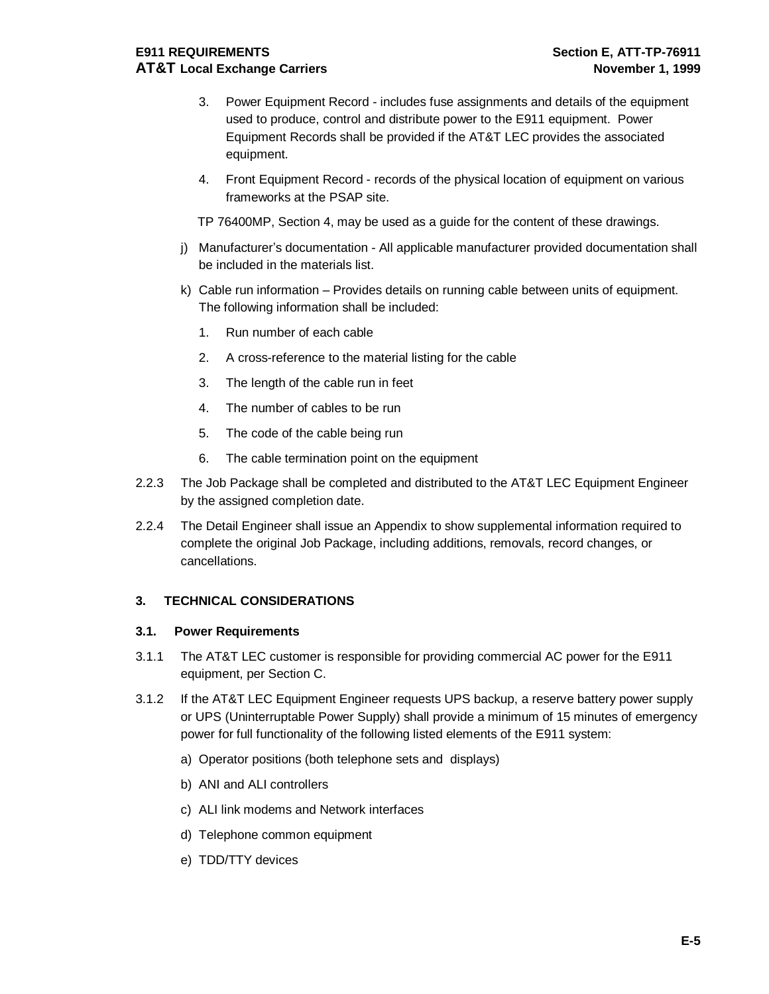## **E911 REQUIREMENTS Section E, ATT-TP-76911 AT&T Local Exchange Carriers November 1, 1999**

- 3. Power Equipment Record includes fuse assignments and details of the equipment used to produce, control and distribute power to the E911 equipment. Power Equipment Records shall be provided if the AT&T LEC provides the associated equipment.
- 4. Front Equipment Record records of the physical location of equipment on various frameworks at the PSAP site.

TP 76400MP, Section 4, may be used as a guide for the content of these drawings.

- j) Manufacturer's documentation All applicable manufacturer provided documentation shall be included in the materials list.
- k) Cable run information Provides details on running cable between units of equipment. The following information shall be included:
	- 1. Run number of each cable
	- 2. A cross-reference to the material listing for the cable
	- 3. The length of the cable run in feet
	- 4. The number of cables to be run
	- 5. The code of the cable being run
	- 6. The cable termination point on the equipment
- 2.2.3 The Job Package shall be completed and distributed to the AT&T LEC Equipment Engineer by the assigned completion date.
- 2.2.4 The Detail Engineer shall issue an Appendix to show supplemental information required to complete the original Job Package, including additions, removals, record changes, or cancellations.

#### **3. TECHNICAL CONSIDERATIONS**

#### **3.1. Power Requirements**

- 3.1.1 The AT&T LEC customer is responsible for providing commercial AC power for the E911 equipment, per Section C.
- 3.1.2 If the AT&T LEC Equipment Engineer requests UPS backup, a reserve battery power supply or UPS (Uninterruptable Power Supply) shall provide a minimum of 15 minutes of emergency power for full functionality of the following listed elements of the E911 system:
	- a) Operator positions (both telephone sets and displays)
	- b) ANI and ALI controllers
	- c) ALI link modems and Network interfaces
	- d) Telephone common equipment
	- e) TDD/TTY devices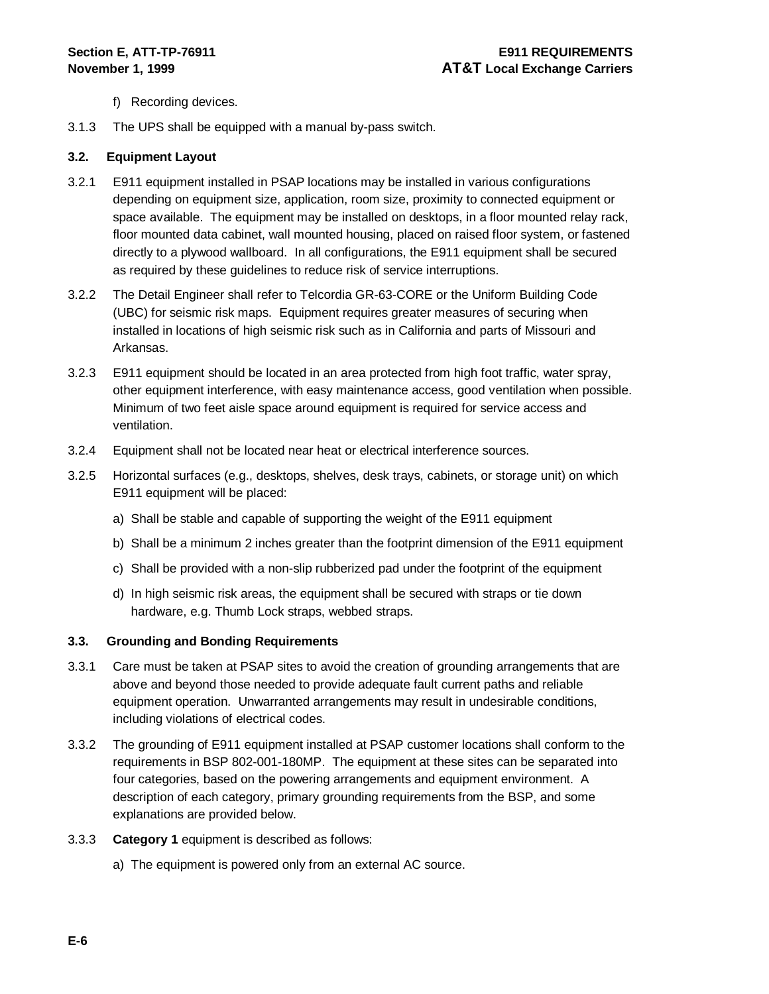- f) Recording devices.
- 3.1.3 The UPS shall be equipped with a manual by-pass switch.

#### **3.2. Equipment Layout**

- 3.2.1 E911 equipment installed in PSAP locations may be installed in various configurations depending on equipment size, application, room size, proximity to connected equipment or space available. The equipment may be installed on desktops, in a floor mounted relay rack, floor mounted data cabinet, wall mounted housing, placed on raised floor system, or fastened directly to a plywood wallboard. In all configurations, the E911 equipment shall be secured as required by these guidelines to reduce risk of service interruptions.
- 3.2.2 The Detail Engineer shall refer to Telcordia GR-63-CORE or the Uniform Building Code (UBC) for seismic risk maps. Equipment requires greater measures of securing when installed in locations of high seismic risk such as in California and parts of Missouri and Arkansas.
- 3.2.3 E911 equipment should be located in an area protected from high foot traffic, water spray, other equipment interference, with easy maintenance access, good ventilation when possible. Minimum of two feet aisle space around equipment is required for service access and ventilation.
- 3.2.4 Equipment shall not be located near heat or electrical interference sources.
- 3.2.5 Horizontal surfaces (e.g., desktops, shelves, desk trays, cabinets, or storage unit) on which E911 equipment will be placed:
	- a) Shall be stable and capable of supporting the weight of the E911 equipment
	- b) Shall be a minimum 2 inches greater than the footprint dimension of the E911 equipment
	- c) Shall be provided with a non-slip rubberized pad under the footprint of the equipment
	- d) In high seismic risk areas, the equipment shall be secured with straps or tie down hardware, e.g. Thumb Lock straps, webbed straps.

#### **3.3. Grounding and Bonding Requirements**

- 3.3.1 Care must be taken at PSAP sites to avoid the creation of grounding arrangements that are above and beyond those needed to provide adequate fault current paths and reliable equipment operation. Unwarranted arrangements may result in undesirable conditions, including violations of electrical codes.
- 3.3.2 The grounding of E911 equipment installed at PSAP customer locations shall conform to the requirements in BSP 802-001-180MP. The equipment at these sites can be separated into four categories, based on the powering arrangements and equipment environment. A description of each category, primary grounding requirements from the BSP, and some explanations are provided below.
- 3.3.3 **Category 1** equipment is described as follows:
	- a) The equipment is powered only from an external AC source.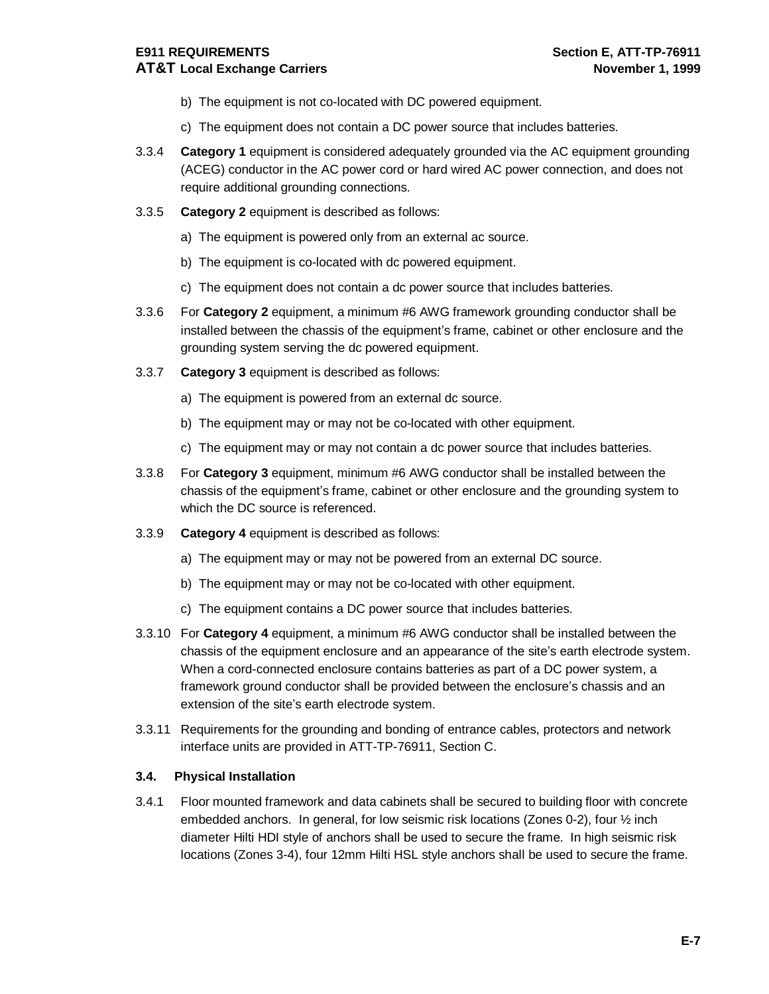#### **E911 REQUIREMENTS Section E, ATT-TP-76911 AT&T Local Exchange Carriers November 1, 1999**

- b) The equipment is not co-located with DC powered equipment.
- c) The equipment does not contain a DC power source that includes batteries.
- 3.3.4 **Category 1** equipment is considered adequately grounded via the AC equipment grounding (ACEG) conductor in the AC power cord or hard wired AC power connection, and does not require additional grounding connections.
- 3.3.5 **Category 2** equipment is described as follows:
	- a) The equipment is powered only from an external ac source.
	- b) The equipment is co-located with dc powered equipment.
	- c) The equipment does not contain a dc power source that includes batteries.
- 3.3.6 For **Category 2** equipment, a minimum #6 AWG framework grounding conductor shall be installed between the chassis of the equipment's frame, cabinet or other enclosure and the grounding system serving the dc powered equipment.
- 3.3.7 **Category 3** equipment is described as follows:
	- a) The equipment is powered from an external dc source.
	- b) The equipment may or may not be co-located with other equipment.
	- c) The equipment may or may not contain a dc power source that includes batteries.
- 3.3.8 For **Category 3** equipment, minimum #6 AWG conductor shall be installed between the chassis of the equipment's frame, cabinet or other enclosure and the grounding system to which the DC source is referenced.
- 3.3.9 **Category 4** equipment is described as follows:
	- a) The equipment may or may not be powered from an external DC source.
	- b) The equipment may or may not be co-located with other equipment.
	- c) The equipment contains a DC power source that includes batteries.
- 3.3.10 For **Category 4** equipment, a minimum #6 AWG conductor shall be installed between the chassis of the equipment enclosure and an appearance of the site's earth electrode system. When a cord-connected enclosure contains batteries as part of a DC power system, a framework ground conductor shall be provided between the enclosure's chassis and an extension of the site's earth electrode system.
- 3.3.11 Requirements for the grounding and bonding of entrance cables, protectors and network interface units are provided in ATT-TP-76911, Section C.

#### **3.4. Physical Installation**

3.4.1 Floor mounted framework and data cabinets shall be secured to building floor with concrete embedded anchors. In general, for low seismic risk locations (Zones 0-2), four ½ inch diameter Hilti HDI style of anchors shall be used to secure the frame. In high seismic risk locations (Zones 3-4), four 12mm Hilti HSL style anchors shall be used to secure the frame.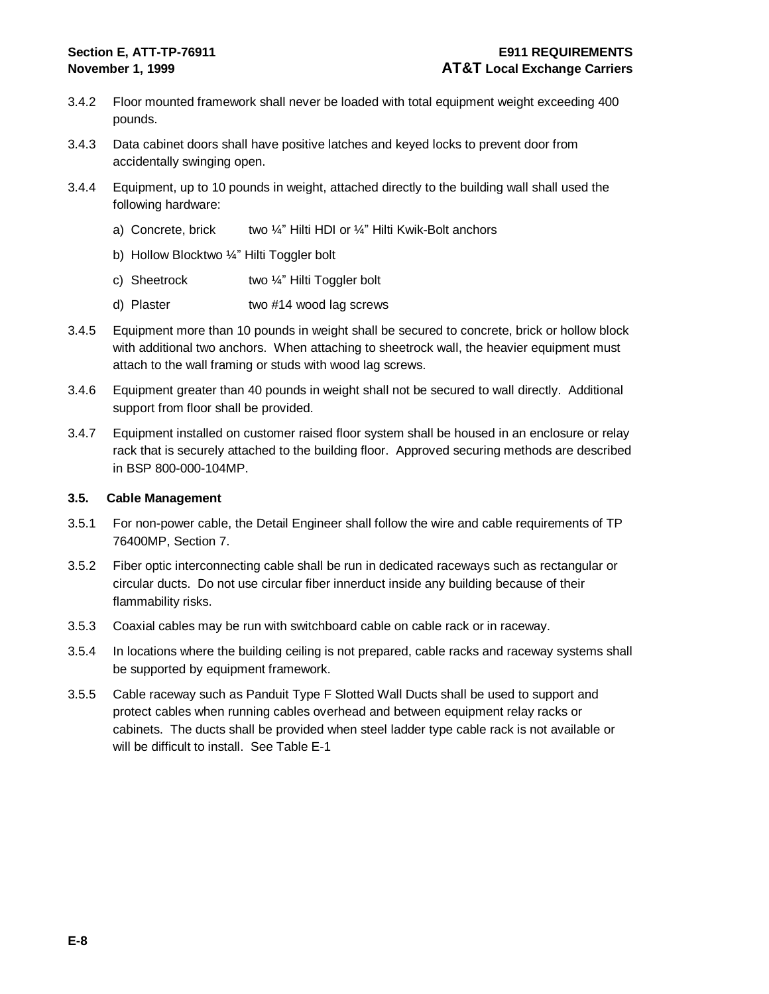- 3.4.2 Floor mounted framework shall never be loaded with total equipment weight exceeding 400 pounds.
- 3.4.3 Data cabinet doors shall have positive latches and keyed locks to prevent door from accidentally swinging open.
- 3.4.4 Equipment, up to 10 pounds in weight, attached directly to the building wall shall used the following hardware:
	- a) Concrete, brick two  $\frac{1}{4}$ " Hilti HDI or  $\frac{1}{4}$ " Hilti Kwik-Bolt anchors
	- b) Hollow Blocktwo ¼" Hilti Toggler bolt
	- c) Sheetrock two ¼" Hilti Toggler bolt
	- d) Plaster two #14 wood lag screws
- 3.4.5 Equipment more than 10 pounds in weight shall be secured to concrete, brick or hollow block with additional two anchors. When attaching to sheetrock wall, the heavier equipment must attach to the wall framing or studs with wood lag screws.
- 3.4.6 Equipment greater than 40 pounds in weight shall not be secured to wall directly. Additional support from floor shall be provided.
- 3.4.7 Equipment installed on customer raised floor system shall be housed in an enclosure or relay rack that is securely attached to the building floor. Approved securing methods are described in BSP 800-000-104MP.

#### **3.5. Cable Management**

- 3.5.1 For non-power cable, the Detail Engineer shall follow the wire and cable requirements of TP 76400MP, Section 7.
- 3.5.2 Fiber optic interconnecting cable shall be run in dedicated raceways such as rectangular or circular ducts. Do not use circular fiber innerduct inside any building because of their flammability risks.
- 3.5.3 Coaxial cables may be run with switchboard cable on cable rack or in raceway.
- 3.5.4 In locations where the building ceiling is not prepared, cable racks and raceway systems shall be supported by equipment framework.
- 3.5.5 Cable raceway such as Panduit Type F Slotted Wall Ducts shall be used to support and protect cables when running cables overhead and between equipment relay racks or cabinets. The ducts shall be provided when steel ladder type cable rack is not available or will be difficult to install. See Table E-1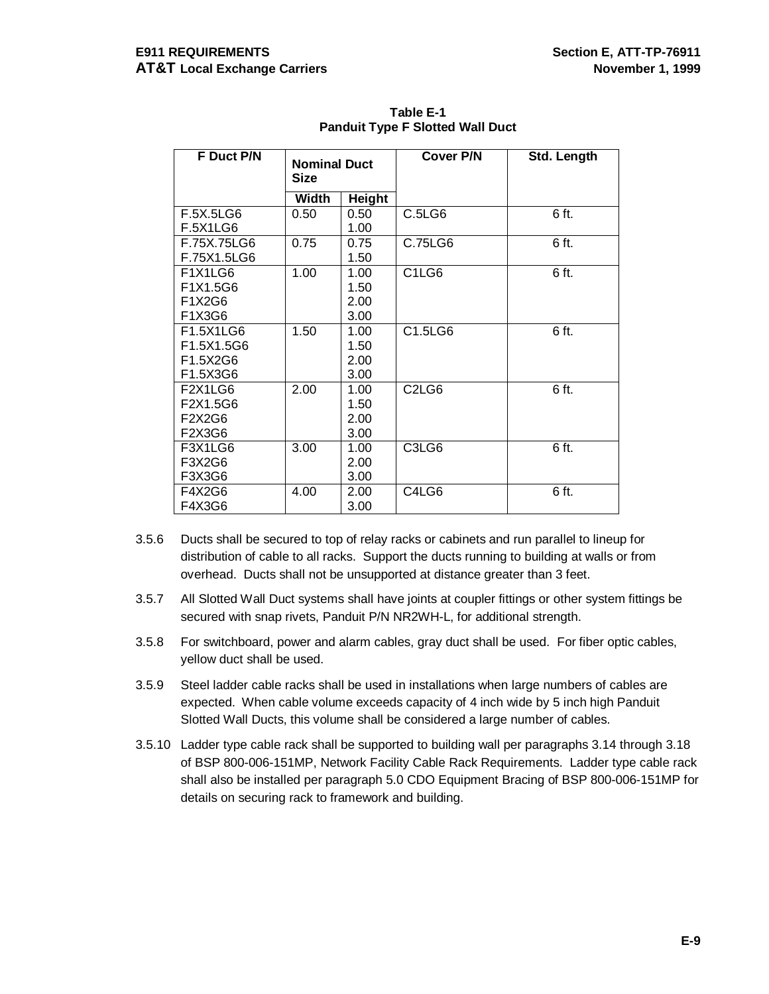| F Duct P/N      | <b>Nominal Duct</b><br><b>Size</b> |               | <b>Cover P/N</b>               | Std. Length |  |
|-----------------|------------------------------------|---------------|--------------------------------|-------------|--|
|                 | Width                              | <b>Height</b> |                                |             |  |
| F.5X.5LG6       | 0.50                               | 0.50          | C.5LG6                         | 6 ft.       |  |
| <b>F.5X1LG6</b> |                                    | 1.00          |                                |             |  |
| F.75X.75LG6     | 0.75                               | 0.75          | C.75LG6                        | 6 ft.       |  |
| F.75X1.5LG6     |                                    | 1.50          |                                |             |  |
| F1X1LG6         | 1.00                               | 1.00          | C1LG6                          | 6 ft.       |  |
| F1X1.5G6        |                                    | 1.50          |                                |             |  |
| F1X2G6          |                                    | 2.00          |                                |             |  |
| F1X3G6          |                                    | 3.00          |                                |             |  |
| F1.5X1LG6       | 1.50                               | 1.00          | C1.5LG6                        | 6 ft.       |  |
| F1.5X1.5G6      |                                    | 1.50          |                                |             |  |
| F1.5X2G6        |                                    | 2.00          |                                |             |  |
| F1.5X3G6        |                                    | 3.00          |                                |             |  |
| F2X1LG6         | 2.00                               | 1.00          | C <sub>2</sub> L <sub>G6</sub> | 6 ft.       |  |
| F2X1.5G6        |                                    | 1.50          |                                |             |  |
| F2X2G6          |                                    | 2.00          |                                |             |  |
| F2X3G6          |                                    | 3.00          |                                |             |  |
| F3X1LG6         | 3.00                               | 1.00          | C3LG6                          | 6 ft.       |  |
| F3X2G6          |                                    | 2.00          |                                |             |  |
| F3X3G6          |                                    | 3.00          |                                |             |  |
| F4X2G6          | 4.00                               | 2.00          | C4LG6                          | 6 ft.       |  |
| F4X3G6          |                                    | 3.00          |                                |             |  |

**Table E-1 Panduit Type F Slotted Wall Duct**

- 3.5.6 Ducts shall be secured to top of relay racks or cabinets and run parallel to lineup for distribution of cable to all racks. Support the ducts running to building at walls or from overhead. Ducts shall not be unsupported at distance greater than 3 feet.
- 3.5.7 All Slotted Wall Duct systems shall have joints at coupler fittings or other system fittings be secured with snap rivets, Panduit P/N NR2WH-L, for additional strength.
- 3.5.8 For switchboard, power and alarm cables, gray duct shall be used. For fiber optic cables, yellow duct shall be used.
- 3.5.9 Steel ladder cable racks shall be used in installations when large numbers of cables are expected. When cable volume exceeds capacity of 4 inch wide by 5 inch high Panduit Slotted Wall Ducts, this volume shall be considered a large number of cables.
- 3.5.10 Ladder type cable rack shall be supported to building wall per paragraphs 3.14 through 3.18 of BSP 800-006-151MP, Network Facility Cable Rack Requirements. Ladder type cable rack shall also be installed per paragraph 5.0 CDO Equipment Bracing of BSP 800-006-151MP for details on securing rack to framework and building.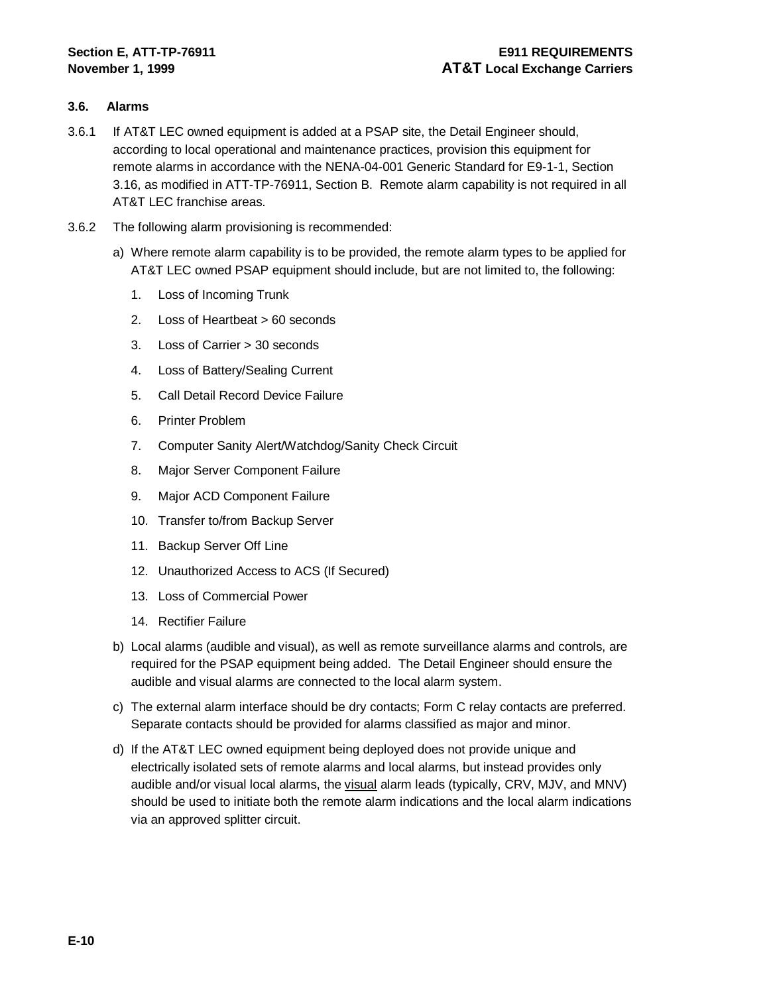#### **3.6. Alarms**

- 3.6.1 If AT&T LEC owned equipment is added at a PSAP site, the Detail Engineer should, according to local operational and maintenance practices, provision this equipment for remote alarms in accordance with the NENA-04-001 Generic Standard for E9-1-1, Section 3.16, as modified in ATT-TP-76911, Section B. Remote alarm capability is not required in all AT&T LEC franchise areas.
- 3.6.2 The following alarm provisioning is recommended:
	- a) Where remote alarm capability is to be provided, the remote alarm types to be applied for AT&T LEC owned PSAP equipment should include, but are not limited to, the following:
		- 1. Loss of Incoming Trunk
		- 2. Loss of Heartbeat > 60 seconds
		- 3. Loss of Carrier > 30 seconds
		- 4. Loss of Battery/Sealing Current
		- 5. Call Detail Record Device Failure
		- 6. Printer Problem
		- 7. Computer Sanity Alert/Watchdog/Sanity Check Circuit
		- 8. Major Server Component Failure
		- 9. Major ACD Component Failure
		- 10. Transfer to/from Backup Server
		- 11. Backup Server Off Line
		- 12. Unauthorized Access to ACS (If Secured)
		- 13. Loss of Commercial Power
		- 14. Rectifier Failure
	- b) Local alarms (audible and visual), as well as remote surveillance alarms and controls, are required for the PSAP equipment being added. The Detail Engineer should ensure the audible and visual alarms are connected to the local alarm system.
	- c) The external alarm interface should be dry contacts; Form C relay contacts are preferred. Separate contacts should be provided for alarms classified as major and minor.
	- d) If the AT&T LEC owned equipment being deployed does not provide unique and electrically isolated sets of remote alarms and local alarms, but instead provides only audible and/or visual local alarms, the visual alarm leads (typically, CRV, MJV, and MNV) should be used to initiate both the remote alarm indications and the local alarm indications via an approved splitter circuit.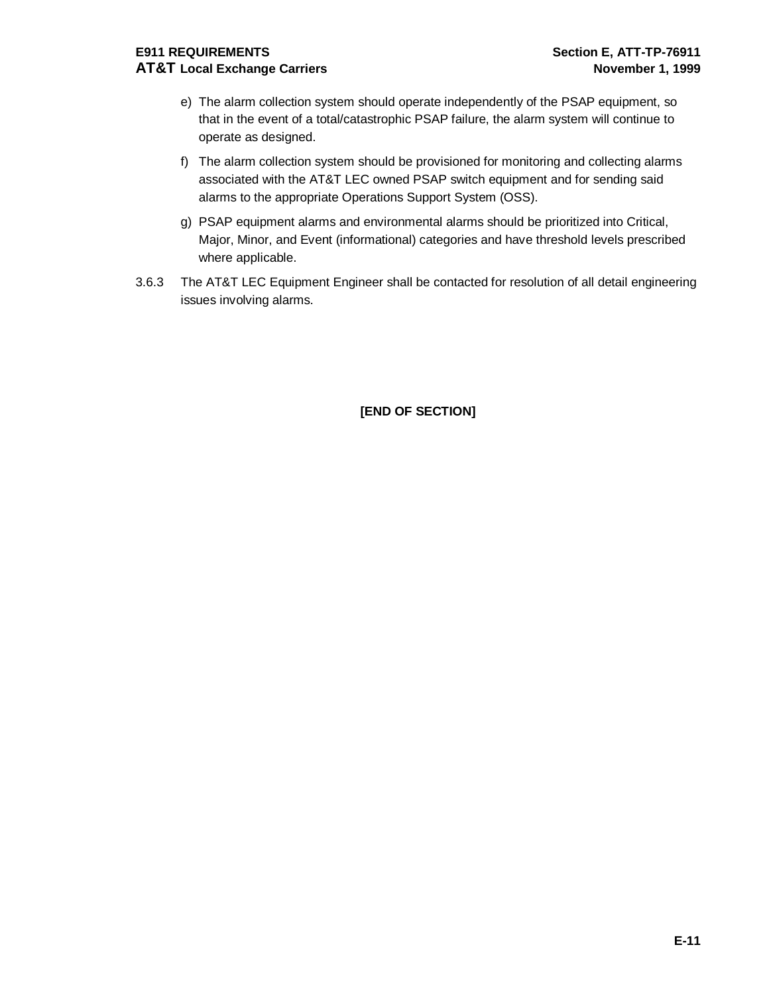# **E911 REQUIREMENTS Section E, ATT-TP-76911 AT&T Local Exchange Carriers November 1, 1999**

- e) The alarm collection system should operate independently of the PSAP equipment, so that in the event of a total/catastrophic PSAP failure, the alarm system will continue to operate as designed.
- f) The alarm collection system should be provisioned for monitoring and collecting alarms associated with the AT&T LEC owned PSAP switch equipment and for sending said alarms to the appropriate Operations Support System (OSS).
- g) PSAP equipment alarms and environmental alarms should be prioritized into Critical, Major, Minor, and Event (informational) categories and have threshold levels prescribed where applicable.
- 3.6.3 The AT&T LEC Equipment Engineer shall be contacted for resolution of all detail engineering issues involving alarms.

# **[END OF SECTION]**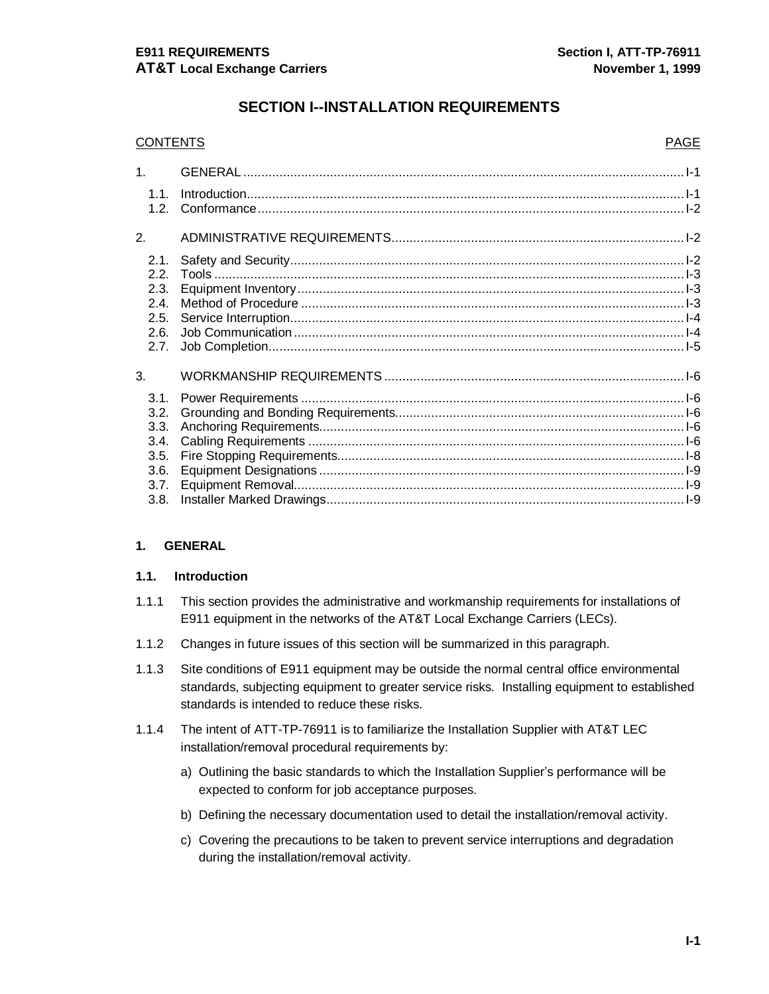# **SECTION I--INSTALLATION REQUIREMENTS**

#### CONTENTS PAGE

| 1 <sub>1</sub>                                               |  |
|--------------------------------------------------------------|--|
| 1.1.<br>1.2.                                                 |  |
| $\overline{2}$ .                                             |  |
| 2.1.<br>2.2.<br>2.3.<br>2.4.<br>2.5.<br>2.6.<br>2.7.         |  |
| 3.                                                           |  |
| 3.1.<br>3.2.<br>3.3.<br>3.4.<br>3.5.<br>3.6.<br>3.7.<br>3.8. |  |

#### **1. GENERAL**

#### **1.1. Introduction**

- 1.1.1 This section provides the administrative and workmanship requirements for installations of E911 equipment in the networks of the AT&T Local Exchange Carriers (LECs).
- 1.1.2 Changes in future issues of this section will be summarized in this paragraph.
- 1.1.3 Site conditions of E911 equipment may be outside the normal central office environmental standards, subjecting equipment to greater service risks. Installing equipment to established standards is intended to reduce these risks.
- 1.1.4 The intent of ATT-TP-76911 is to familiarize the Installation Supplier with AT&T LEC installation/removal procedural requirements by:
	- a) Outlining the basic standards to which the Installation Supplier's performance will be expected to conform for job acceptance purposes.
	- b) Defining the necessary documentation used to detail the installation/removal activity.
	- c) Covering the precautions to be taken to prevent service interruptions and degradation during the installation/removal activity.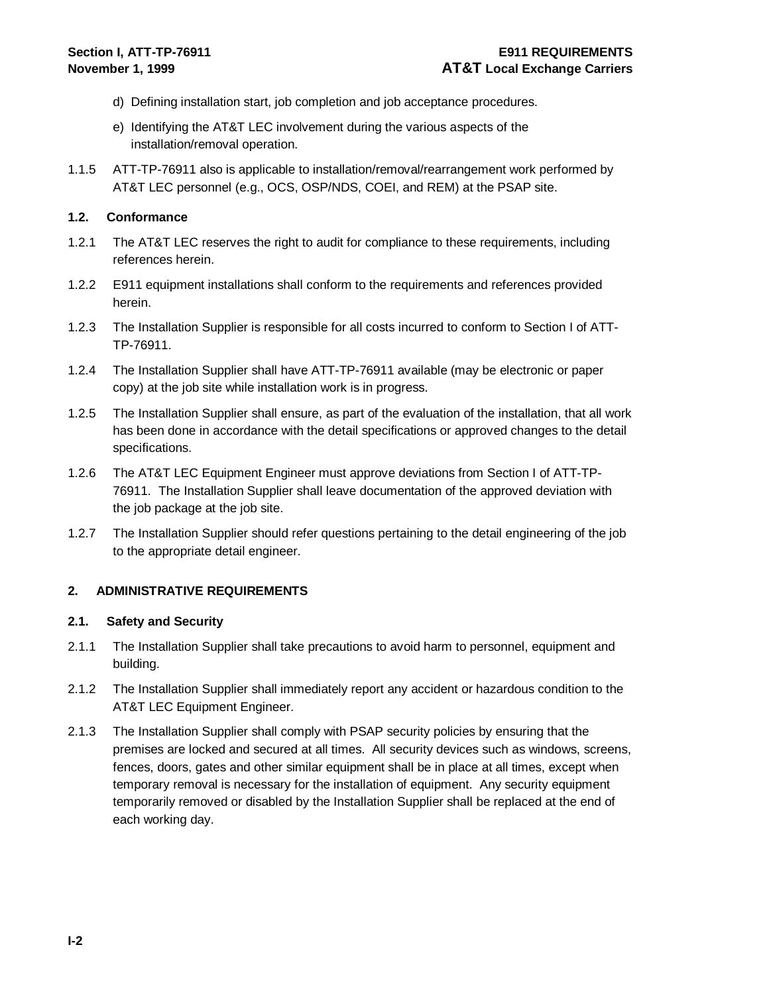- d) Defining installation start, job completion and job acceptance procedures.
- e) Identifying the AT&T LEC involvement during the various aspects of the installation/removal operation.
- 1.1.5 ATT-TP-76911 also is applicable to installation/removal/rearrangement work performed by AT&T LEC personnel (e.g., OCS, OSP/NDS, COEI, and REM) at the PSAP site.

#### **1.2. Conformance**

- 1.2.1 The AT&T LEC reserves the right to audit for compliance to these requirements, including references herein.
- 1.2.2 E911 equipment installations shall conform to the requirements and references provided herein.
- 1.2.3 The Installation Supplier is responsible for all costs incurred to conform to Section I of ATT-TP-76911.
- 1.2.4 The Installation Supplier shall have ATT-TP-76911 available (may be electronic or paper copy) at the job site while installation work is in progress.
- 1.2.5 The Installation Supplier shall ensure, as part of the evaluation of the installation, that all work has been done in accordance with the detail specifications or approved changes to the detail specifications.
- 1.2.6 The AT&T LEC Equipment Engineer must approve deviations from Section I of ATT-TP-76911. The Installation Supplier shall leave documentation of the approved deviation with the job package at the job site.
- 1.2.7 The Installation Supplier should refer questions pertaining to the detail engineering of the job to the appropriate detail engineer.

#### **2. ADMINISTRATIVE REQUIREMENTS**

#### **2.1. Safety and Security**

- 2.1.1 The Installation Supplier shall take precautions to avoid harm to personnel, equipment and building.
- 2.1.2 The Installation Supplier shall immediately report any accident or hazardous condition to the AT&T LEC Equipment Engineer.
- 2.1.3 The Installation Supplier shall comply with PSAP security policies by ensuring that the premises are locked and secured at all times. All security devices such as windows, screens, fences, doors, gates and other similar equipment shall be in place at all times, except when temporary removal is necessary for the installation of equipment. Any security equipment temporarily removed or disabled by the Installation Supplier shall be replaced at the end of each working day.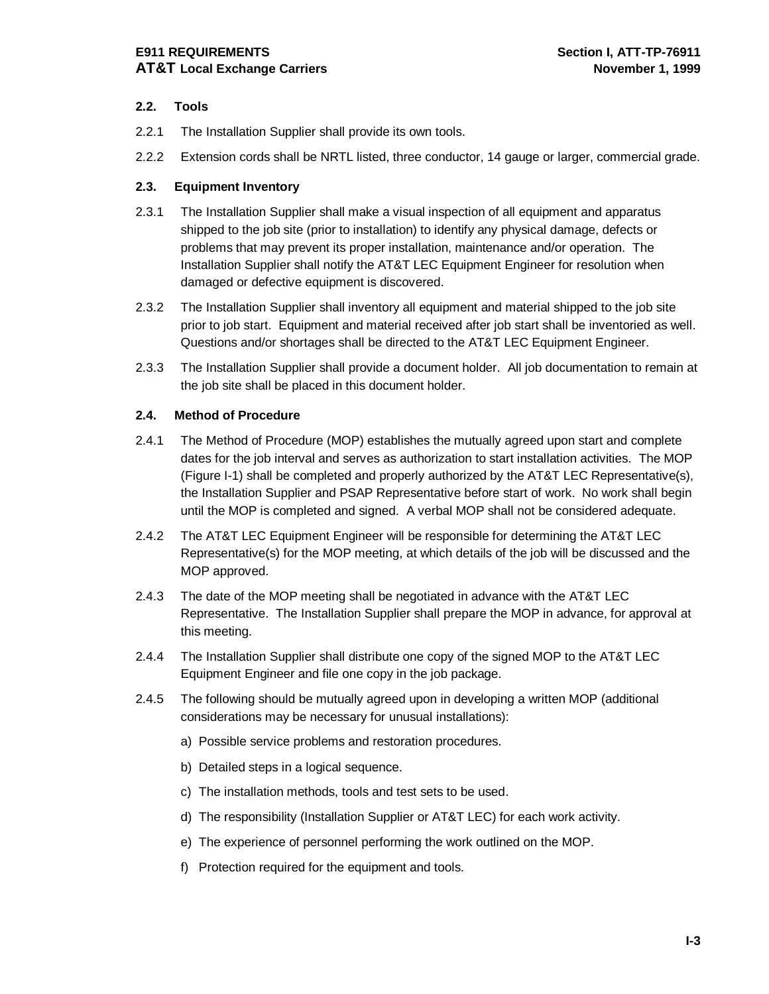# **E911 REQUIREMENTS Section I, ATT-TP-76911 AT&T Local Exchange Carriers November 1, 1999**

# **2.2. Tools**

- 2.2.1 The Installation Supplier shall provide its own tools.
- 2.2.2 Extension cords shall be NRTL listed, three conductor, 14 gauge or larger, commercial grade.

# **2.3. Equipment Inventory**

- 2.3.1 The Installation Supplier shall make a visual inspection of all equipment and apparatus shipped to the job site (prior to installation) to identify any physical damage, defects or problems that may prevent its proper installation, maintenance and/or operation. The Installation Supplier shall notify the AT&T LEC Equipment Engineer for resolution when damaged or defective equipment is discovered.
- 2.3.2 The Installation Supplier shall inventory all equipment and material shipped to the job site prior to job start. Equipment and material received after job start shall be inventoried as well. Questions and/or shortages shall be directed to the AT&T LEC Equipment Engineer.
- 2.3.3 The Installation Supplier shall provide a document holder. All job documentation to remain at the job site shall be placed in this document holder.

# **2.4. Method of Procedure**

- 2.4.1 The Method of Procedure (MOP) establishes the mutually agreed upon start and complete dates for the job interval and serves as authorization to start installation activities. The MOP (Figure I-1) shall be completed and properly authorized by the AT&T LEC Representative(s), the Installation Supplier and PSAP Representative before start of work. No work shall begin until the MOP is completed and signed. A verbal MOP shall not be considered adequate.
- 2.4.2 The AT&T LEC Equipment Engineer will be responsible for determining the AT&T LEC Representative(s) for the MOP meeting, at which details of the job will be discussed and the MOP approved.
- 2.4.3 The date of the MOP meeting shall be negotiated in advance with the AT&T LEC Representative. The Installation Supplier shall prepare the MOP in advance, for approval at this meeting.
- 2.4.4 The Installation Supplier shall distribute one copy of the signed MOP to the AT&T LEC Equipment Engineer and file one copy in the job package.
- 2.4.5 The following should be mutually agreed upon in developing a written MOP (additional considerations may be necessary for unusual installations):
	- a) Possible service problems and restoration procedures.
	- b) Detailed steps in a logical sequence.
	- c) The installation methods, tools and test sets to be used.
	- d) The responsibility (Installation Supplier or AT&T LEC) for each work activity.
	- e) The experience of personnel performing the work outlined on the MOP.
	- f) Protection required for the equipment and tools.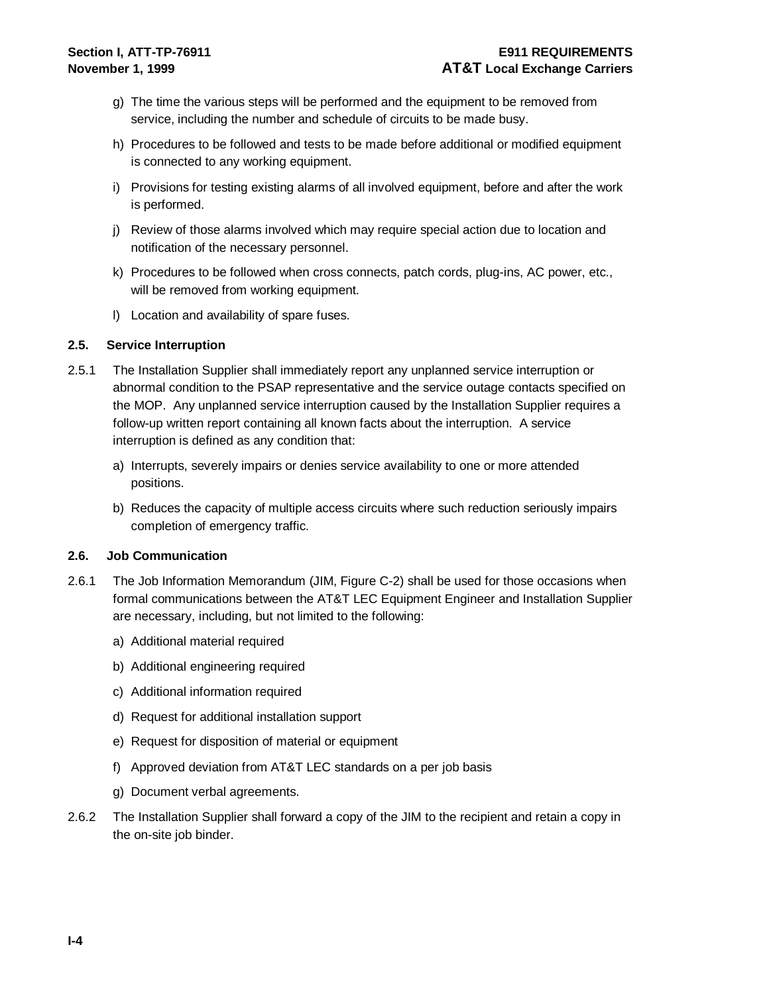- g) The time the various steps will be performed and the equipment to be removed from service, including the number and schedule of circuits to be made busy.
- h) Procedures to be followed and tests to be made before additional or modified equipment is connected to any working equipment.
- i) Provisions for testing existing alarms of all involved equipment, before and after the work is performed.
- j) Review of those alarms involved which may require special action due to location and notification of the necessary personnel.
- k) Procedures to be followed when cross connects, patch cords, plug-ins, AC power, etc., will be removed from working equipment.
- l) Location and availability of spare fuses.

#### **2.5. Service Interruption**

- 2.5.1 The Installation Supplier shall immediately report any unplanned service interruption or abnormal condition to the PSAP representative and the service outage contacts specified on the MOP. Any unplanned service interruption caused by the Installation Supplier requires a follow-up written report containing all known facts about the interruption. A service interruption is defined as any condition that:
	- a) Interrupts, severely impairs or denies service availability to one or more attended positions.
	- b) Reduces the capacity of multiple access circuits where such reduction seriously impairs completion of emergency traffic.

#### **2.6. Job Communication**

- 2.6.1 The Job Information Memorandum (JIM, Figure C-2) shall be used for those occasions when formal communications between the AT&T LEC Equipment Engineer and Installation Supplier are necessary, including, but not limited to the following:
	- a) Additional material required
	- b) Additional engineering required
	- c) Additional information required
	- d) Request for additional installation support
	- e) Request for disposition of material or equipment
	- f) Approved deviation from AT&T LEC standards on a per job basis
	- g) Document verbal agreements.
- 2.6.2 The Installation Supplier shall forward a copy of the JIM to the recipient and retain a copy in the on-site job binder.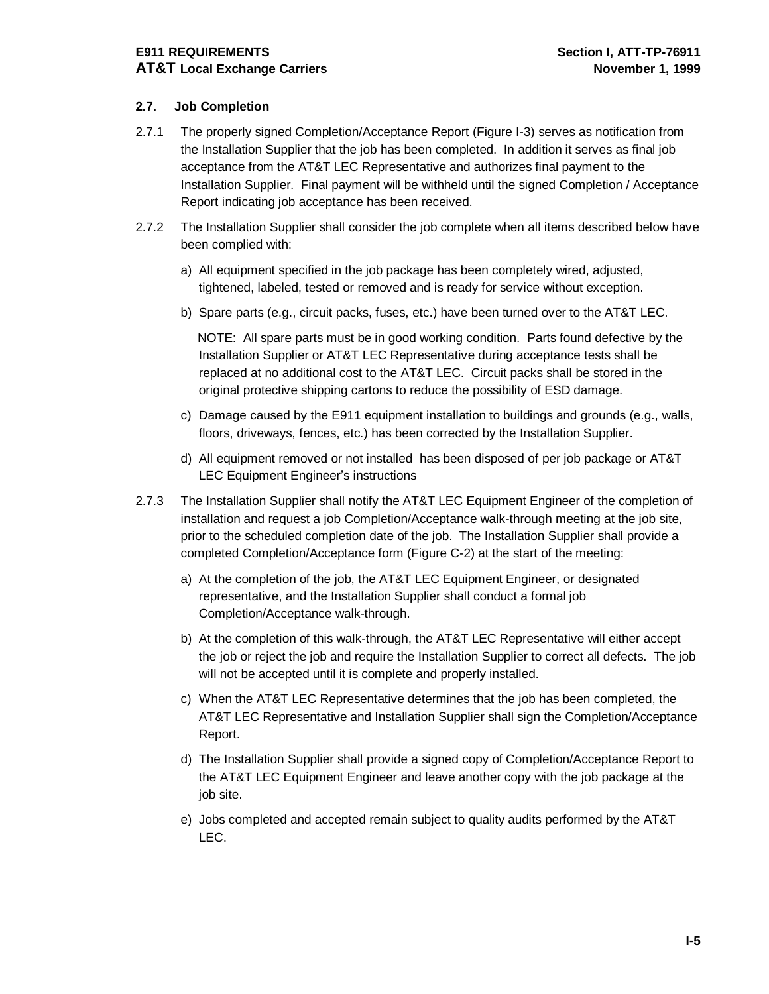# **E911 REQUIREMENTS Section I, ATT-TP-76911 AT&T Local Exchange Carriers November 1, 1999**

# **2.7. Job Completion**

- 2.7.1 The properly signed Completion/Acceptance Report (Figure I-3) serves as notification from the Installation Supplier that the job has been completed. In addition it serves as final job acceptance from the AT&T LEC Representative and authorizes final payment to the Installation Supplier. Final payment will be withheld until the signed Completion / Acceptance Report indicating job acceptance has been received.
- 2.7.2 The Installation Supplier shall consider the job complete when all items described below have been complied with:
	- a) All equipment specified in the job package has been completely wired, adjusted, tightened, labeled, tested or removed and is ready for service without exception.
	- b) Spare parts (e.g., circuit packs, fuses, etc.) have been turned over to the AT&T LEC.

NOTE: All spare parts must be in good working condition. Parts found defective by the Installation Supplier or AT&T LEC Representative during acceptance tests shall be replaced at no additional cost to the AT&T LEC. Circuit packs shall be stored in the original protective shipping cartons to reduce the possibility of ESD damage.

- c) Damage caused by the E911 equipment installation to buildings and grounds (e.g., walls, floors, driveways, fences, etc.) has been corrected by the Installation Supplier.
- d) All equipment removed or not installed has been disposed of per job package or AT&T LEC Equipment Engineer's instructions
- 2.7.3 The Installation Supplier shall notify the AT&T LEC Equipment Engineer of the completion of installation and request a job Completion/Acceptance walk-through meeting at the job site, prior to the scheduled completion date of the job. The Installation Supplier shall provide a completed Completion/Acceptance form (Figure C-2) at the start of the meeting:
	- a) At the completion of the job, the AT&T LEC Equipment Engineer, or designated representative, and the Installation Supplier shall conduct a formal job Completion/Acceptance walk-through.
	- b) At the completion of this walk-through, the AT&T LEC Representative will either accept the job or reject the job and require the Installation Supplier to correct all defects. The job will not be accepted until it is complete and properly installed.
	- c) When the AT&T LEC Representative determines that the job has been completed, the AT&T LEC Representative and Installation Supplier shall sign the Completion/Acceptance Report.
	- d) The Installation Supplier shall provide a signed copy of Completion/Acceptance Report to the AT&T LEC Equipment Engineer and leave another copy with the job package at the job site.
	- e) Jobs completed and accepted remain subject to quality audits performed by the AT&T LEC.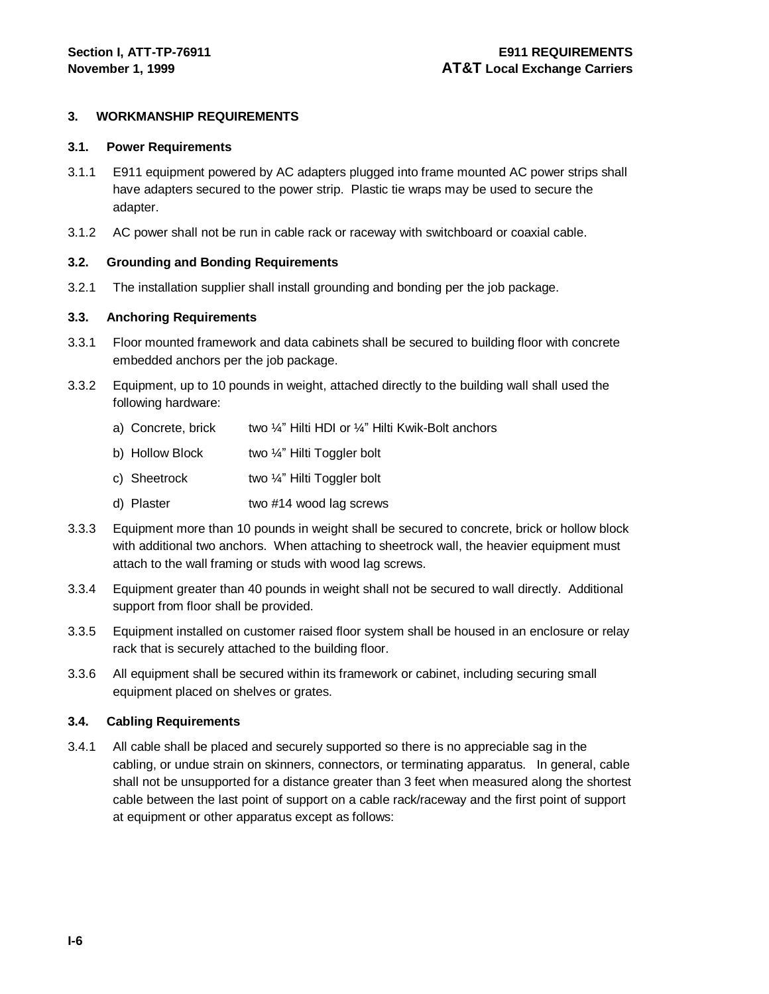#### **3. WORKMANSHIP REQUIREMENTS**

#### **3.1. Power Requirements**

- 3.1.1 E911 equipment powered by AC adapters plugged into frame mounted AC power strips shall have adapters secured to the power strip. Plastic tie wraps may be used to secure the adapter.
- 3.1.2 AC power shall not be run in cable rack or raceway with switchboard or coaxial cable.

#### **3.2. Grounding and Bonding Requirements**

3.2.1 The installation supplier shall install grounding and bonding per the job package.

#### **3.3. Anchoring Requirements**

- 3.3.1 Floor mounted framework and data cabinets shall be secured to building floor with concrete embedded anchors per the job package.
- 3.3.2 Equipment, up to 10 pounds in weight, attached directly to the building wall shall used the following hardware:
	- a) Concrete, brick two ¼" Hilti HDI or ¼" Hilti Kwik-Bolt anchors
	- b) Hollow Block two ¼" Hilti Toggler bolt
	- c) Sheetrock two ¼" Hilti Toggler bolt
	- d) Plaster **two #14 wood lag screws**
- 3.3.3 Equipment more than 10 pounds in weight shall be secured to concrete, brick or hollow block with additional two anchors. When attaching to sheetrock wall, the heavier equipment must attach to the wall framing or studs with wood lag screws.
- 3.3.4 Equipment greater than 40 pounds in weight shall not be secured to wall directly. Additional support from floor shall be provided.
- 3.3.5 Equipment installed on customer raised floor system shall be housed in an enclosure or relay rack that is securely attached to the building floor.
- 3.3.6 All equipment shall be secured within its framework or cabinet, including securing small equipment placed on shelves or grates.

#### **3.4. Cabling Requirements**

3.4.1 All cable shall be placed and securely supported so there is no appreciable sag in the cabling, or undue strain on skinners, connectors, or terminating apparatus. In general, cable shall not be unsupported for a distance greater than 3 feet when measured along the shortest cable between the last point of support on a cable rack/raceway and the first point of support at equipment or other apparatus except as follows: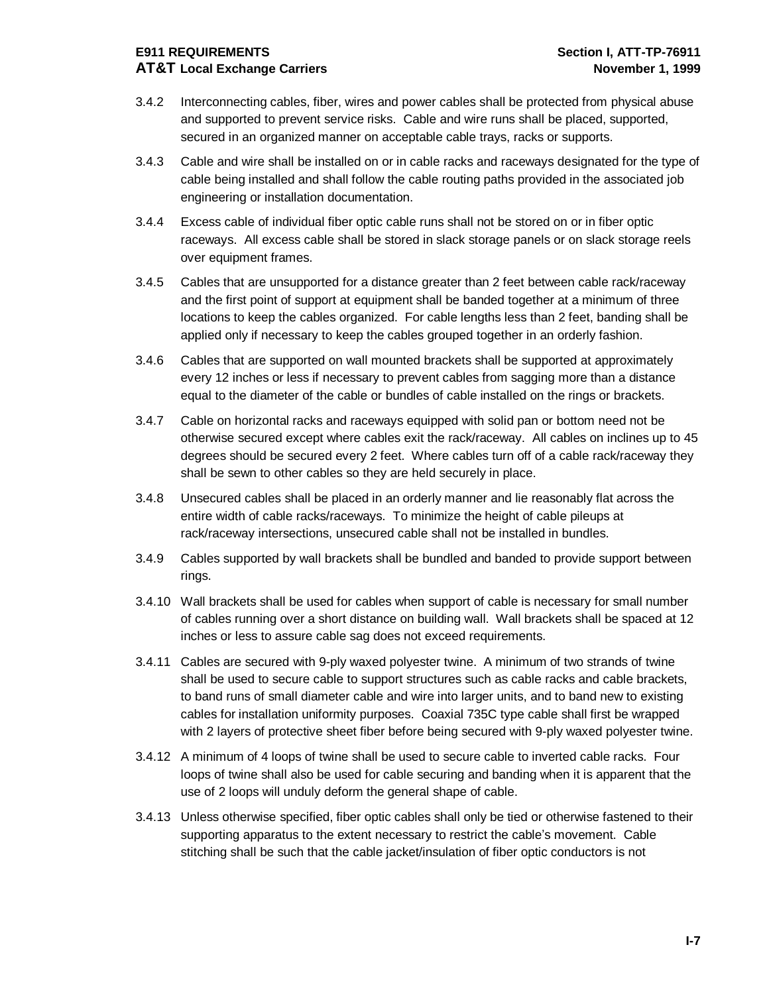## **E911 REQUIREMENTS Section I, ATT-TP-76911 AT&T Local Exchange Carriers November 1, 1999**

- 3.4.2 Interconnecting cables, fiber, wires and power cables shall be protected from physical abuse and supported to prevent service risks. Cable and wire runs shall be placed, supported, secured in an organized manner on acceptable cable trays, racks or supports.
- 3.4.3 Cable and wire shall be installed on or in cable racks and raceways designated for the type of cable being installed and shall follow the cable routing paths provided in the associated job engineering or installation documentation.
- 3.4.4 Excess cable of individual fiber optic cable runs shall not be stored on or in fiber optic raceways. All excess cable shall be stored in slack storage panels or on slack storage reels over equipment frames.
- 3.4.5 Cables that are unsupported for a distance greater than 2 feet between cable rack/raceway and the first point of support at equipment shall be banded together at a minimum of three locations to keep the cables organized. For cable lengths less than 2 feet, banding shall be applied only if necessary to keep the cables grouped together in an orderly fashion.
- 3.4.6 Cables that are supported on wall mounted brackets shall be supported at approximately every 12 inches or less if necessary to prevent cables from sagging more than a distance equal to the diameter of the cable or bundles of cable installed on the rings or brackets.
- 3.4.7 Cable on horizontal racks and raceways equipped with solid pan or bottom need not be otherwise secured except where cables exit the rack/raceway. All cables on inclines up to 45 degrees should be secured every 2 feet. Where cables turn off of a cable rack/raceway they shall be sewn to other cables so they are held securely in place.
- 3.4.8 Unsecured cables shall be placed in an orderly manner and lie reasonably flat across the entire width of cable racks/raceways. To minimize the height of cable pileups at rack/raceway intersections, unsecured cable shall not be installed in bundles.
- 3.4.9 Cables supported by wall brackets shall be bundled and banded to provide support between rings.
- 3.4.10 Wall brackets shall be used for cables when support of cable is necessary for small number of cables running over a short distance on building wall. Wall brackets shall be spaced at 12 inches or less to assure cable sag does not exceed requirements.
- 3.4.11 Cables are secured with 9-ply waxed polyester twine. A minimum of two strands of twine shall be used to secure cable to support structures such as cable racks and cable brackets, to band runs of small diameter cable and wire into larger units, and to band new to existing cables for installation uniformity purposes. Coaxial 735C type cable shall first be wrapped with 2 layers of protective sheet fiber before being secured with 9-ply waxed polyester twine.
- 3.4.12 A minimum of 4 loops of twine shall be used to secure cable to inverted cable racks. Four loops of twine shall also be used for cable securing and banding when it is apparent that the use of 2 loops will unduly deform the general shape of cable.
- 3.4.13 Unless otherwise specified, fiber optic cables shall only be tied or otherwise fastened to their supporting apparatus to the extent necessary to restrict the cable's movement. Cable stitching shall be such that the cable jacket/insulation of fiber optic conductors is not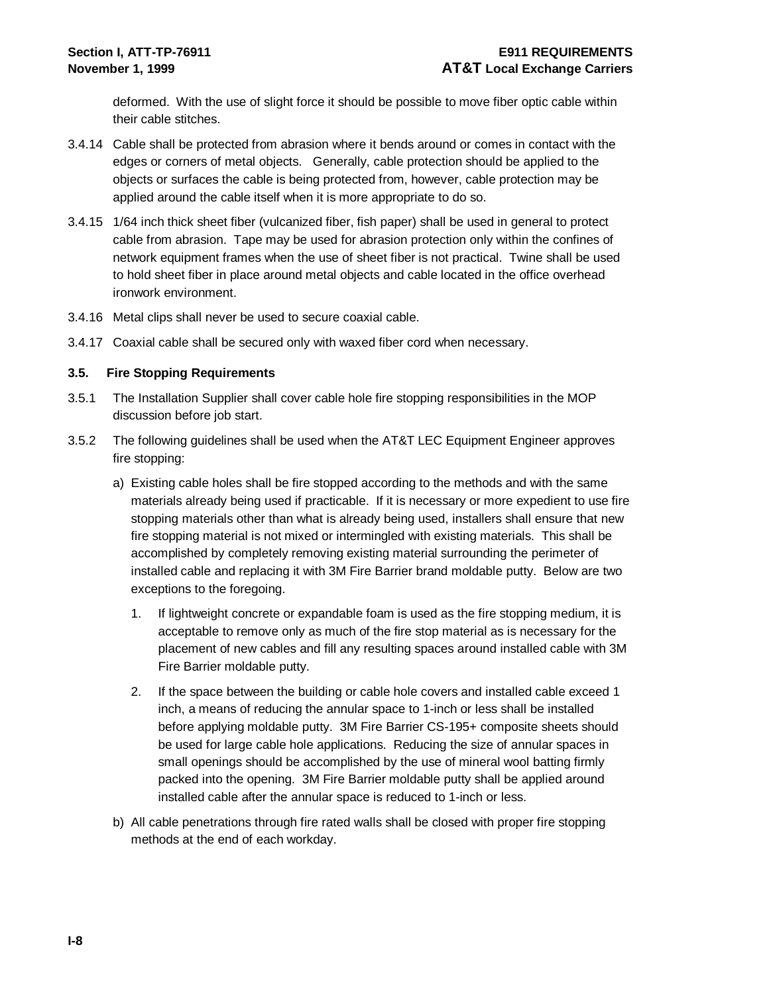deformed. With the use of slight force it should be possible to move fiber optic cable within their cable stitches.

- 3.4.14 Cable shall be protected from abrasion where it bends around or comes in contact with the edges or corners of metal objects. Generally, cable protection should be applied to the objects or surfaces the cable is being protected from, however, cable protection may be applied around the cable itself when it is more appropriate to do so.
- 3.4.15 1/64 inch thick sheet fiber (vulcanized fiber, fish paper) shall be used in general to protect cable from abrasion. Tape may be used for abrasion protection only within the confines of network equipment frames when the use of sheet fiber is not practical. Twine shall be used to hold sheet fiber in place around metal objects and cable located in the office overhead ironwork environment.
- 3.4.16 Metal clips shall never be used to secure coaxial cable.
- 3.4.17 Coaxial cable shall be secured only with waxed fiber cord when necessary.

#### **3.5. Fire Stopping Requirements**

- 3.5.1 The Installation Supplier shall cover cable hole fire stopping responsibilities in the MOP discussion before job start.
- 3.5.2 The following guidelines shall be used when the AT&T LEC Equipment Engineer approves fire stopping:
	- a) Existing cable holes shall be fire stopped according to the methods and with the same materials already being used if practicable. If it is necessary or more expedient to use fire stopping materials other than what is already being used, installers shall ensure that new fire stopping material is not mixed or intermingled with existing materials. This shall be accomplished by completely removing existing material surrounding the perimeter of installed cable and replacing it with 3M Fire Barrier brand moldable putty. Below are two exceptions to the foregoing.
		- 1. If lightweight concrete or expandable foam is used as the fire stopping medium, it is acceptable to remove only as much of the fire stop material as is necessary for the placement of new cables and fill any resulting spaces around installed cable with 3M Fire Barrier moldable putty.
		- 2. If the space between the building or cable hole covers and installed cable exceed 1 inch, a means of reducing the annular space to 1-inch or less shall be installed before applying moldable putty. 3M Fire Barrier CS-195+ composite sheets should be used for large cable hole applications. Reducing the size of annular spaces in small openings should be accomplished by the use of mineral wool batting firmly packed into the opening. 3M Fire Barrier moldable putty shall be applied around installed cable after the annular space is reduced to 1-inch or less.
	- b) All cable penetrations through fire rated walls shall be closed with proper fire stopping methods at the end of each workday.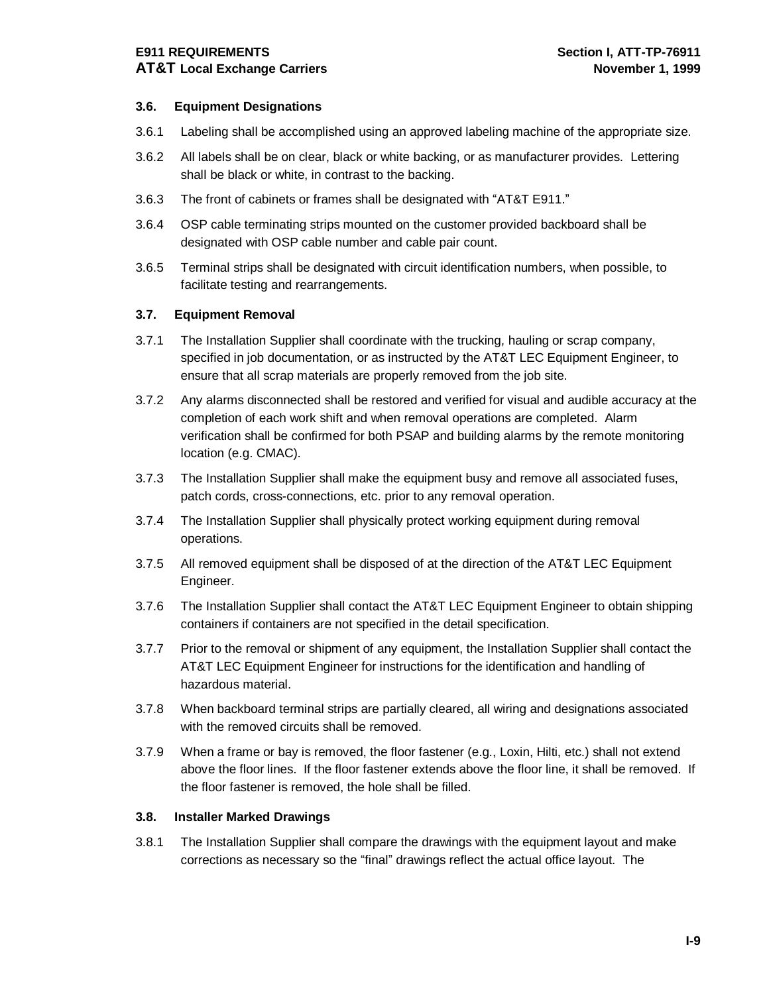## **E911 REQUIREMENTS Section I, ATT-TP-76911 AT&T Local Exchange Carriers November 1, 1999**

#### **3.6. Equipment Designations**

- 3.6.1 Labeling shall be accomplished using an approved labeling machine of the appropriate size.
- 3.6.2 All labels shall be on clear, black or white backing, or as manufacturer provides. Lettering shall be black or white, in contrast to the backing.
- 3.6.3 The front of cabinets or frames shall be designated with "AT&T E911."
- 3.6.4 OSP cable terminating strips mounted on the customer provided backboard shall be designated with OSP cable number and cable pair count.
- 3.6.5 Terminal strips shall be designated with circuit identification numbers, when possible, to facilitate testing and rearrangements.

#### **3.7. Equipment Removal**

- 3.7.1 The Installation Supplier shall coordinate with the trucking, hauling or scrap company, specified in job documentation, or as instructed by the AT&T LEC Equipment Engineer, to ensure that all scrap materials are properly removed from the job site.
- 3.7.2 Any alarms disconnected shall be restored and verified for visual and audible accuracy at the completion of each work shift and when removal operations are completed. Alarm verification shall be confirmed for both PSAP and building alarms by the remote monitoring location (e.g. CMAC).
- 3.7.3 The Installation Supplier shall make the equipment busy and remove all associated fuses, patch cords, cross-connections, etc. prior to any removal operation.
- 3.7.4 The Installation Supplier shall physically protect working equipment during removal operations.
- 3.7.5 All removed equipment shall be disposed of at the direction of the AT&T LEC Equipment Engineer.
- 3.7.6 The Installation Supplier shall contact the AT&T LEC Equipment Engineer to obtain shipping containers if containers are not specified in the detail specification.
- 3.7.7 Prior to the removal or shipment of any equipment, the Installation Supplier shall contact the AT&T LEC Equipment Engineer for instructions for the identification and handling of hazardous material.
- 3.7.8 When backboard terminal strips are partially cleared, all wiring and designations associated with the removed circuits shall be removed.
- 3.7.9 When a frame or bay is removed, the floor fastener (e.g., Loxin, Hilti, etc.) shall not extend above the floor lines. If the floor fastener extends above the floor line, it shall be removed. If the floor fastener is removed, the hole shall be filled.

#### **3.8. Installer Marked Drawings**

3.8.1 The Installation Supplier shall compare the drawings with the equipment layout and make corrections as necessary so the "final" drawings reflect the actual office layout. The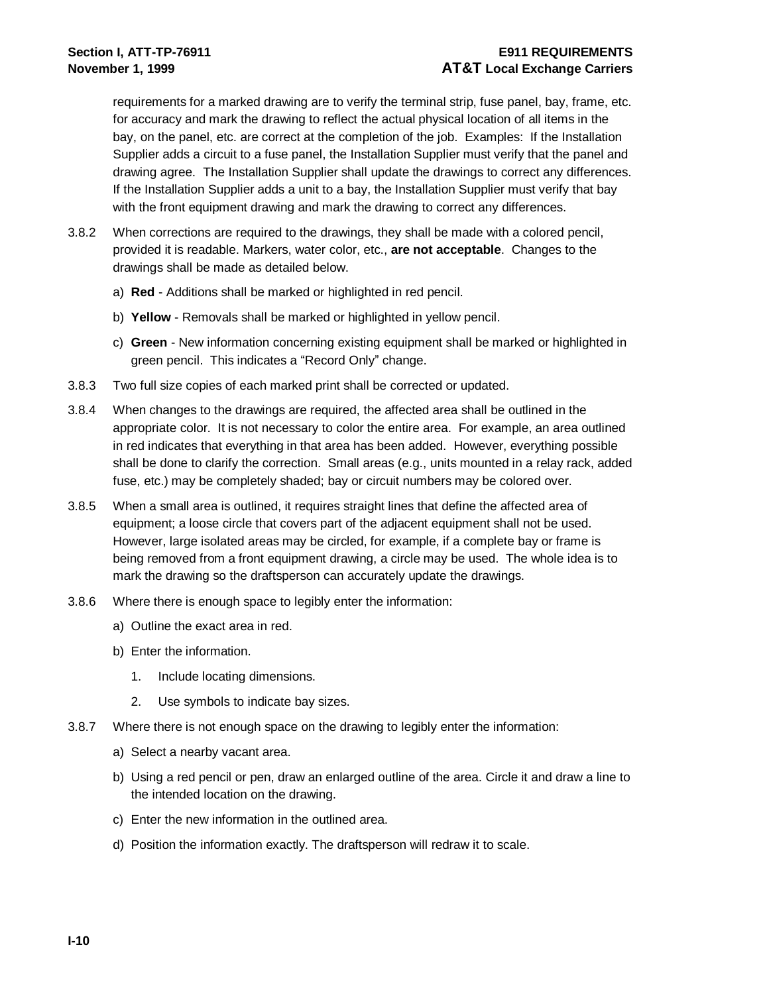### **Section I, ATT-TP-76911 E911 REQUIREMENTS November 1, 1999 AT&T Local Exchange Carriers**

requirements for a marked drawing are to verify the terminal strip, fuse panel, bay, frame, etc. for accuracy and mark the drawing to reflect the actual physical location of all items in the bay, on the panel, etc. are correct at the completion of the job. Examples: If the Installation Supplier adds a circuit to a fuse panel, the Installation Supplier must verify that the panel and drawing agree. The Installation Supplier shall update the drawings to correct any differences. If the Installation Supplier adds a unit to a bay, the Installation Supplier must verify that bay with the front equipment drawing and mark the drawing to correct any differences.

- 3.8.2 When corrections are required to the drawings, they shall be made with a colored pencil, provided it is readable. Markers, water color, etc., **are not acceptable**. Changes to the drawings shall be made as detailed below.
	- a) **Red** Additions shall be marked or highlighted in red pencil.
	- b) **Yellow** Removals shall be marked or highlighted in yellow pencil.
	- c) **Green** New information concerning existing equipment shall be marked or highlighted in green pencil. This indicates a "Record Only" change.
- 3.8.3 Two full size copies of each marked print shall be corrected or updated.
- 3.8.4 When changes to the drawings are required, the affected area shall be outlined in the appropriate color. It is not necessary to color the entire area. For example, an area outlined in red indicates that everything in that area has been added. However, everything possible shall be done to clarify the correction. Small areas (e.g., units mounted in a relay rack, added fuse, etc.) may be completely shaded; bay or circuit numbers may be colored over.
- 3.8.5 When a small area is outlined, it requires straight lines that define the affected area of equipment; a loose circle that covers part of the adjacent equipment shall not be used. However, large isolated areas may be circled, for example, if a complete bay or frame is being removed from a front equipment drawing, a circle may be used. The whole idea is to mark the drawing so the draftsperson can accurately update the drawings.
- 3.8.6 Where there is enough space to legibly enter the information:
	- a) Outline the exact area in red.
	- b) Enter the information.
		- 1. Include locating dimensions.
		- 2. Use symbols to indicate bay sizes.
- 3.8.7 Where there is not enough space on the drawing to legibly enter the information:
	- a) Select a nearby vacant area.
	- b) Using a red pencil or pen, draw an enlarged outline of the area. Circle it and draw a line to the intended location on the drawing.
	- c) Enter the new information in the outlined area.
	- d) Position the information exactly. The draftsperson will redraw it to scale.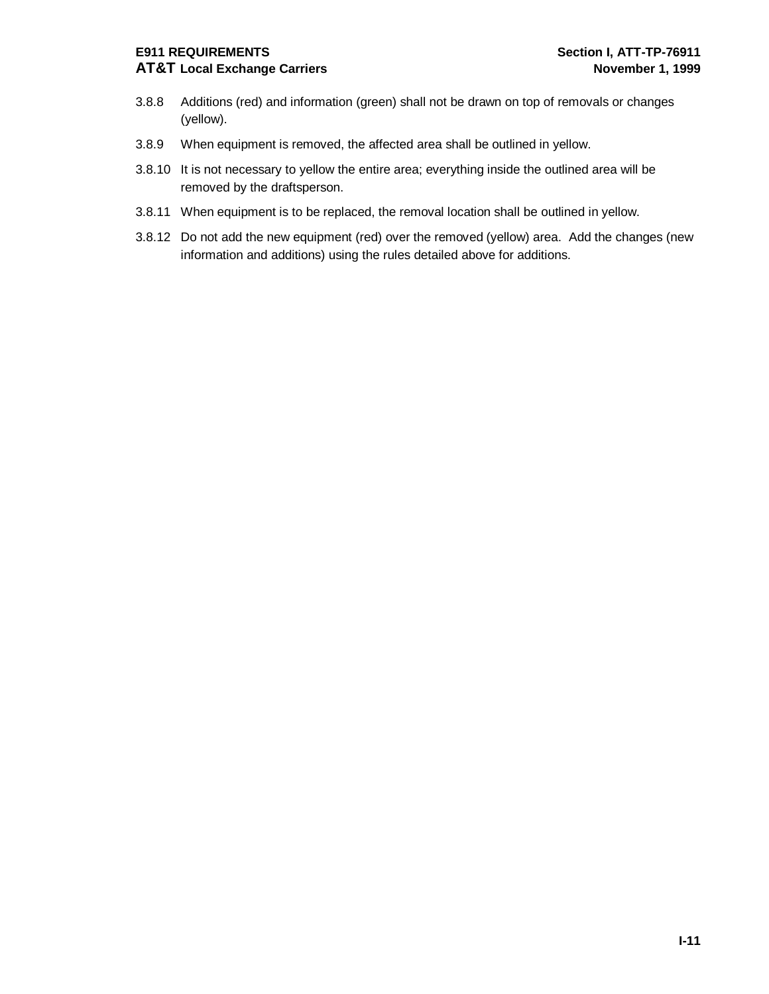## **AT&T Local Exchange Carriers November 1, 1999**

- 3.8.8 Additions (red) and information (green) shall not be drawn on top of removals or changes (yellow).
- 3.8.9 When equipment is removed, the affected area shall be outlined in yellow.
- 3.8.10 It is not necessary to yellow the entire area; everything inside the outlined area will be removed by the draftsperson.
- 3.8.11 When equipment is to be replaced, the removal location shall be outlined in yellow.
- 3.8.12 Do not add the new equipment (red) over the removed (yellow) area. Add the changes (new information and additions) using the rules detailed above for additions.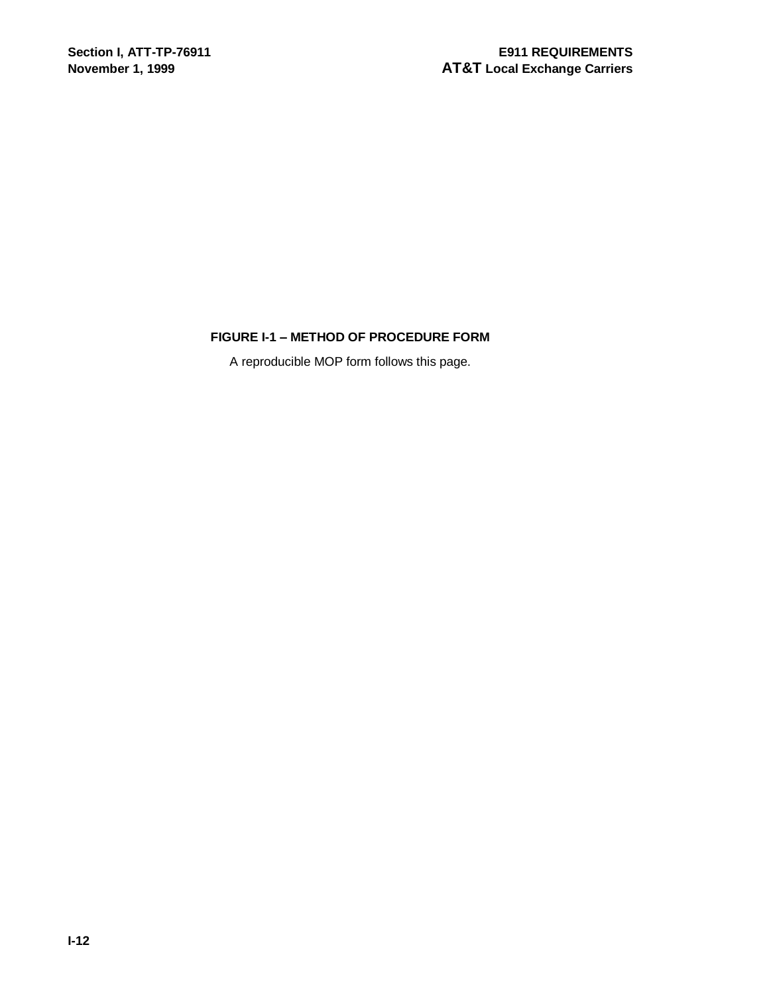#### **FIGURE I-1 – METHOD OF PROCEDURE FORM**

A reproducible MOP form follows this page.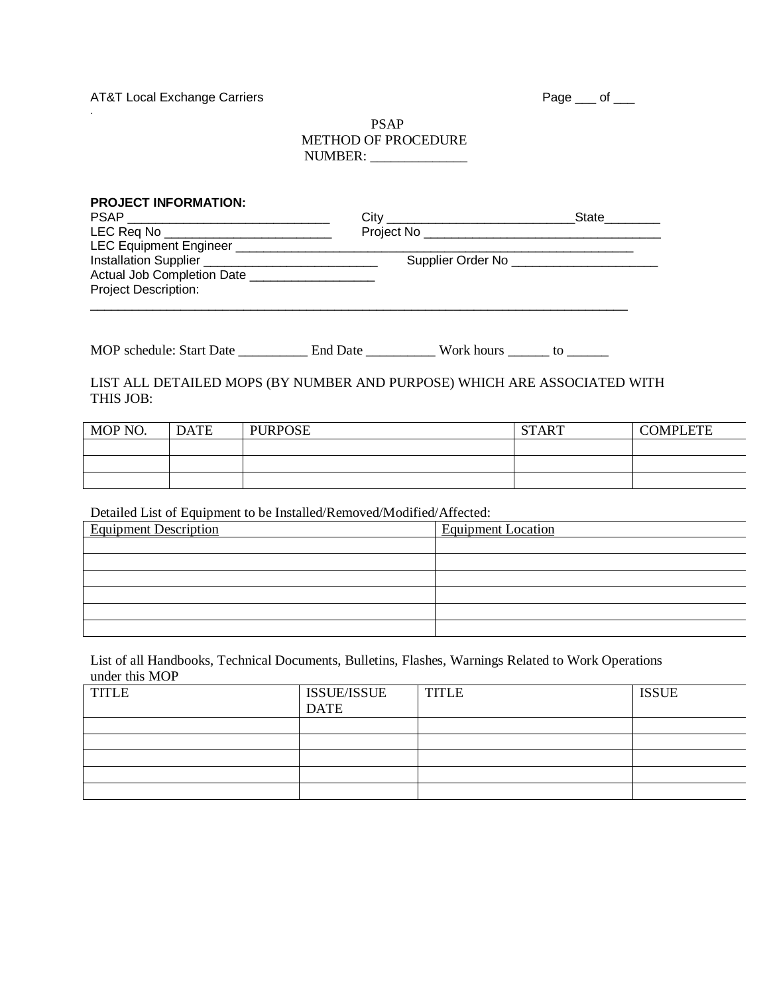AT&T Local Exchange Carriers

.

|--|--|--|

#### PSAP METHOD OF PROCEDURE NUMBER: \_\_\_\_\_\_\_\_\_\_\_\_\_\_

|                             | <b>PROJECT INFORMATION:</b> |                                                                          |  | State________                              |                 |
|-----------------------------|-----------------------------|--------------------------------------------------------------------------|--|--------------------------------------------|-----------------|
|                             |                             | LEC Req No ______________________________                                |  |                                            |                 |
|                             |                             |                                                                          |  |                                            |                 |
|                             |                             |                                                                          |  | Supplier Order No ________________________ |                 |
|                             |                             | Actual Job Completion Date ____________________                          |  |                                            |                 |
| <b>Project Description:</b> |                             |                                                                          |  |                                            |                 |
|                             |                             |                                                                          |  |                                            |                 |
|                             |                             |                                                                          |  |                                            |                 |
|                             |                             |                                                                          |  |                                            |                 |
| THIS JOB:                   |                             | LIST ALL DETAILED MOPS (BY NUMBER AND PURPOSE) WHICH ARE ASSOCIATED WITH |  |                                            |                 |
| MOP NO.                     | <b>DATE</b>                 | <b>PURPOSE</b>                                                           |  | <b>START</b>                               | <b>COMPLETE</b> |
|                             |                             |                                                                          |  |                                            |                 |
|                             |                             |                                                                          |  |                                            |                 |
|                             |                             |                                                                          |  |                                            |                 |

Detailed List of Equipment to be Installed/Removed/Modified/Affected:

| <b>Equipment Description</b> | <b>Equipment Location</b> |
|------------------------------|---------------------------|
|                              |                           |
|                              |                           |
|                              |                           |
|                              |                           |
|                              |                           |
|                              |                           |

List of all Handbooks, Technical Documents, Bulletins, Flashes, Warnings Related to Work Operations under this MOP

| <b>TITLE</b> | <b>ISSUE/ISSUE</b><br><b>DATE</b> | <b>TITLE</b> | <b>ISSUE</b> |
|--------------|-----------------------------------|--------------|--------------|
|              |                                   |              |              |
|              |                                   |              |              |
|              |                                   |              |              |
|              |                                   |              |              |
|              |                                   |              |              |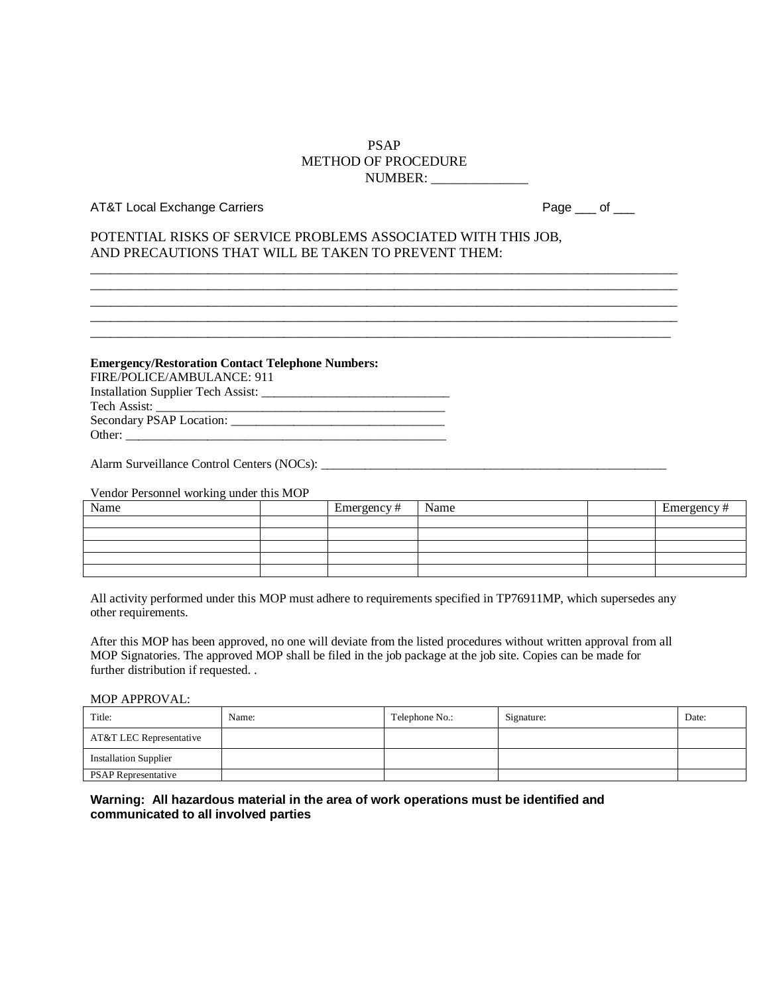#### PSAP METHOD OF PROCEDURE NUMBER: \_\_\_\_\_\_\_\_\_\_\_\_\_\_

\_\_\_\_\_\_\_\_\_\_\_\_\_\_\_\_\_\_\_\_\_\_\_\_\_\_\_\_\_\_\_\_\_\_\_\_\_\_\_\_\_\_\_\_\_\_\_\_\_\_\_\_\_\_\_\_\_\_\_\_\_\_\_\_\_\_\_\_\_\_\_\_\_\_\_\_\_\_\_\_\_\_\_\_\_ \_\_\_\_\_\_\_\_\_\_\_\_\_\_\_\_\_\_\_\_\_\_\_\_\_\_\_\_\_\_\_\_\_\_\_\_\_\_\_\_\_\_\_\_\_\_\_\_\_\_\_\_\_\_\_\_\_\_\_\_\_\_\_\_\_\_\_\_\_\_\_\_\_\_\_\_\_\_\_\_\_\_\_\_\_

\_\_\_\_\_\_\_\_\_\_\_\_\_\_\_\_\_\_\_\_\_\_\_\_\_\_\_\_\_\_\_\_\_\_\_\_\_\_\_\_\_\_\_\_\_\_\_\_\_\_\_\_\_\_\_\_\_\_\_\_\_\_\_\_\_\_\_\_\_\_\_\_\_\_\_\_\_\_\_\_\_\_\_\_

#### AT&T Local Exchange Carriers **Page 19th Contract Contract Contract Contract Contract Contract Contract Contract Contract Contract Contract Contract Contract Contract Contract Contract Contract Contract Contract Contract Co**

#### POTENTIAL RISKS OF SERVICE PROBLEMS ASSOCIATED WITH THIS JOB, AND PRECAUTIONS THAT WILL BE TAKEN TO PREVENT THEM:

**Emergency/Restoration Contact Telephone Numbers:**  FIRE/POLICE/AMBULANCE: 911 Installation Supplier Tech Assist: \_\_\_\_\_\_\_\_\_\_\_\_\_\_\_\_\_\_\_\_\_\_\_\_\_\_\_\_\_\_ Tech Assist: \_\_\_\_\_\_\_\_\_\_\_\_\_\_\_\_\_\_\_\_\_\_\_\_\_\_\_\_\_\_\_\_\_\_\_\_\_\_\_\_\_\_\_\_\_\_ Secondary PSAP Location: \_\_\_\_\_\_\_\_\_\_\_\_\_\_\_\_\_\_\_\_\_\_\_\_\_\_\_\_\_\_\_\_\_\_ Other: \_\_\_\_\_\_\_\_\_\_\_\_\_\_\_\_\_\_\_\_\_\_\_\_\_\_\_\_\_\_\_\_\_\_\_\_\_\_\_\_\_\_\_\_\_\_\_\_\_\_\_

Alarm Surveillance Control Centers (NOCs): \_\_\_\_\_\_\_\_\_\_\_\_\_\_\_\_\_\_\_\_\_\_\_\_\_\_\_\_\_\_\_\_\_\_\_\_\_\_\_\_\_\_\_\_\_\_\_\_\_\_\_\_\_\_\_

Vendor Personnel working under this MOP

| Name | Emergency# | Name | Emergency# |
|------|------------|------|------------|
|      |            |      |            |
|      |            |      |            |
|      |            |      |            |
|      |            |      |            |
|      |            |      |            |

All activity performed under this MOP must adhere to requirements specified in TP76911MP, which supersedes any other requirements.

After this MOP has been approved, no one will deviate from the listed procedures without written approval from all MOP Signatories. The approved MOP shall be filed in the job package at the job site. Copies can be made for further distribution if requested. .

MOP APPROVAL:

| Title:                       | Name: | Telephone No.: | Signature: | Date: |
|------------------------------|-------|----------------|------------|-------|
| AT&T LEC Representative      |       |                |            |       |
| <b>Installation Supplier</b> |       |                |            |       |
| <b>PSAP</b> Representative   |       |                |            |       |

**Warning: All hazardous material in the area of work operations must be identified and communicated to all involved parties**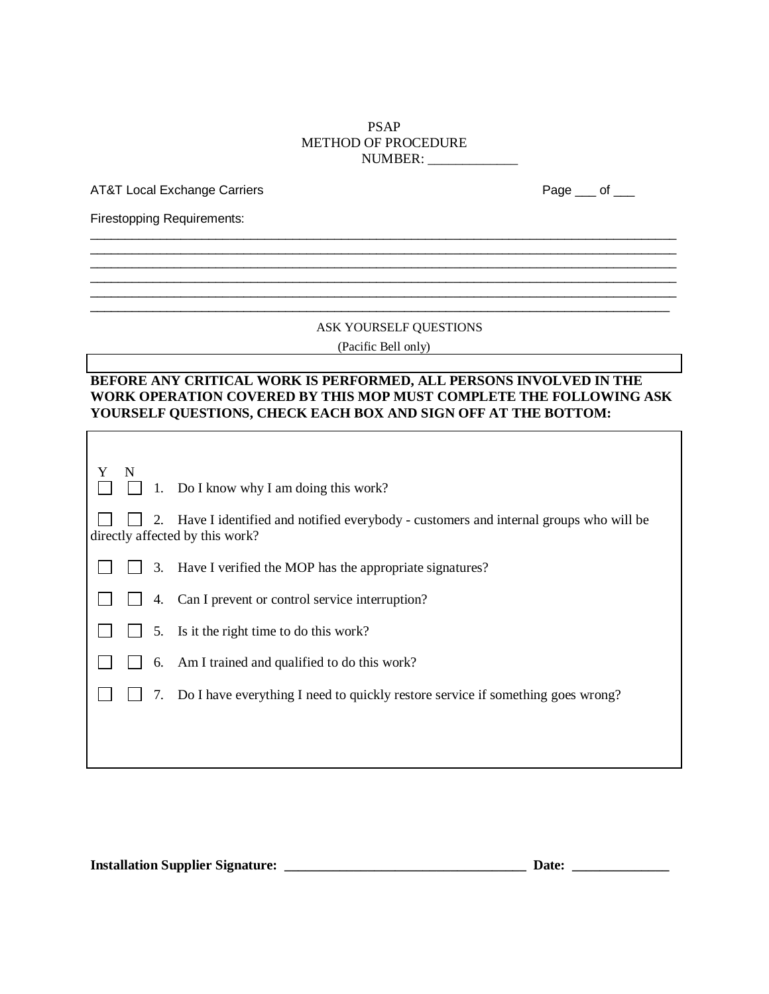#### PSAP METHOD OF PROCEDURE NUMBER: \_\_\_\_\_\_\_\_\_\_\_\_\_

 $\_$  ,  $\_$  ,  $\_$  ,  $\_$  ,  $\_$  ,  $\_$  ,  $\_$  ,  $\_$  ,  $\_$  ,  $\_$  ,  $\_$  ,  $\_$  ,  $\_$  ,  $\_$  ,  $\_$  ,  $\_$  ,  $\_$  ,  $\_$  ,  $\_$  ,  $\_$  ,  $\_$  ,  $\_$  ,  $\_$  ,  $\_$  ,  $\_$  ,  $\_$  ,  $\_$  ,  $\_$  ,  $\_$  ,  $\_$  ,  $\_$  ,  $\_$  ,  $\_$  ,  $\_$  ,  $\_$  ,  $\_$  ,  $\_$  ,  $\_$  ,  $\_$  ,  $\_$  ,  $\_$  ,  $\_$  ,  $\_$  ,  $\_$  ,  $\_$  ,  $\_$  ,  $\_$  ,  $\_$  ,  $\_$  ,  $\_$  ,  $\_$  ,  $\_$  ,  $\_$  ,  $\_$  ,  $\_$  ,  $\_$  ,  $\_$  ,  $\_$  ,  $\_$  ,  $\_$  ,  $\_$  ,  $\_$  ,  $\_$  ,  $\_$  ,  $\_$  ,  $\_$  ,  $\_$  ,  $\_$  ,  $\_$  ,  $\_$  ,  $\_$  ,  $\_$  ,  $\_$  ,  $\_$  ,

 $\_$  ,  $\_$  ,  $\_$  ,  $\_$  ,  $\_$  ,  $\_$  ,  $\_$  ,  $\_$  ,  $\_$  ,  $\_$  ,  $\_$  ,  $\_$  ,  $\_$  ,  $\_$  ,  $\_$  ,  $\_$  ,  $\_$  ,  $\_$  ,  $\_$  ,  $\_$  ,  $\_$  ,  $\_$  ,  $\_$  ,  $\_$  ,  $\_$  ,  $\_$  ,  $\_$  ,  $\_$  ,  $\_$  ,  $\_$  ,  $\_$  ,  $\_$  ,  $\_$  ,  $\_$  ,  $\_$  ,  $\_$  ,  $\_$  ,

AT&T Local Exchange Carriers **Page 19th Contract Contract Contract Contract Contract Contract Contract Contract Contract Contract Contract Contract Contract Contract Contract Contract Contract Contract Contract Contract Co** 

Firestopping Requirements:

 $\Gamma$ 

#### ASK YOURSELF QUESTIONS

(Pacific Bell only)

# **BEFORE ANY CRITICAL WORK IS PERFORMED, ALL PERSONS INVOLVED IN THE WORK OPERATION COVERED BY THIS MOP MUST COMPLETE THE FOLLOWING ASK YOURSELF QUESTIONS, CHECK EACH BOX AND SIGN OFF AT THE BOTTOM:**

| $\mathbf N$ |    | $\Box$ 1. Do I know why I am doing this work?                                                                           |
|-------------|----|-------------------------------------------------------------------------------------------------------------------------|
|             | 2. | Have I identified and notified everybody - customers and internal groups who will be<br>directly affected by this work? |
|             | 3. | Have I verified the MOP has the appropriate signatures?                                                                 |
|             |    | 4. Can I prevent or control service interruption?                                                                       |
|             |    | 5. Is it the right time to do this work?                                                                                |
|             |    | 6. Am I trained and qualified to do this work?                                                                          |
|             |    | 7. Do I have everything I need to quickly restore service if something goes wrong?                                      |
|             |    |                                                                                                                         |
|             |    |                                                                                                                         |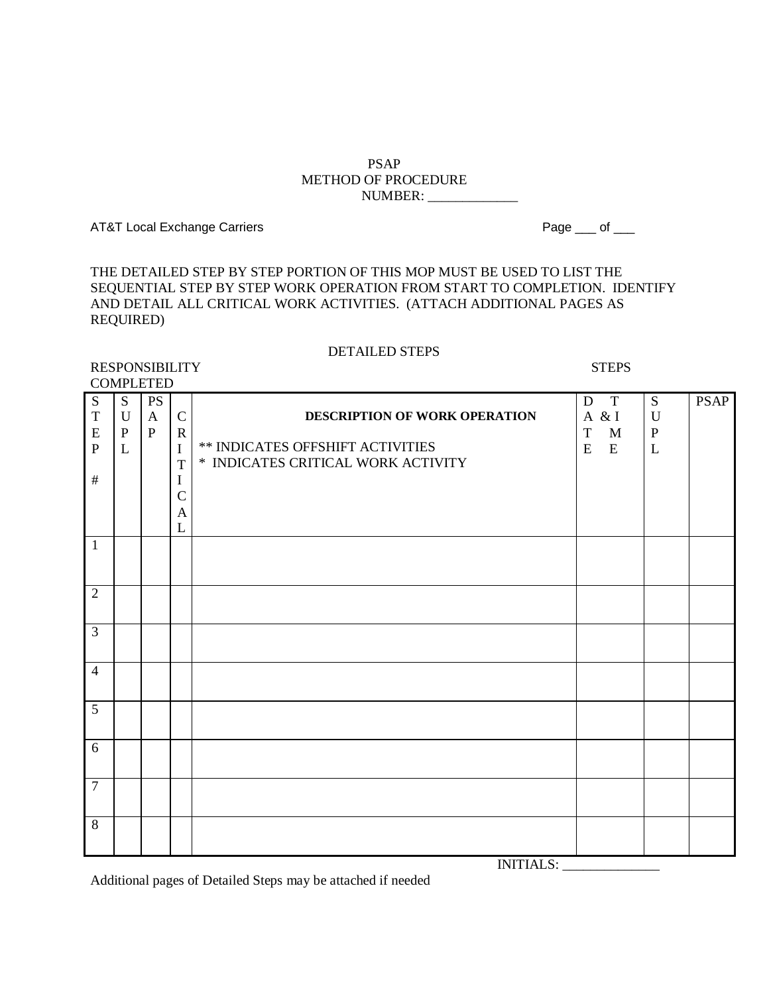#### PSAP METHOD OF PROCEDURE NUMBER: \_\_\_\_\_\_\_\_\_\_\_\_\_

AT&T Local Exchange Carriers **Page 10** and 20 and 20 and 20 and 20 and 20 and 20 and 20 and 20 and 20 and 20 and 20 and 20 and 20 and 20 and 20 and 20 and 20 and 20 and 20 and 20 and 20 and 20 and 20 and 20 and 20 and 20 a

THE DETAILED STEP BY STEP PORTION OF THIS MOP MUST BE USED TO LIST THE SEQUENTIAL STEP BY STEP WORK OPERATION FROM START TO COMPLETION. IDENTIFY AND DETAIL ALL CRITICAL WORK ACTIVITIES. (ATTACH ADDITIONAL PAGES AS REQUIRED)

#### DETAILED STEPS RESPONSIBILITY STEPS

COMPLETED S T E P # S U P L PS A P C R I T I C A L **DESCRIPTION OF WORK OPERATION** \*\* INDICATES OFFSHIFT ACTIVITIES \* INDICATES CRITICAL WORK ACTIVITY D T A & I T M E E S U P L PSAP 1 2 3 4 5 6 7 8

INITIALS: \_\_\_\_\_\_\_\_\_\_\_\_\_\_

Additional pages of Detailed Steps may be attached if needed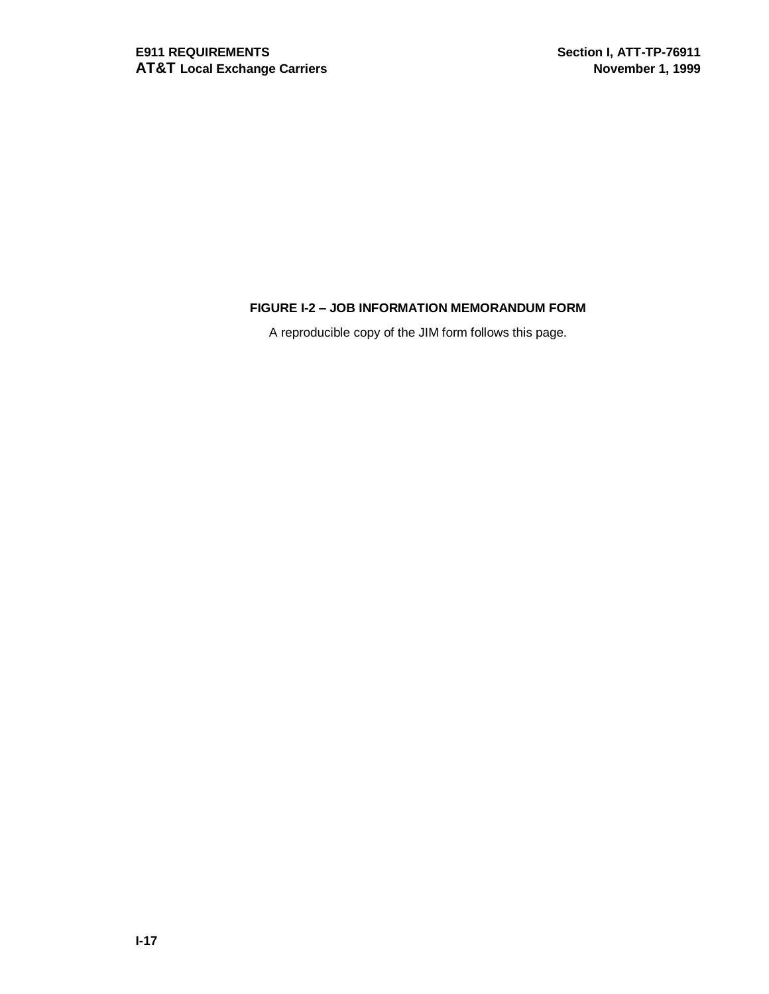# **FIGURE I-2 – JOB INFORMATION MEMORANDUM FORM**

A reproducible copy of the JIM form follows this page.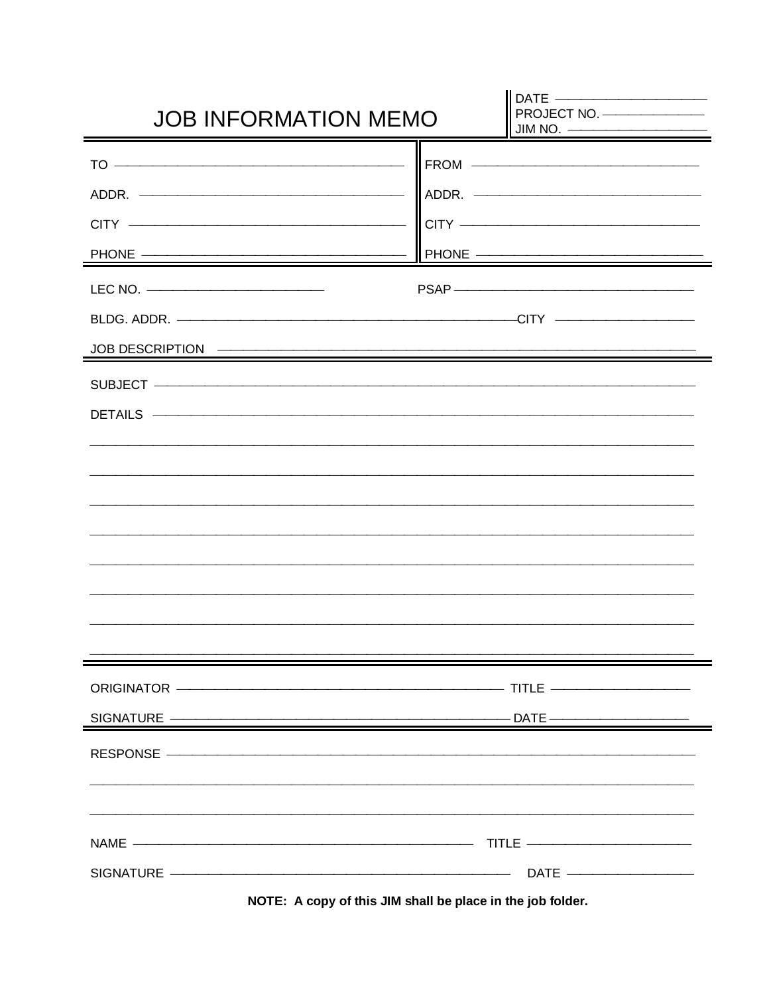| <b>JOB INFORMATION MEMO</b>                                                                                                               | DATE ________________________<br>PROJECT NO.<br>$\begin{array}{c} \hbox{JIM NO.} \begin{array}{c} \hbox{---} \end{array} \end{array}$ |
|-------------------------------------------------------------------------------------------------------------------------------------------|---------------------------------------------------------------------------------------------------------------------------------------|
| $\begin{tabular}{c} 10 & \textbf{---} & \textbf{---} & \textbf{---} & \textbf{---} & \textbf{---} & \textbf{---} \\ \hline \end{tabular}$ | FROM <del>_________________________________</del>                                                                                     |
| ADDR.                                                                                                                                     |                                                                                                                                       |
| $CITY$ $\longrightarrow$                                                                                                                  | $CITY$ $\longrightarrow$                                                                                                              |
| PHONE —————————————————                                                                                                                   | PHONE ————————————————————                                                                                                            |
|                                                                                                                                           |                                                                                                                                       |
| BLDG. ADDR. ———————————————————————————CITY —————————————                                                                                 |                                                                                                                                       |
|                                                                                                                                           |                                                                                                                                       |
| SUBJECT ————————————————————————————                                                                                                      |                                                                                                                                       |
|                                                                                                                                           |                                                                                                                                       |
|                                                                                                                                           |                                                                                                                                       |
|                                                                                                                                           |                                                                                                                                       |
|                                                                                                                                           |                                                                                                                                       |
|                                                                                                                                           |                                                                                                                                       |
|                                                                                                                                           |                                                                                                                                       |
|                                                                                                                                           |                                                                                                                                       |
|                                                                                                                                           |                                                                                                                                       |
|                                                                                                                                           |                                                                                                                                       |
|                                                                                                                                           |                                                                                                                                       |
| SIGNATURE —————————————————————————————DATE —————————————————                                                                             |                                                                                                                                       |
| RESPONSE —————————————————————————————                                                                                                    |                                                                                                                                       |
|                                                                                                                                           |                                                                                                                                       |
|                                                                                                                                           |                                                                                                                                       |
|                                                                                                                                           |                                                                                                                                       |
| SIGNATURE ——————————————————————————————DATE ————————————————————                                                                         |                                                                                                                                       |

**NOTE: A copy of this JIM shall be place in the job folder.**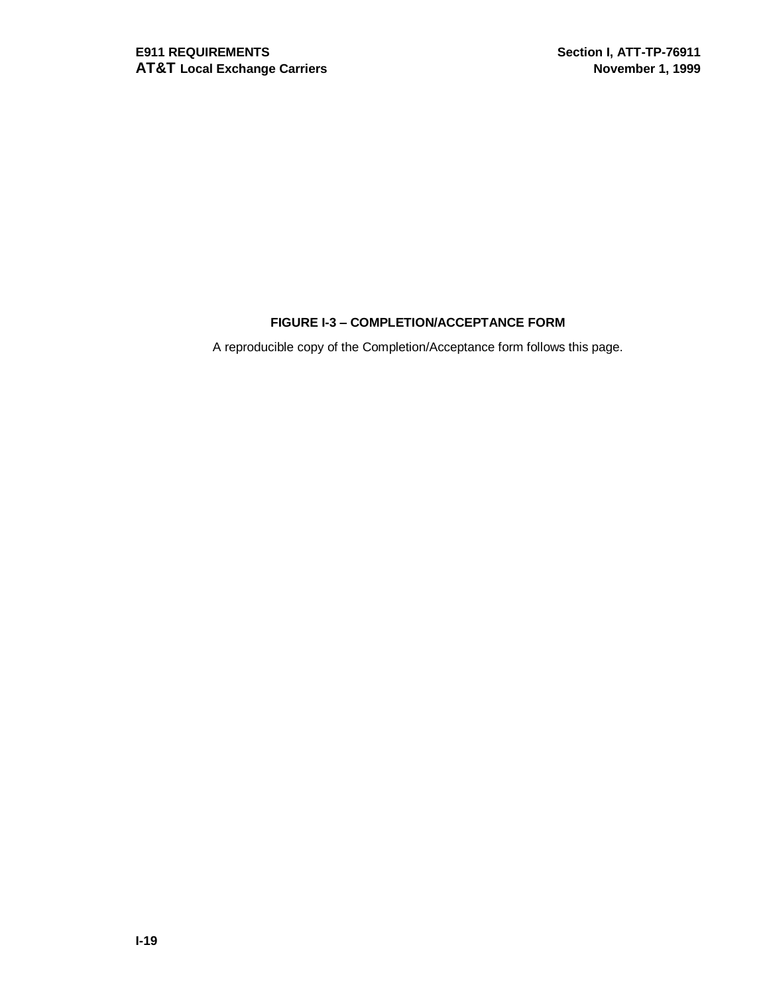# **FIGURE I-3 – COMPLETION/ACCEPTANCE FORM**

A reproducible copy of the Completion/Acceptance form follows this page.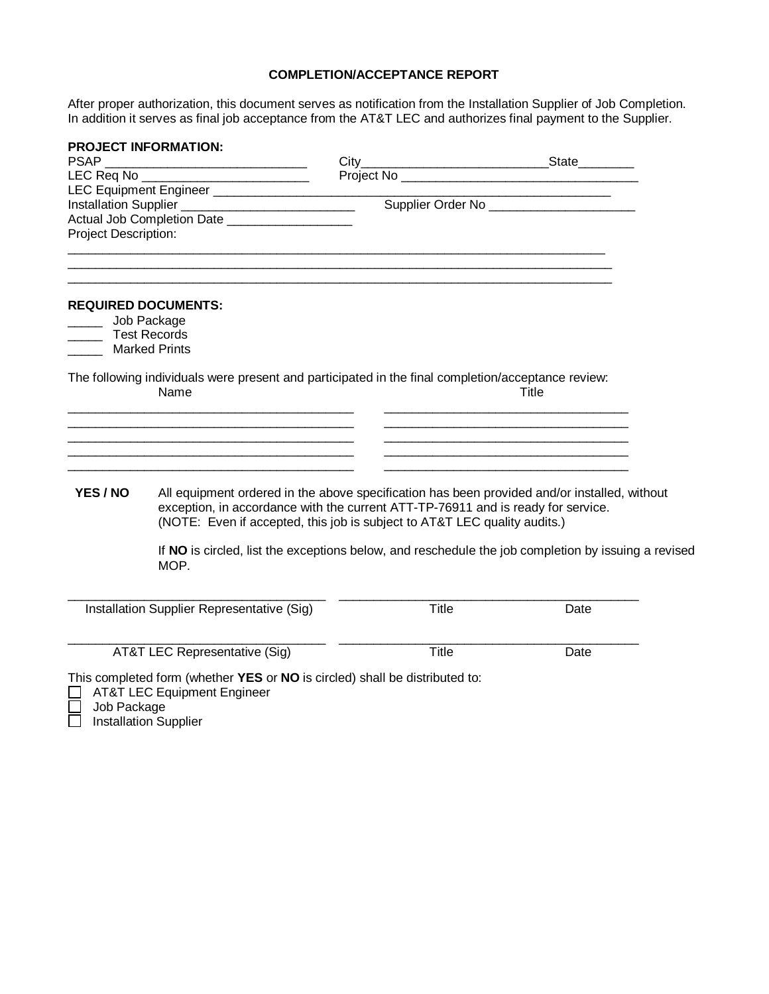#### **COMPLETION/ACCEPTANCE REPORT**

After proper authorization, this document serves as notification from the Installation Supplier of Job Completion. In addition it serves as final job acceptance from the AT&T LEC and authorizes final payment to the Supplier.

| <b>PSAP</b>                                         | <b>PROJECT INFORMATION:</b>                                                                                                                                                                                                                                   |              |                                                                                                                                                                                                                                      |  |
|-----------------------------------------------------|---------------------------------------------------------------------------------------------------------------------------------------------------------------------------------------------------------------------------------------------------------------|--------------|--------------------------------------------------------------------------------------------------------------------------------------------------------------------------------------------------------------------------------------|--|
|                                                     | LEC Req No _____________________________                                                                                                                                                                                                                      |              | Project No <b>Contract Contract Contract Contract Contract Contract Contract Contract Contract Contract Contract Contract Contract Contract Contract Contract Contract Contract Contract Contract Contract Contract Contract Con</b> |  |
|                                                     |                                                                                                                                                                                                                                                               |              |                                                                                                                                                                                                                                      |  |
|                                                     | LEC Equipment Engineer<br>Installation Supplier                                                                                                                                                                                                               |              | Supplier Order No _______________________                                                                                                                                                                                            |  |
|                                                     | Actual Job Completion Date ___________________                                                                                                                                                                                                                |              |                                                                                                                                                                                                                                      |  |
| Project Description:                                |                                                                                                                                                                                                                                                               |              |                                                                                                                                                                                                                                      |  |
|                                                     | <u> 1989 - Johann Barbara, markazar margolaria (h. 1989).</u><br><u> 1989 - Johann Stoff, deutscher Stoff, der Stoff, der Stoff, der Stoff, der Stoff, der Stoff, der Stoff, der S</u>                                                                        |              |                                                                                                                                                                                                                                      |  |
| Job Package<br><b>Test Records</b><br>Marked Prints | <b>REQUIRED DOCUMENTS:</b>                                                                                                                                                                                                                                    |              |                                                                                                                                                                                                                                      |  |
|                                                     | The following individuals were present and participated in the final completion/acceptance review:<br>Name                                                                                                                                                    |              | Title<br><u> 1989 - Johann Barbara, martin amerikan basar dan berasal dan berasal dalam basar dalam basar dalam basar dala</u>                                                                                                       |  |
|                                                     | <u> 1980 - Johann John Stone, markin film yn y brenin y brenin y brenin y brenin y brenin y brenin y brenin y br</u>                                                                                                                                          |              | <u> 1980 - Johann John Stein, marwolaeth a bhannaich an t-Amhair an t-Amhair an t-Amhair an t-Amhair an t-Amhair a</u>                                                                                                               |  |
| YES / NO                                            | All equipment ordered in the above specification has been provided and/or installed, without<br>exception, in accordance with the current ATT-TP-76911 and is ready for service.<br>(NOTE: Even if accepted, this job is subject to AT&T LEC quality audits.) |              |                                                                                                                                                                                                                                      |  |
|                                                     | If NO is circled, list the exceptions below, and reschedule the job completion by issuing a revised<br>MOP.                                                                                                                                                   |              |                                                                                                                                                                                                                                      |  |
|                                                     | Installation Supplier Representative (Sig)                                                                                                                                                                                                                    | Title        | Date                                                                                                                                                                                                                                 |  |
|                                                     | AT&T LEC Representative (Sig)                                                                                                                                                                                                                                 | <b>Title</b> | Date                                                                                                                                                                                                                                 |  |
|                                                     | This completed form (whether YES or NO is circled) shall be distributed to:<br><b>AT&amp;T LEC Equipment Engineer</b>                                                                                                                                         |              |                                                                                                                                                                                                                                      |  |

Job Package

Installation Supplier